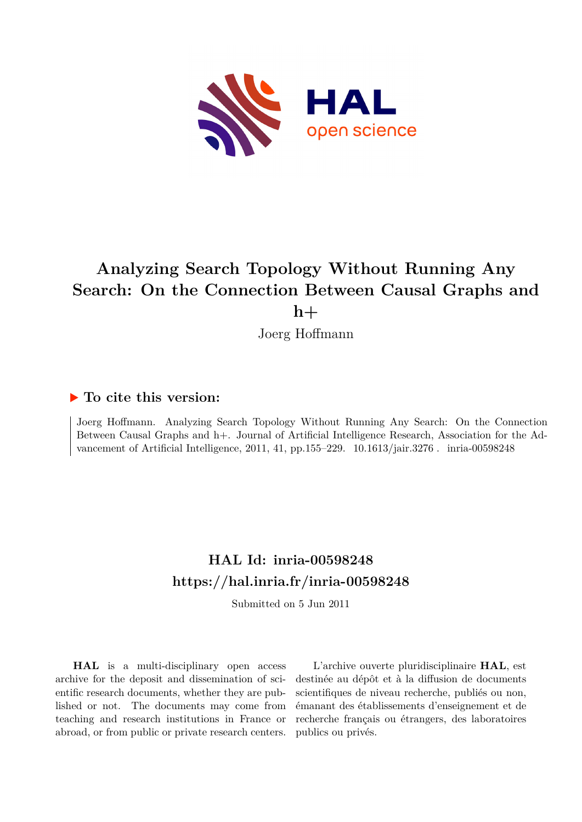

# **Analyzing Search Topology Without Running Any Search: On the Connection Between Causal Graphs and h+**

Joerg Hoffmann

# **To cite this version:**

Joerg Hoffmann. Analyzing Search Topology Without Running Any Search: On the Connection Between Causal Graphs and h+. Journal of Artificial Intelligence Research, Association for the Advancement of Artificial Intelligence, 2011, 41, pp.155–229.  $10.1613/jair.3276$ . inria-00598248

# **HAL Id: inria-00598248 <https://hal.inria.fr/inria-00598248>**

Submitted on 5 Jun 2011

**HAL** is a multi-disciplinary open access archive for the deposit and dissemination of scientific research documents, whether they are published or not. The documents may come from teaching and research institutions in France or abroad, or from public or private research centers.

L'archive ouverte pluridisciplinaire **HAL**, est destinée au dépôt et à la diffusion de documents scientifiques de niveau recherche, publiés ou non, émanant des établissements d'enseignement et de recherche français ou étrangers, des laboratoires publics ou privés.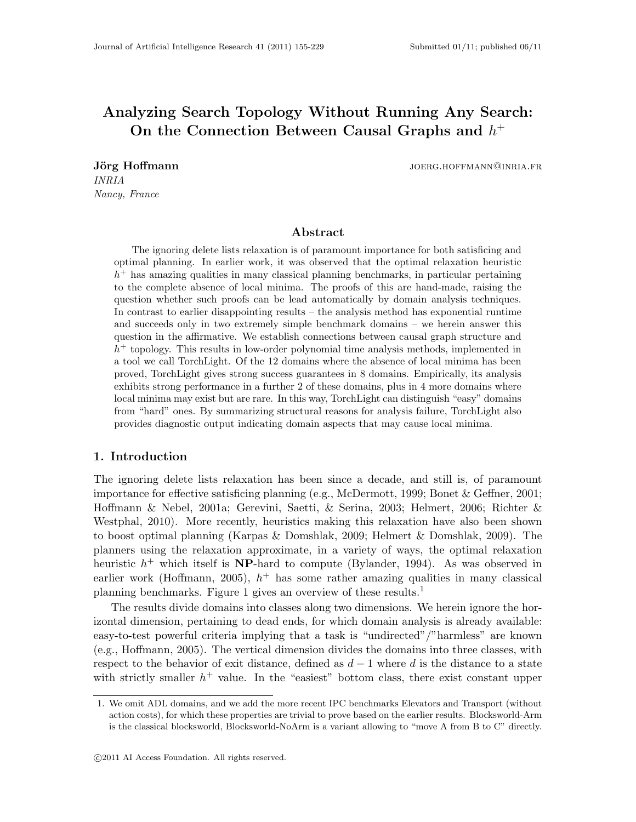# Analyzing Search Topology Without Running Any Search: On the Connection Between Causal Graphs and  $h^+$

INRIA Nancy, France

Jörg Hoffmann joerg.hoffmann joerg.hoffmann joerg.hoffmann joerg.hoffmann joerg.h

# Abstract

The ignoring delete lists relaxation is of paramount importance for both satisficing and optimal planning. In earlier work, it was observed that the optimal relaxation heuristic h <sup>+</sup> has amazing qualities in many classical planning benchmarks, in particular pertaining to the complete absence of local minima. The proofs of this are hand-made, raising the question whether such proofs can be lead automatically by domain analysis techniques. In contrast to earlier disappointing results – the analysis method has exponential runtime and succeeds only in two extremely simple benchmark domains – we herein answer this question in the affirmative. We establish connections between causal graph structure and  $h<sup>+</sup>$  topology. This results in low-order polynomial time analysis methods, implemented in a tool we call TorchLight. Of the 12 domains where the absence of local minima has been proved, TorchLight gives strong success guarantees in 8 domains. Empirically, its analysis exhibits strong performance in a further 2 of these domains, plus in 4 more domains where local minima may exist but are rare. In this way, TorchLight can distinguish "easy" domains from "hard" ones. By summarizing structural reasons for analysis failure, TorchLight also provides diagnostic output indicating domain aspects that may cause local minima.

# 1. Introduction

The ignoring delete lists relaxation has been since a decade, and still is, of paramount importance for effective satisficing planning (e.g., McDermott, 1999; Bonet & Geffner, 2001; Hoffmann & Nebel, 2001a; Gerevini, Saetti, & Serina, 2003; Helmert, 2006; Richter & Westphal, 2010). More recently, heuristics making this relaxation have also been shown to boost optimal planning (Karpas & Domshlak, 2009; Helmert & Domshlak, 2009). The planners using the relaxation approximate, in a variety of ways, the optimal relaxation heuristic  $h^+$  which itself is **NP**-hard to compute (Bylander, 1994). As was observed in earlier work (Hoffmann, 2005),  $h^+$  has some rather amazing qualities in many classical planning benchmarks. Figure 1 gives an overview of these results.<sup>1</sup>

The results divide domains into classes along two dimensions. We herein ignore the horizontal dimension, pertaining to dead ends, for which domain analysis is already available: easy-to-test powerful criteria implying that a task is "undirected"/"harmless" are known (e.g., Hoffmann, 2005). The vertical dimension divides the domains into three classes, with respect to the behavior of exit distance, defined as  $d-1$  where d is the distance to a state with strictly smaller  $h^+$  value. In the "easiest" bottom class, there exist constant upper

<sup>1.</sup> We omit ADL domains, and we add the more recent IPC benchmarks Elevators and Transport (without action costs), for which these properties are trivial to prove based on the earlier results. Blocksworld-Arm is the classical blocksworld, Blocksworld-NoArm is a variant allowing to "move A from B to C" directly.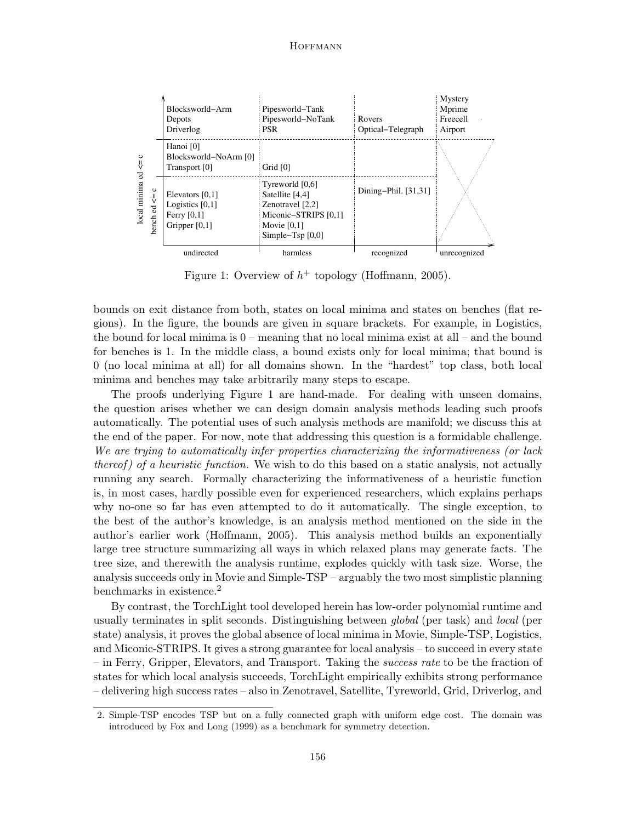

Figure 1: Overview of  $h^+$  topology (Hoffmann, 2005).

bounds on exit distance from both, states on local minima and states on benches (flat regions). In the figure, the bounds are given in square brackets. For example, in Logistics, the bound for local minima is 0 – meaning that no local minima exist at all – and the bound for benches is 1. In the middle class, a bound exists only for local minima; that bound is 0 (no local minima at all) for all domains shown. In the "hardest" top class, both local minima and benches may take arbitrarily many steps to escape.

The proofs underlying Figure 1 are hand-made. For dealing with unseen domains, the question arises whether we can design domain analysis methods leading such proofs automatically. The potential uses of such analysis methods are manifold; we discuss this at the end of the paper. For now, note that addressing this question is a formidable challenge. We are trying to automatically infer properties characterizing the informativeness (or lack thereof) of a heuristic function. We wish to do this based on a static analysis, not actually running any search. Formally characterizing the informativeness of a heuristic function is, in most cases, hardly possible even for experienced researchers, which explains perhaps why no-one so far has even attempted to do it automatically. The single exception, to the best of the author's knowledge, is an analysis method mentioned on the side in the author's earlier work (Hoffmann, 2005). This analysis method builds an exponentially large tree structure summarizing all ways in which relaxed plans may generate facts. The tree size, and therewith the analysis runtime, explodes quickly with task size. Worse, the analysis succeeds only in Movie and Simple-TSP – arguably the two most simplistic planning benchmarks in existence.<sup>2</sup>

By contrast, the TorchLight tool developed herein has low-order polynomial runtime and usually terminates in split seconds. Distinguishing between global (per task) and local (per state) analysis, it proves the global absence of local minima in Movie, Simple-TSP, Logistics, and Miconic-STRIPS. It gives a strong guarantee for local analysis – to succeed in every state – in Ferry, Gripper, Elevators, and Transport. Taking the success rate to be the fraction of states for which local analysis succeeds, TorchLight empirically exhibits strong performance – delivering high success rates – also in Zenotravel, Satellite, Tyreworld, Grid, Driverlog, and

<sup>2.</sup> Simple-TSP encodes TSP but on a fully connected graph with uniform edge cost. The domain was introduced by Fox and Long (1999) as a benchmark for symmetry detection.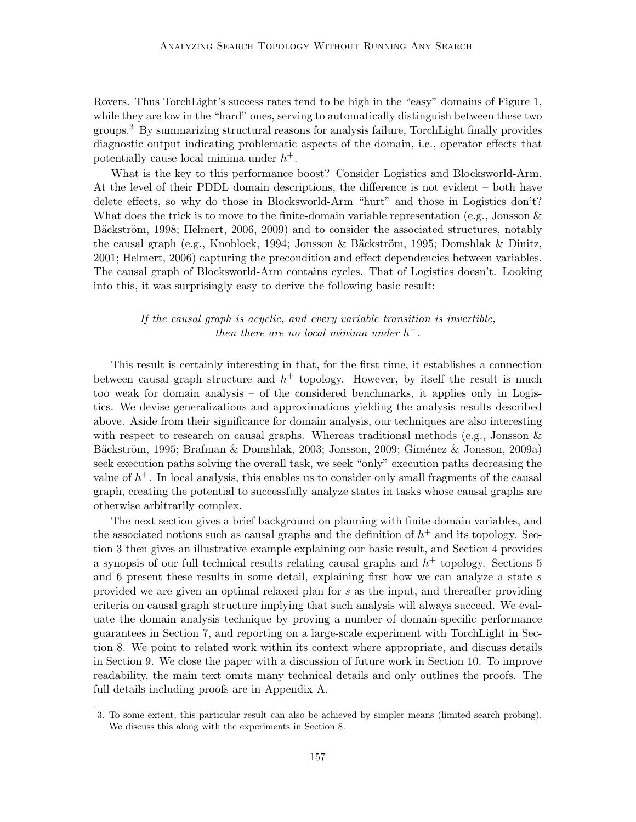Rovers. Thus TorchLight's success rates tend to be high in the "easy" domains of Figure 1, while they are low in the "hard" ones, serving to automatically distinguish between these two groups.<sup>3</sup> By summarizing structural reasons for analysis failure, TorchLight finally provides diagnostic output indicating problematic aspects of the domain, i.e., operator effects that potentially cause local minima under  $h^+$ .

What is the key to this performance boost? Consider Logistics and Blocksworld-Arm. At the level of their PDDL domain descriptions, the difference is not evident – both have delete effects, so why do those in Blocksworld-Arm "hurt" and those in Logistics don't? What does the trick is to move to the finite-domain variable representation (e.g., Jonsson  $\&$ Bäckström, 1998; Helmert, 2006, 2009) and to consider the associated structures, notably the causal graph (e.g., Knoblock, 1994; Jonsson & Bäckström, 1995; Domshlak & Dinitz, 2001; Helmert, 2006) capturing the precondition and effect dependencies between variables. The causal graph of Blocksworld-Arm contains cycles. That of Logistics doesn't. Looking into this, it was surprisingly easy to derive the following basic result:

# If the causal graph is acyclic, and every variable transition is invertible, then there are no local minima under  $h^+$ .

This result is certainly interesting in that, for the first time, it establishes a connection between causal graph structure and  $h^+$  topology. However, by itself the result is much too weak for domain analysis – of the considered benchmarks, it applies only in Logistics. We devise generalizations and approximations yielding the analysis results described above. Aside from their significance for domain analysis, our techniques are also interesting with respect to research on causal graphs. Whereas traditional methods (e.g., Jonsson  $\&$ Bäckström, 1995; Brafman & Domshlak, 2003; Jonsson, 2009; Giménez & Jonsson, 2009a) seek execution paths solving the overall task, we seek "only" execution paths decreasing the value of  $h^+$ . In local analysis, this enables us to consider only small fragments of the causal graph, creating the potential to successfully analyze states in tasks whose causal graphs are otherwise arbitrarily complex.

The next section gives a brief background on planning with finite-domain variables, and the associated notions such as causal graphs and the definition of  $h^+$  and its topology. Section 3 then gives an illustrative example explaining our basic result, and Section 4 provides a synopsis of our full technical results relating causal graphs and  $h^+$  topology. Sections 5 and 6 present these results in some detail, explaining first how we can analyze a state s provided we are given an optimal relaxed plan for s as the input, and thereafter providing criteria on causal graph structure implying that such analysis will always succeed. We evaluate the domain analysis technique by proving a number of domain-specific performance guarantees in Section 7, and reporting on a large-scale experiment with TorchLight in Section 8. We point to related work within its context where appropriate, and discuss details in Section 9. We close the paper with a discussion of future work in Section 10. To improve readability, the main text omits many technical details and only outlines the proofs. The full details including proofs are in Appendix A.

<sup>3.</sup> To some extent, this particular result can also be achieved by simpler means (limited search probing). We discuss this along with the experiments in Section 8.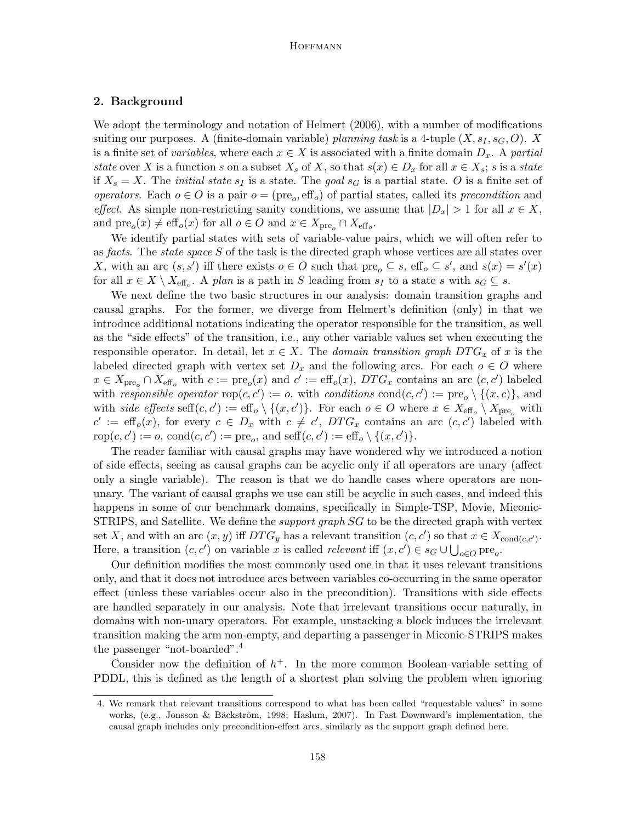# 2. Background

We adopt the terminology and notation of Helmert (2006), with a number of modifications suiting our purposes. A (finite-domain variable) planning task is a 4-tuple  $(X, s<sub>I</sub>, s<sub>G</sub>, O)$ . X is a finite set of variables, where each  $x \in X$  is associated with a finite domain  $D_x$ . A partial state over X is a function s on a subset  $X_s$  of X, so that  $s(x) \in D_x$  for all  $x \in X_s$ ; s is a state if  $X_s = X$ . The *initial state s<sub>I</sub>* is a state. The goal  $s_G$  is a partial state. O is a finite set of operators. Each  $o \in O$  is a pair  $o = (pre_o, eff_o)$  of partial states, called its precondition and effect. As simple non-restricting sanity conditions, we assume that  $|D_x| > 1$  for all  $x \in X$ , and  $\text{pre}_o(x) \neq \text{eff}_o(x)$  for all  $o \in O$  and  $x \in X_{\text{pre}_o} \cap X_{\text{eff}_o}$ .

We identify partial states with sets of variable-value pairs, which we will often refer to as *facts*. The *state space* S of the task is the directed graph whose vertices are all states over X, with an arc  $(s, s')$  iff there exists  $o \in O$  such that  $pre_o \subseteq s$ , eff<sub>o</sub>  $\subseteq s'$ , and  $s(x) = s'(x)$ for all  $x \in X \setminus X_{\text{eff}_o}$ . A plan is a path in S leading from  $s_I$  to a state s with  $s_G \subseteq s$ .

We next define the two basic structures in our analysis: domain transition graphs and causal graphs. For the former, we diverge from Helmert's definition (only) in that we introduce additional notations indicating the operator responsible for the transition, as well as the "side effects" of the transition, i.e., any other variable values set when executing the responsible operator. In detail, let  $x \in X$ . The *domain transition graph*  $DTG_x$  of x is the labeled directed graph with vertex set  $D_x$  and the following arcs. For each  $o \in O$  where  $x \in X_{\text{pre}_o} \cap X_{\text{eff}_o}$  with  $c := \text{pre}_o(x)$  and  $c' := \text{eff}_o(x)$ ,  $DTG_x$  contains an arc  $(c, c')$  labeled with responsible operator  $\text{rop}(c, c') := o$ , with conditions  $\text{cond}(c, c') := \text{pre}_o \setminus \{(x, c)\}\)$ , and with side effects seff $(c, c') := \text{eff}_{o} \setminus \{(x, c')\}$ . For each  $o \in O$  where  $x \in X_{\text{eff}_{o}} \setminus X_{\text{pre}_{o}}$  with  $c' := \text{eff}_{o}(x)$ , for every  $c \in D_x$  with  $c \neq c'$ ,  $DTG_x$  contains an arc  $(c, c')$  labeled with  $\text{rop}(c, c') := o, \text{ cond}(c, c') := \text{pre}_o, \text{ and } \text{seff}(c, c') := \text{eff}_o \setminus \{(x, c')\}.$ 

The reader familiar with causal graphs may have wondered why we introduced a notion of side effects, seeing as causal graphs can be acyclic only if all operators are unary (affect only a single variable). The reason is that we do handle cases where operators are nonunary. The variant of causal graphs we use can still be acyclic in such cases, and indeed this happens in some of our benchmark domains, specifically in Simple-TSP, Movie, Miconic-STRIPS, and Satellite. We define the *support graph SG* to be the directed graph with vertex set X, and with an arc  $(x, y)$  iff  $DTG_y$  has a relevant transition  $(c, c')$  so that  $x \in X_{cond(c, c')}$ . Here, a transition  $(c, c')$  on variable x is called relevant iff  $(x, c') \in s_G \cup \bigcup_{o \in O} \text{pre}_o$ .

Our definition modifies the most commonly used one in that it uses relevant transitions only, and that it does not introduce arcs between variables co-occurring in the same operator effect (unless these variables occur also in the precondition). Transitions with side effects are handled separately in our analysis. Note that irrelevant transitions occur naturally, in domains with non-unary operators. For example, unstacking a block induces the irrelevant transition making the arm non-empty, and departing a passenger in Miconic-STRIPS makes the passenger "not-boarded".<sup>4</sup>

Consider now the definition of  $h<sup>+</sup>$ . In the more common Boolean-variable setting of PDDL, this is defined as the length of a shortest plan solving the problem when ignoring

<sup>4.</sup> We remark that relevant transitions correspond to what has been called "requestable values" in some works, (e.g., Jonsson & Bäckström, 1998; Haslum, 2007). In Fast Downward's implementation, the causal graph includes only precondition-effect arcs, similarly as the support graph defined here.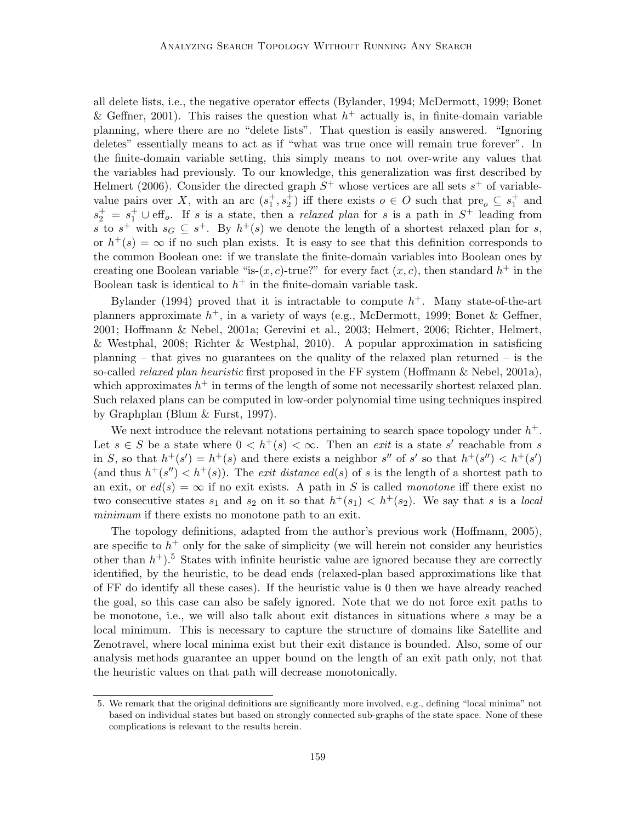all delete lists, i.e., the negative operator effects (Bylander, 1994; McDermott, 1999; Bonet & Geffner, 2001). This raises the question what  $h^+$  actually is, in finite-domain variable planning, where there are no "delete lists". That question is easily answered. "Ignoring deletes" essentially means to act as if "what was true once will remain true forever". In the finite-domain variable setting, this simply means to not over-write any values that the variables had previously. To our knowledge, this generalization was first described by Helmert (2006). Consider the directed graph  $S^+$  whose vertices are all sets  $s^+$  of variablevalue pairs over X, with an arc  $(s_1^+, s_2^+)$  iff there exists  $o \in O$  such that  $pre_o \subseteq s_1^+$  and  $s_2^+ = s_1^+ \cup \text{eff}_o$ . If s is a state, then a *relaxed plan* for s is a path in  $S^+$  leading from s to  $s^+$  with  $s_G \subseteq s^+$ . By  $h^+(s)$  we denote the length of a shortest relaxed plan for s, or  $h^+(s) = \infty$  if no such plan exists. It is easy to see that this definition corresponds to the common Boolean one: if we translate the finite-domain variables into Boolean ones by creating one Boolean variable "is- $(x, c)$ -true?" for every fact  $(x, c)$ , then standard  $h^+$  in the Boolean task is identical to  $h^+$  in the finite-domain variable task.

Bylander (1994) proved that it is intractable to compute  $h^+$ . Many state-of-the-art planners approximate  $h^+$ , in a variety of ways (e.g., McDermott, 1999; Bonet & Geffner, 2001; Hoffmann & Nebel, 2001a; Gerevini et al., 2003; Helmert, 2006; Richter, Helmert, & Westphal, 2008; Richter & Westphal, 2010). A popular approximation in satisficing planning  $-$  that gives no guarantees on the quality of the relaxed plan returned  $-$  is the so-called *relaxed plan heuristic* first proposed in the FF system (Hoffmann  $\&$  Nebel, 2001a), which approximates  $h^+$  in terms of the length of some not necessarily shortest relaxed plan. Such relaxed plans can be computed in low-order polynomial time using techniques inspired by Graphplan (Blum & Furst, 1997).

We next introduce the relevant notations pertaining to search space topology under  $h^+$ . Let  $s \in S$  be a state where  $0 < h^+(s) < \infty$ . Then an *exit* is a state s' reachable from s in S, so that  $h^+(s') = h^+(s)$  and there exists a neighbor s'' of s' so that  $h^+(s'') < h^+(s')$ (and thus  $h^+(s'') < h^+(s)$ ). The *exit distance ed(s)* of s is the length of a shortest path to an exit, or  $ed(s) = \infty$  if no exit exists. A path in S is called monotone iff there exist no two consecutive states  $s_1$  and  $s_2$  on it so that  $h^+(s_1) < h^+(s_2)$ . We say that s is a local minimum if there exists no monotone path to an exit.

The topology definitions, adapted from the author's previous work (Hoffmann, 2005), are specific to  $h^+$  only for the sake of simplicity (we will herein not consider any heuristics other than  $h^+$ ).<sup>5</sup> States with infinite heuristic value are ignored because they are correctly identified, by the heuristic, to be dead ends (relaxed-plan based approximations like that of FF do identify all these cases). If the heuristic value is 0 then we have already reached the goal, so this case can also be safely ignored. Note that we do not force exit paths to be monotone, i.e., we will also talk about exit distances in situations where s may be a local minimum. This is necessary to capture the structure of domains like Satellite and Zenotravel, where local minima exist but their exit distance is bounded. Also, some of our analysis methods guarantee an upper bound on the length of an exit path only, not that the heuristic values on that path will decrease monotonically.

<sup>5.</sup> We remark that the original definitions are significantly more involved, e.g., defining "local minima" not based on individual states but based on strongly connected sub-graphs of the state space. None of these complications is relevant to the results herein.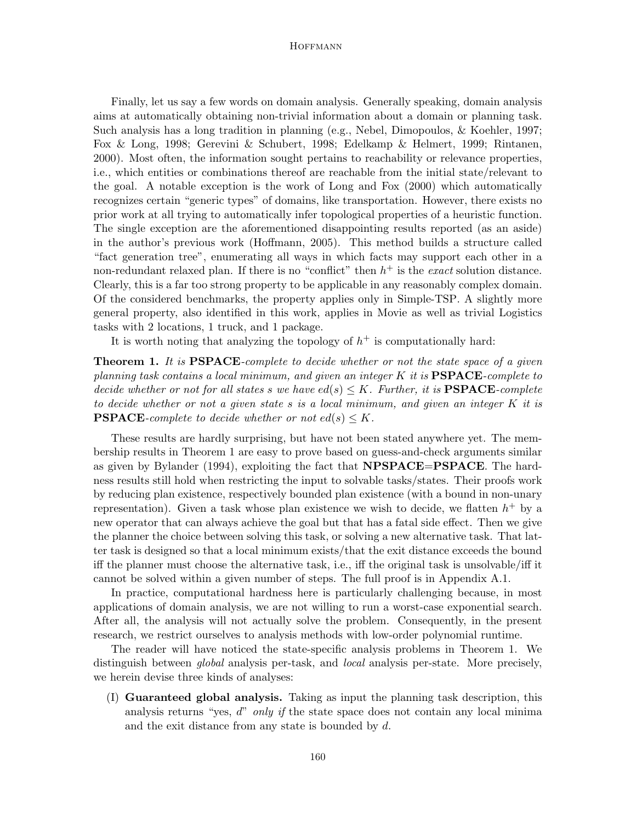Finally, let us say a few words on domain analysis. Generally speaking, domain analysis aims at automatically obtaining non-trivial information about a domain or planning task. Such analysis has a long tradition in planning (e.g., Nebel, Dimopoulos, & Koehler, 1997; Fox & Long, 1998; Gerevini & Schubert, 1998; Edelkamp & Helmert, 1999; Rintanen, 2000). Most often, the information sought pertains to reachability or relevance properties, i.e., which entities or combinations thereof are reachable from the initial state/relevant to the goal. A notable exception is the work of Long and Fox (2000) which automatically recognizes certain "generic types" of domains, like transportation. However, there exists no prior work at all trying to automatically infer topological properties of a heuristic function. The single exception are the aforementioned disappointing results reported (as an aside) in the author's previous work (Hoffmann, 2005). This method builds a structure called "fact generation tree", enumerating all ways in which facts may support each other in a non-redundant relaxed plan. If there is no "conflict" then  $h^+$  is the *exact* solution distance. Clearly, this is a far too strong property to be applicable in any reasonably complex domain. Of the considered benchmarks, the property applies only in Simple-TSP. A slightly more general property, also identified in this work, applies in Movie as well as trivial Logistics tasks with 2 locations, 1 truck, and 1 package.

It is worth noting that analyzing the topology of  $h^+$  is computationally hard:

**Theorem 1.** It is **PSPACE**-complete to decide whether or not the state space of a given planning task contains a local minimum, and given an integer  $K$  it is  $\textbf{PSPACE}$ -complete to decide whether or not for all states s we have  $ed(s) \leq K$ . Further, it is **PSPACE**-complete to decide whether or not a given state s is a local minimum, and given an integer K it is **PSPACE**-complete to decide whether or not  $ed(s) \leq K$ .

These results are hardly surprising, but have not been stated anywhere yet. The membership results in Theorem 1 are easy to prove based on guess-and-check arguments similar as given by Bylander (1994), exploiting the fact that **NPSPACE=PSPACE**. The hardness results still hold when restricting the input to solvable tasks/states. Their proofs work by reducing plan existence, respectively bounded plan existence (with a bound in non-unary representation). Given a task whose plan existence we wish to decide, we flatten  $h^+$  by a new operator that can always achieve the goal but that has a fatal side effect. Then we give the planner the choice between solving this task, or solving a new alternative task. That latter task is designed so that a local minimum exists/that the exit distance exceeds the bound iff the planner must choose the alternative task, i.e., iff the original task is unsolvable/iff it cannot be solved within a given number of steps. The full proof is in Appendix A.1.

In practice, computational hardness here is particularly challenging because, in most applications of domain analysis, we are not willing to run a worst-case exponential search. After all, the analysis will not actually solve the problem. Consequently, in the present research, we restrict ourselves to analysis methods with low-order polynomial runtime.

The reader will have noticed the state-specific analysis problems in Theorem 1. We distinguish between *global* analysis per-task, and *local* analysis per-state. More precisely, we herein devise three kinds of analyses:

(I) Guaranteed global analysis. Taking as input the planning task description, this analysis returns "yes,  $d$ " only if the state space does not contain any local minima and the exit distance from any state is bounded by d.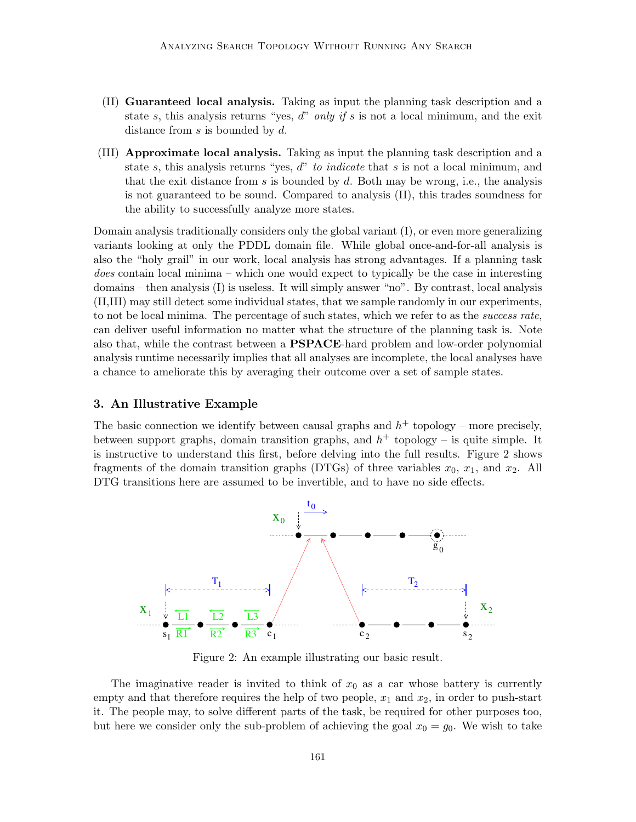- (II) Guaranteed local analysis. Taking as input the planning task description and a state s, this analysis returns "yes, d" only if s is not a local minimum, and the exit distance from  $s$  is bounded by  $d$ .
- (III) Approximate local analysis. Taking as input the planning task description and a state s, this analysis returns "yes, d" to *indicate* that s is not a local minimum, and that the exit distance from s is bounded by d. Both may be wrong, i.e., the analysis is not guaranteed to be sound. Compared to analysis (II), this trades soundness for the ability to successfully analyze more states.

Domain analysis traditionally considers only the global variant (I), or even more generalizing variants looking at only the PDDL domain file. While global once-and-for-all analysis is also the "holy grail" in our work, local analysis has strong advantages. If a planning task does contain local minima – which one would expect to typically be the case in interesting domains – then analysis (I) is useless. It will simply answer "no". By contrast, local analysis (II,III) may still detect some individual states, that we sample randomly in our experiments, to not be local minima. The percentage of such states, which we refer to as the success rate, can deliver useful information no matter what the structure of the planning task is. Note also that, while the contrast between a PSPACE-hard problem and low-order polynomial analysis runtime necessarily implies that all analyses are incomplete, the local analyses have a chance to ameliorate this by averaging their outcome over a set of sample states.

# 3. An Illustrative Example

The basic connection we identify between causal graphs and  $h^+$  topology – more precisely, between support graphs, domain transition graphs, and  $h^+$  topology – is quite simple. It is instructive to understand this first, before delving into the full results. Figure 2 shows fragments of the domain transition graphs (DTGs) of three variables  $x_0$ ,  $x_1$ , and  $x_2$ . All DTG transitions here are assumed to be invertible, and to have no side effects.



Figure 2: An example illustrating our basic result.

The imaginative reader is invited to think of  $x_0$  as a car whose battery is currently empty and that therefore requires the help of two people,  $x_1$  and  $x_2$ , in order to push-start it. The people may, to solve different parts of the task, be required for other purposes too, but here we consider only the sub-problem of achieving the goal  $x_0 = g_0$ . We wish to take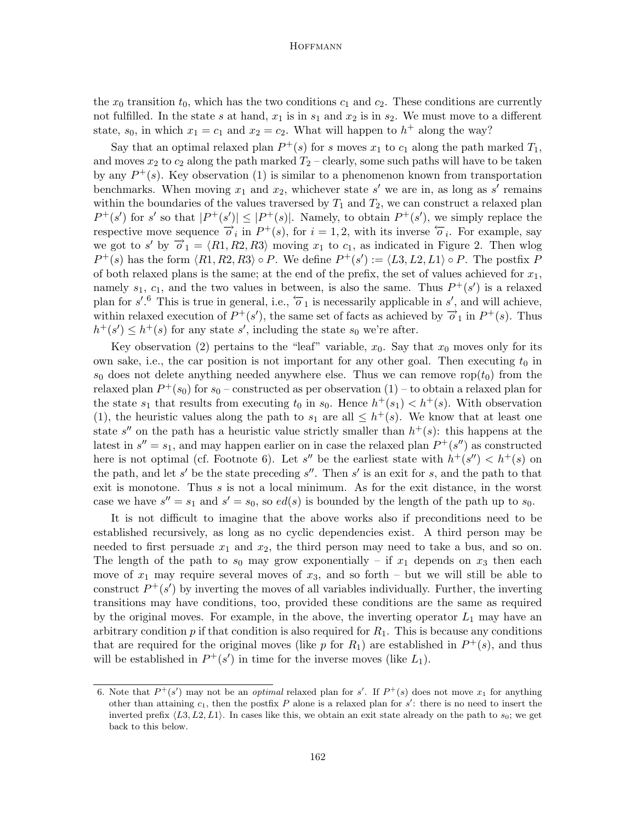the  $x_0$  transition  $t_0$ , which has the two conditions  $c_1$  and  $c_2$ . These conditions are currently not fulfilled. In the state s at hand,  $x_1$  is in  $s_1$  and  $x_2$  is in  $s_2$ . We must move to a different state,  $s_0$ , in which  $x_1 = c_1$  and  $x_2 = c_2$ . What will happen to  $h^+$  along the way?

Say that an optimal relaxed plan  $P^+(s)$  for s moves  $x_1$  to  $c_1$  along the path marked  $T_1$ , and moves  $x_2$  to  $c_2$  along the path marked  $T_2$  – clearly, some such paths will have to be taken by any  $P^+(s)$ . Key observation (1) is similar to a phenomenon known from transportation benchmarks. When moving  $x_1$  and  $x_2$ , whichever state s' we are in, as long as s' remains within the boundaries of the values traversed by  $T_1$  and  $T_2$ , we can construct a relaxed plan  $P^+(s')$  for s' so that  $|P^+(s')| \leq |P^+(s)|$ . Namely, to obtain  $P^+(s')$ , we simply replace the respective move sequence  $\overrightarrow{o_i}$  in  $P^+(s)$ , for  $i = 1, 2$ , with its inverse  $\overleftarrow{o_i}$ . For example, say we got to s' by  $\overrightarrow{o}_1 = \langle R1, R2, R3 \rangle$  moving  $x_1$  to  $c_1$ , as indicated in Figure 2. Then wlog  $P^+(s)$  has the form  $\langle R1, R2, R3 \rangle \circ P$ . We define  $P^+(s') := \langle L3, L2, L1 \rangle \circ P$ . The postfix P of both relaxed plans is the same; at the end of the prefix, the set of values achieved for  $x_1$ , namely  $s_1$ ,  $c_1$ , and the two values in between, is also the same. Thus  $P^+(s')$  is a relaxed plan for  $s'.^6$  This is true in general, i.e.,  $\overleftarrow{o}_1$  is necessarily applicable in  $s'$ , and will achieve, within relaxed execution of  $P^+(s')$ , the same set of facts as achieved by  $\overrightarrow{o}_1$  in  $P^+(s)$ . Thus  $h^+(s') \leq h^+(s)$  for any state s', including the state s<sub>0</sub> we're after.

Key observation (2) pertains to the "leaf" variable,  $x_0$ . Say that  $x_0$  moves only for its own sake, i.e., the car position is not important for any other goal. Then executing  $t_0$  in  $s_0$  does not delete anything needed anywhere else. Thus we can remove rop $(t_0)$  from the relaxed plan  $P^+(s_0)$  for  $s_0$  – constructed as per observation  $(1)$  – to obtain a relaxed plan for the state  $s_1$  that results from executing  $t_0$  in  $s_0$ . Hence  $h^+(s_1) < h^+(s)$ . With observation (1), the heuristic values along the path to  $s_1$  are all  $\leq h^+(s)$ . We know that at least one state s'' on the path has a heuristic value strictly smaller than  $h^+(s)$ : this happens at the latest in  $s'' = s_1$ , and may happen earlier on in case the relaxed plan  $P^+(s'')$  as constructed here is not optimal (cf. Footnote 6). Let s'' be the earliest state with  $h^+(s'') < h^+(s)$  on the path, and let s' be the state preceding  $s''$ . Then s' is an exit for s, and the path to that exit is monotone. Thus s is not a local minimum. As for the exit distance, in the worst case we have  $s'' = s_1$  and  $s' = s_0$ , so  $ed(s)$  is bounded by the length of the path up to  $s_0$ .

It is not difficult to imagine that the above works also if preconditions need to be established recursively, as long as no cyclic dependencies exist. A third person may be needed to first persuade  $x_1$  and  $x_2$ , the third person may need to take a bus, and so on. The length of the path to  $s_0$  may grow exponentially – if  $x_1$  depends on  $x_3$  then each move of  $x_1$  may require several moves of  $x_3$ , and so forth – but we will still be able to construct  $P^+(s')$  by inverting the moves of all variables individually. Further, the inverting transitions may have conditions, too, provided these conditions are the same as required by the original moves. For example, in the above, the inverting operator  $L_1$  may have an arbitrary condition  $p$  if that condition is also required for  $R_1$ . This is because any conditions that are required for the original moves (like p for  $R_1$ ) are established in  $P^+(s)$ , and thus will be established in  $P^+(s')$  in time for the inverse moves (like  $L_1$ ).

<sup>6.</sup> Note that  $P^+(s')$  may not be an *optimal* relaxed plan for s'. If  $P^+(s)$  does not move  $x_1$  for anything other than attaining  $c_1$ , then the postfix P alone is a relaxed plan for  $s'$ : there is no need to insert the inverted prefix  $\langle L3, L2, L1 \rangle$ . In cases like this, we obtain an exit state already on the path to  $s_0$ ; we get back to this below.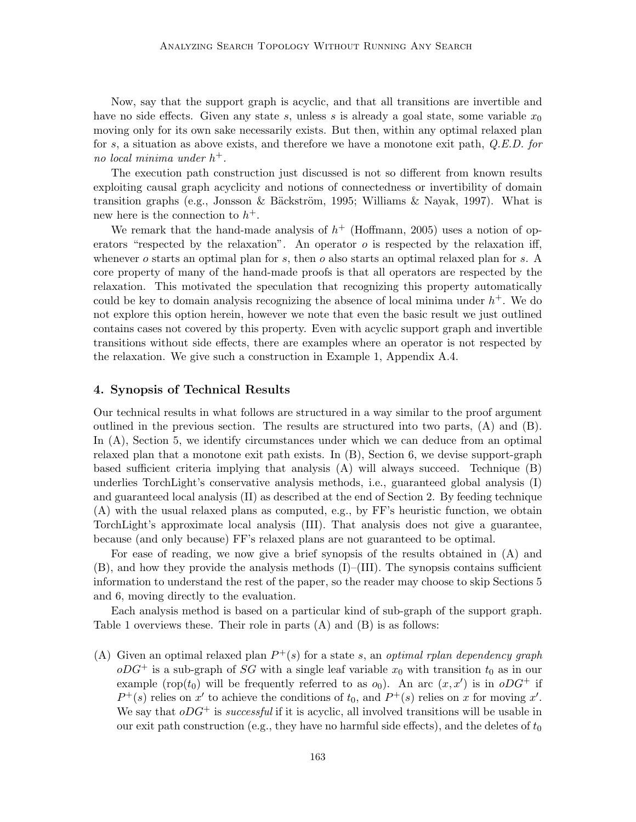Now, say that the support graph is acyclic, and that all transitions are invertible and have no side effects. Given any state s, unless s is already a goal state, some variable  $x_0$ moving only for its own sake necessarily exists. But then, within any optimal relaxed plan for s, a situation as above exists, and therefore we have a monotone exit path, Q.E.D. for no local minima under  $h^+$ .

The execution path construction just discussed is not so different from known results exploiting causal graph acyclicity and notions of connectedness or invertibility of domain transition graphs (e.g., Jonsson & Bäckström, 1995; Williams & Nayak, 1997). What is new here is the connection to  $h^+$ .

We remark that the hand-made analysis of  $h^+$  (Hoffmann, 2005) uses a notion of operators "respected by the relaxation". An operator  $o$  is respected by the relaxation iff, whenever o starts an optimal plan for s, then o also starts an optimal relaxed plan for s. A core property of many of the hand-made proofs is that all operators are respected by the relaxation. This motivated the speculation that recognizing this property automatically could be key to domain analysis recognizing the absence of local minima under  $h^+$ . We do not explore this option herein, however we note that even the basic result we just outlined contains cases not covered by this property. Even with acyclic support graph and invertible transitions without side effects, there are examples where an operator is not respected by the relaxation. We give such a construction in Example 1, Appendix A.4.

# 4. Synopsis of Technical Results

Our technical results in what follows are structured in a way similar to the proof argument outlined in the previous section. The results are structured into two parts, (A) and (B). In (A), Section 5, we identify circumstances under which we can deduce from an optimal relaxed plan that a monotone exit path exists. In (B), Section 6, we devise support-graph based sufficient criteria implying that analysis (A) will always succeed. Technique (B) underlies TorchLight's conservative analysis methods, i.e., guaranteed global analysis (I) and guaranteed local analysis (II) as described at the end of Section 2. By feeding technique (A) with the usual relaxed plans as computed, e.g., by FF's heuristic function, we obtain TorchLight's approximate local analysis (III). That analysis does not give a guarantee, because (and only because) FF's relaxed plans are not guaranteed to be optimal.

For ease of reading, we now give a brief synopsis of the results obtained in (A) and  $(B)$ , and how they provide the analysis methods  $(I)$ – $(III)$ . The synopsis contains sufficient information to understand the rest of the paper, so the reader may choose to skip Sections 5 and 6, moving directly to the evaluation.

Each analysis method is based on a particular kind of sub-graph of the support graph. Table 1 overviews these. Their role in parts (A) and (B) is as follows:

(A) Given an optimal relaxed plan  $P^+(s)$  for a state s, an optimal rplan dependency graph  $oDG^+$  is a sub-graph of SG with a single leaf variable  $x_0$  with transition  $t_0$  as in our example (rop( $t_0$ ) will be frequently referred to as  $o_0$ ). An arc  $(x, x')$  is in  $oDG^+$  if  $P^+(s)$  relies on x' to achieve the conditions of  $t_0$ , and  $P^+(s)$  relies on x for moving x'. We say that  $oDG^+$  is *successful* if it is acyclic, all involved transitions will be usable in our exit path construction (e.g., they have no harmful side effects), and the deletes of  $t_0$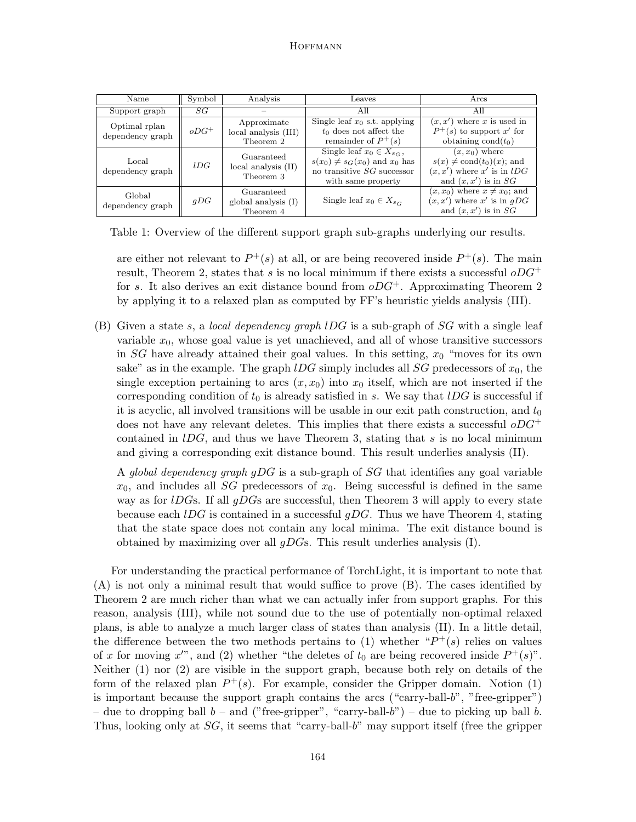| Name                              | Symbol  | Analysis                                                                                                                                  | Leaves                                                                                                                        | Arcs                                                                                                                  |  |  |
|-----------------------------------|---------|-------------------------------------------------------------------------------------------------------------------------------------------|-------------------------------------------------------------------------------------------------------------------------------|-----------------------------------------------------------------------------------------------------------------------|--|--|
| Support graph                     | SG      |                                                                                                                                           | All                                                                                                                           | All                                                                                                                   |  |  |
| Optimal rplan<br>dependency graph | $oDG^+$ | Single leaf $x_0$ s.t. applying<br>Approximate<br>$t_0$ does not affect the<br>local analysis (III)<br>remainder of $P^+(s)$<br>Theorem 2 |                                                                                                                               | $(x, x')$ where x is used in<br>$P^+(s)$ to support x' for<br>obtaining $\text{cond}(t_0)$                            |  |  |
| Local<br>dependency graph         | lDG     | Guaranteed<br>$local$ analysis $(II)$<br>Theorem 3                                                                                        | Single leaf $x_0 \in X_{s,c}$ ,<br>$s(x_0) \neq s_G(x_0)$ and $x_0$ has<br>no transitive $SG$ successor<br>with same property | $(x, x_0)$ where<br>$s(x) \neq \text{cond}(t_0)(x)$ ; and<br>$(x, x')$ where x' is in lDG<br>and $(x, x')$ is in $SG$ |  |  |
| Global<br>dependency graph        | qDG     | Guaranteed<br>global analysis $(I)$<br>Theorem 4                                                                                          | Single leaf $x_0 \in X_{sc}$                                                                                                  | $(x, x_0)$ where $x \neq x_0$ ; and<br>$(x, x')$ where x' is in gDG<br>and $(x, x')$ is in SG                         |  |  |

Table 1: Overview of the different support graph sub-graphs underlying our results.

are either not relevant to  $P^+(s)$  at all, or are being recovered inside  $P^+(s)$ . The main result, Theorem 2, states that s is no local minimum if there exists a successful  $oDG^+$ for s. It also derives an exit distance bound from  $oDG^+$ . Approximating Theorem 2 by applying it to a relaxed plan as computed by FF's heuristic yields analysis (III).

(B) Given a state s, a local dependency graph  $IDG$  is a sub-graph of SG with a single leaf variable  $x_0$ , whose goal value is yet unachieved, and all of whose transitive successors in  $SG$  have already attained their goal values. In this setting,  $x_0$  "moves for its own sake" as in the example. The graph  $IDG$  simply includes all SG predecessors of  $x_0$ , the single exception pertaining to arcs  $(x, x_0)$  into  $x_0$  itself, which are not inserted if the corresponding condition of  $t_0$  is already satisfied in s. We say that  $lDG$  is successful if it is acyclic, all involved transitions will be usable in our exit path construction, and  $t_0$ does not have any relevant deletes. This implies that there exists a successful  $oDG^+$ contained in  $l\overline{D}G$ , and thus we have Theorem 3, stating that s is no local minimum and giving a corresponding exit distance bound. This result underlies analysis (II).

A global dependency graph gDG is a sub-graph of SG that identifies any goal variable  $x_0$ , and includes all *SG* predecessors of  $x_0$ . Being successful is defined in the same way as for  $IDGs$ . If all  $qDGs$  are successful, then Theorem 3 will apply to every state because each  $IDG$  is contained in a successful  $qDG$ . Thus we have Theorem 4, stating that the state space does not contain any local minima. The exit distance bound is obtained by maximizing over all  $gDGs$ . This result underlies analysis (I).

For understanding the practical performance of TorchLight, it is important to note that (A) is not only a minimal result that would suffice to prove (B). The cases identified by Theorem 2 are much richer than what we can actually infer from support graphs. For this reason, analysis (III), while not sound due to the use of potentially non-optimal relaxed plans, is able to analyze a much larger class of states than analysis (II). In a little detail, the difference between the two methods pertains to (1) whether  $P^+(s)$  relies on values of x for moving x'", and (2) whether "the deletes of  $t_0$  are being recovered inside  $P^+(s)$ ". Neither (1) nor (2) are visible in the support graph, because both rely on details of the form of the relaxed plan  $P^+(s)$ . For example, consider the Gripper domain. Notion (1) is important because the support graph contains the arcs ("carry-ball-b", "free-gripper") – due to dropping ball  $b$  – and ("free-gripper", "carry-ball- $b$ ") – due to picking up ball  $b$ . Thus, looking only at  $SG$ , it seems that "carry-ball-b" may support itself (free the gripper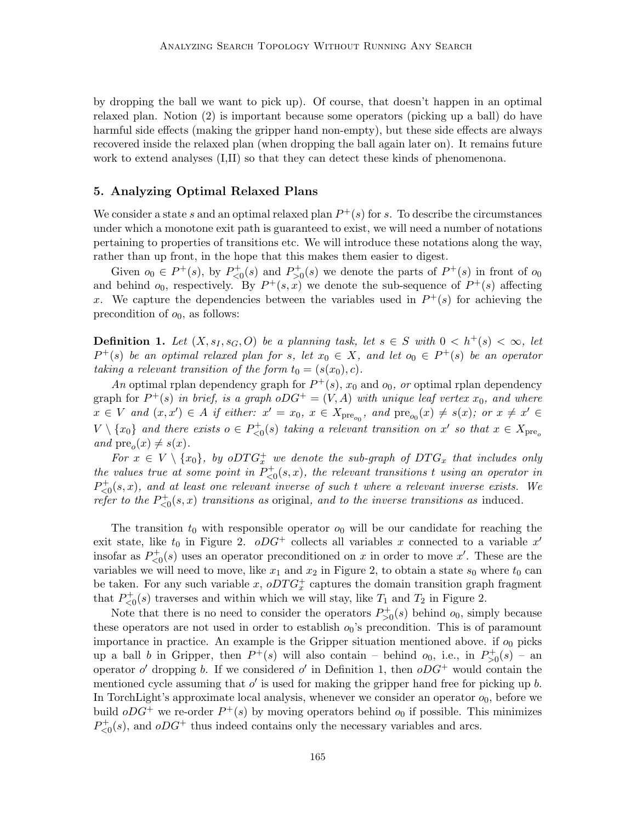by dropping the ball we want to pick up). Of course, that doesn't happen in an optimal relaxed plan. Notion (2) is important because some operators (picking up a ball) do have harmful side effects (making the gripper hand non-empty), but these side effects are always recovered inside the relaxed plan (when dropping the ball again later on). It remains future work to extend analyses (I,II) so that they can detect these kinds of phenomenona.

# 5. Analyzing Optimal Relaxed Plans

We consider a state s and an optimal relaxed plan  $P^+(s)$  for s. To describe the circumstances under which a monotone exit path is guaranteed to exist, we will need a number of notations pertaining to properties of transitions etc. We will introduce these notations along the way, rather than up front, in the hope that this makes them easier to digest.

Given  $o_0 \in P^+(s)$ , by  $P^+_{\leq 0}(s)$  and  $P^+_{>0}(s)$  we denote the parts of  $P^+(s)$  in front of  $o_0$ and behind  $o_0$ , respectively. By  $P^+(s,x)$  we denote the sub-sequence of  $P^+(s)$  affecting x. We capture the dependencies between the variables used in  $P^+(s)$  for achieving the precondition of  $o_0$ , as follows:

**Definition 1.** Let  $(X, s_I, s_G, O)$  be a planning task, let  $s \in S$  with  $0 < h^+(s) < \infty$ , let  $P^+(s)$  be an optimal relaxed plan for s, let  $x_0 \in X$ , and let  $o_0 \in P^+(s)$  be an operator taking a relevant transition of the form  $t_0 = (s(x_0), c)$ .

An optimal rplan dependency graph for  $P^+(s)$ ,  $x_0$  and  $o_0$ , or optimal rplan dependency graph for  $P^+(s)$  in brief, is a graph  $oDG^+ = (V, A)$  with unique leaf vertex  $x_0$ , and where  $x \in V$  and  $(x, x') \in A$  if either:  $x' = x_0, x \in X_{pre_{o_0}}$ , and  $pre_{o_0}(x) \neq s(x)$ ; or  $x \neq x' \in A$  $V \setminus \{x_0\}$  and there exists  $o \in P_{\leq 0}^+(s)$  taking a relevant transition on  $x'$  so that  $x \in X_{\text{pre}_o}$ and  $pre_o(x) \neq s(x)$ .

For  $x \in V \setminus \{x_0\}$ , by o $DTG_x^+$  we denote the sub-graph of  $DTG_x$  that includes only the values true at some point in  $P_{\leq 0}^+(s,x)$ , the relevant transitions t using an operator in  $P_{\leq 0}^+(s,x)$ , and at least one relevant inverse of such t where a relevant inverse exists. We refer to the  $P_{\leq 0}^+(s,x)$  transitions as original, and to the inverse transitions as induced.

The transition  $t_0$  with responsible operator  $o_0$  will be our candidate for reaching the exit state, like  $t_0$  in Figure 2.  $oDG^+$  collects all variables x connected to a variable x' insofar as  $P_{\leq 0}^+(s)$  uses an operator preconditioned on x in order to move x'. These are the variables we will need to move, like  $x_1$  and  $x_2$  in Figure 2, to obtain a state  $s_0$  where  $t_0$  can be taken. For any such variable x,  $oDTG_x^+$  captures the domain transition graph fragment that  $P_{\leq 0}^{+}(s)$  traverses and within which we will stay, like  $T_1$  and  $T_2$  in Figure 2.

Note that there is no need to consider the operators  $P_{>0}^+(s)$  behind  $o_0$ , simply because these operators are not used in order to establish  $o_0$ 's precondition. This is of paramount importance in practice. An example is the Gripper situation mentioned above. if  $o_0$  picks up a ball b in Gripper, then  $P^+(s)$  will also contain – behind  $o_0$ , i.e., in  $P^+_{>0}(s)$  – an operator  $o'$  dropping b. If we considered  $o'$  in Definition 1, then  $oDG^+$  would contain the mentioned cycle assuming that  $o'$  is used for making the gripper hand free for picking up  $b$ . In TorchLight's approximate local analysis, whenever we consider an operator  $o_0$ , before we build  $oDG^+$  we re-order  $P^+(s)$  by moving operators behind  $o_0$  if possible. This minimizes  $P_{\leq 0}^{+}(s)$ , and  $oDG^{+}$  thus indeed contains only the necessary variables and arcs.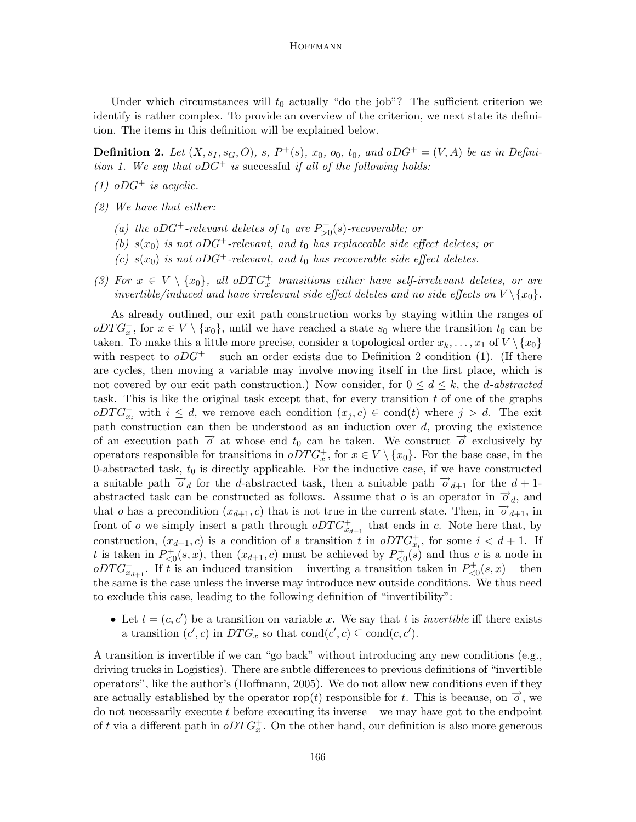Under which circumstances will  $t_0$  actually "do the job"? The sufficient criterion we identify is rather complex. To provide an overview of the criterion, we next state its definition. The items in this definition will be explained below.

**Definition 2.** Let  $(X, s_1, s_G, O)$ , s,  $P^+(s)$ ,  $x_0$ ,  $o_0$ ,  $t_0$ , and  $oDG^+ = (V, A)$  be as in Definition 1. We say that  $oDG^+$  is successful if all of the following holds:

- (1)  $oDG^+$  is acyclic.
- (2) We have that either:
	- (a) the oDG<sup>+</sup>-relevant deletes of  $t_0$  are  $P_{>0}^+(s)$ -recoverable; or
	- (b)  $s(x_0)$  is not oDG<sup>+</sup>-relevant, and  $t_0$  has replaceable side effect deletes; or
	- (c)  $s(x_0)$  is not oDG<sup>+</sup>-relevant, and  $t_0$  has recoverable side effect deletes.
- (3) For  $x \in V \setminus \{x_0\}$ , all oDT $G_x^+$  transitions either have self-irrelevant deletes, or are invertible/induced and have irrelevant side effect deletes and no side effects on  $V \setminus \{x_0\}$ .

As already outlined, our exit path construction works by staying within the ranges of  $oDTG<sub>x</sub><sup>+</sup>$ , for  $x \in V \setminus \{x_0\}$ , until we have reached a state  $s_0$  where the transition  $t_0$  can be taken. To make this a little more precise, consider a topological order  $x_k, \ldots, x_1$  of  $V \setminus \{x_0\}$ with respect to  $oDG^+$  – such an order exists due to Definition 2 condition (1). (If there are cycles, then moving a variable may involve moving itself in the first place, which is not covered by our exit path construction.) Now consider, for  $0 \leq d \leq k$ , the *d*-abstracted task. This is like the original task except that, for every transition  $t$  of one of the graphs  $oDTG_{x_i}^+$  with  $i \leq d$ , we remove each condition  $(x_j, c) \in cond(t)$  where  $j > d$ . The exit path construction can then be understood as an induction over d, proving the existence of an execution path  $\vec{\sigma}$  at whose end  $t_0$  can be taken. We construct  $\vec{\sigma}$  exclusively by operators responsible for transitions in  $oDTG_x^+$ , for  $x \in V \setminus \{x_0\}$ . For the base case, in the 0-abstracted task,  $t_0$  is directly applicable. For the inductive case, if we have constructed a suitable path  $\overrightarrow{o}_d$  for the d-abstracted task, then a suitable path  $\overrightarrow{o}_{d+1}$  for the  $d+1$ abstracted task can be constructed as follows. Assume that  $o$  is an operator in  $\overrightarrow{o}_d$ , and that o has a precondition  $(x_{d+1}, c)$  that is not true in the current state. Then, in  $\overline{o}_{d+1}$ , in front of *o* we simply insert a path through  $oDTG_{x_{d+1}}^+$  that ends in *c*. Note here that, by construction,  $(x_{d+1}, c)$  is a condition of a transition t in  $oDTG_{x_i}^+$ , for some  $i < d+1$ . If t is taken in  $P_{\leq 0}^+(s, x)$ , then  $(x_{d+1}, c)$  must be achieved by  $P_{\leq 0}^+(s)$  and thus c is a node in  $oDTG^+_{x_{d+1}}$ . If t is an induced transition – inverting a transition taken in  $P^+_{\leq 0}(s,x)$  – then the same is the case unless the inverse may introduce new outside conditions. We thus need to exclude this case, leading to the following definition of "invertibility":

• Let  $t = (c, c')$  be a transition on variable x. We say that t is *invertible* iff there exists a transition  $(c', c)$  in  $DTG_x$  so that  $cond(c', c) \subseteq cond(c, c')$ .

A transition is invertible if we can "go back" without introducing any new conditions (e.g., driving trucks in Logistics). There are subtle differences to previous definitions of "invertible operators", like the author's (Hoffmann, 2005). We do not allow new conditions even if they are actually established by the operator rop(t) responsible for t. This is because, on  $\vec{o}$ , we do not necessarily execute  $t$  before executing its inverse – we may have got to the endpoint of t via a different path in  $oDTG_x^+$ . On the other hand, our definition is also more generous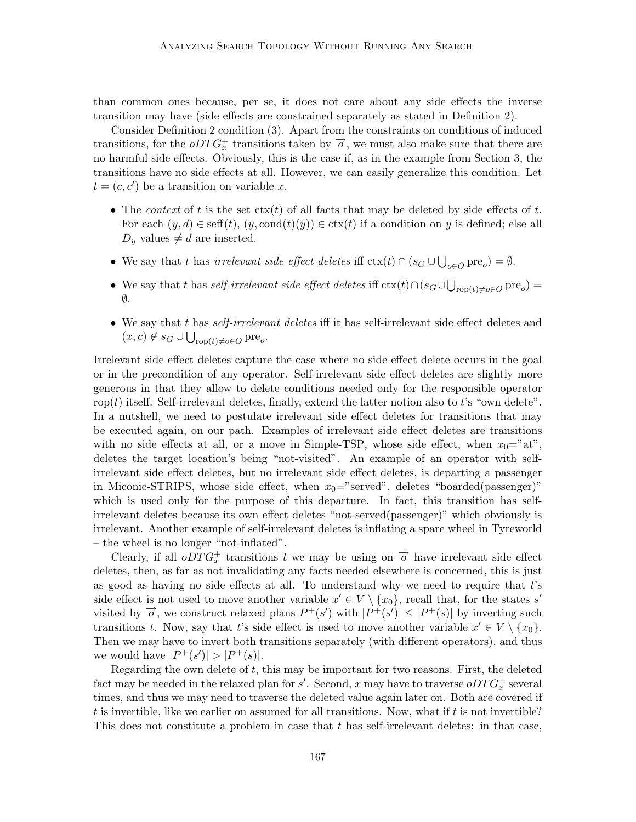than common ones because, per se, it does not care about any side effects the inverse transition may have (side effects are constrained separately as stated in Definition 2).

Consider Definition 2 condition (3). Apart from the constraints on conditions of induced transitions, for the  $\partial DTG_x^+$  transitions taken by  $\overrightarrow{o}$ , we must also make sure that there are no harmful side effects. Obviously, this is the case if, as in the example from Section 3, the transitions have no side effects at all. However, we can easily generalize this condition. Let  $t = (c, c')$  be a transition on variable x.

- The context of t is the set  $\text{ctx}(t)$  of all facts that may be deleted by side effects of t. For each  $(y, d) \in \text{seff}(t)$ ,  $(y, \text{cond}(t)(y)) \in \text{ctx}(t)$  if a condition on y is defined; else all  $D_y$  values  $\neq d$  are inserted.
- We say that t has *irrelevant side effect deletes* iff  $\text{ctx}(t) \cap (s_G \cup \bigcup_{o \in O} \text{pre}_o) = \emptyset$ .
- We say that t has self-irrelevant side effect deletes iff  $\text{ctx}(t) \cap (s_G \cup \bigcup_{\text{rop}(t) \neq o \in O} \text{pre}_o)$  $\emptyset$ .
- $\bullet$  We say that t has *self-irrelevant deletes* iff it has self-irrelevant side effect deletes and  $(x, c) \notin s_G \cup \bigcup_{\text{rop}(t) \neq o \in O} \text{pre}_o.$

Irrelevant side effect deletes capture the case where no side effect delete occurs in the goal or in the precondition of any operator. Self-irrelevant side effect deletes are slightly more generous in that they allow to delete conditions needed only for the responsible operator rop(t) itself. Self-irrelevant deletes, finally, extend the latter notion also to t's "own delete". In a nutshell, we need to postulate irrelevant side effect deletes for transitions that may be executed again, on our path. Examples of irrelevant side effect deletes are transitions with no side effects at all, or a move in Simple-TSP, whose side effect, when  $x_0 = 'at'$ , deletes the target location's being "not-visited". An example of an operator with selfirrelevant side effect deletes, but no irrelevant side effect deletes, is departing a passenger in Miconic-STRIPS, whose side effect, when  $x_0$ ="served", deletes "boarded(passenger)" which is used only for the purpose of this departure. In fact, this transition has selfirrelevant deletes because its own effect deletes "not-served(passenger)" which obviously is irrelevant. Another example of self-irrelevant deletes is inflating a spare wheel in Tyreworld – the wheel is no longer "not-inflated".

Clearly, if all  $\partial \overline{T} G_x^+$  transitions t we may be using on  $\overrightarrow{\phi}$  have irrelevant side effect deletes, then, as far as not invalidating any facts needed elsewhere is concerned, this is just as good as having no side effects at all. To understand why we need to require that t's side effect is not used to move another variable  $x' \in V \setminus \{x_0\}$ , recall that, for the states s' visited by  $\vec{o}$ , we construct relaxed plans  $P^+(s')$  with  $|P^+(s')| \leq |P^+(s)|$  by inverting such transitions t. Now, say that t's side effect is used to move another variable  $x' \in V \setminus \{x_0\}.$ Then we may have to invert both transitions separately (with different operators), and thus we would have  $|P^+(s')| > |P^+(s)|$ .

Regarding the own delete of  $t$ , this may be important for two reasons. First, the deleted fact may be needed in the relaxed plan for  $s'$ . Second, x may have to traverse  $oDTG_x^+$  several times, and thus we may need to traverse the deleted value again later on. Both are covered if t is invertible, like we earlier on assumed for all transitions. Now, what if  $t$  is not invertible? This does not constitute a problem in case that t has self-irrelevant deletes: in that case,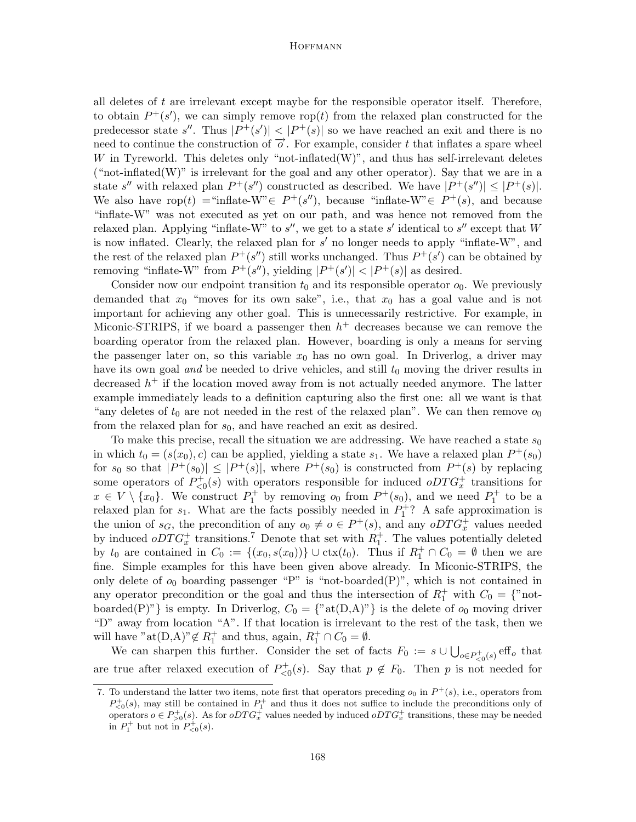all deletes of  $t$  are irrelevant except maybe for the responsible operator itself. Therefore, to obtain  $P^+(s')$ , we can simply remove rop(*t*) from the relaxed plan constructed for the predecessor state s''. Thus  $|P^+(s')| < |P^+(s)|$  so we have reached an exit and there is no need to continue the construction of  $\overrightarrow{o}$ . For example, consider t that inflates a spare wheel W in Tyreworld. This deletes only "not-inflated $(W)$ ", and thus has self-irrelevant deletes ("not-inflated(W)" is irrelevant for the goal and any other operator). Say that we are in a state s'' with relaxed plan  $P^+(s'')$  constructed as described. We have  $|P^+(s'')| \leq |P^+(s)|$ . We also have rop(t) = "inflate-W"  $\in P^+(s'')$ , because "inflate-W"  $\in P^+(s)$ , and because "inflate-W" was not executed as yet on our path, and was hence not removed from the relaxed plan. Applying "inflate-W" to  $s''$ , we get to a state s' identical to  $s''$  except that W is now inflated. Clearly, the relaxed plan for  $s'$  no longer needs to apply "inflate-W", and the rest of the relaxed plan  $P^+(s'')$  still works unchanged. Thus  $P^+(s')$  can be obtained by removing "inflate-W" from  $P^+(s'')$ , yielding  $|P^+(s')| < |P^+(s)|$  as desired.

Consider now our endpoint transition  $t_0$  and its responsible operator  $o_0$ . We previously demanded that  $x_0$  "moves for its own sake", i.e., that  $x_0$  has a goal value and is not important for achieving any other goal. This is unnecessarily restrictive. For example, in Miconic-STRIPS, if we board a passenger then  $h<sup>+</sup>$  decreases because we can remove the boarding operator from the relaxed plan. However, boarding is only a means for serving the passenger later on, so this variable  $x_0$  has no own goal. In Driverlog, a driver may have its own goal and be needed to drive vehicles, and still  $t_0$  moving the driver results in decreased  $h^+$  if the location moved away from is not actually needed anymore. The latter example immediately leads to a definition capturing also the first one: all we want is that "any deletes of  $t_0$  are not needed in the rest of the relaxed plan". We can then remove  $o_0$ from the relaxed plan for  $s_0$ , and have reached an exit as desired.

To make this precise, recall the situation we are addressing. We have reached a state  $s_0$ in which  $t_0 = (s(x_0), c)$  can be applied, yielding a state  $s_1$ . We have a relaxed plan  $P^+(s_0)$ for  $s_0$  so that  $|P^+(s_0)| \leq |P^+(s)|$ , where  $P^+(s_0)$  is constructed from  $P^+(s)$  by replacing some operators of  $P_{\leq 0}^+(s)$  with operators responsible for induced  $oDTG_x^+$  transitions for  $x \in V \setminus \{x_0\}$ . We construct  $P_1^+$  by removing  $o_0$  from  $P^+(s_0)$ , and we need  $P_1^+$  to be a relaxed plan for  $s_1$ . What are the facts possibly needed in  $P_1^+$ ? A safe approximation is the union of  $s_G$ , the precondition of any  $o_0 \neq o \in P^+(s)$ , and any  $oDTG_x^+$  values needed by induced  $oDTG_x^+$  transitions.<sup>7</sup> Denote that set with  $R_1^+$ . The values potentially deleted by  $t_0$  are contained in  $C_0 := \{(x_0, s(x_0))\} \cup \text{ctx}(t_0)$ . Thus if  $R_1^+ \cap C_0 = \emptyset$  then we are fine. Simple examples for this have been given above already. In Miconic-STRIPS, the only delete of  $o_0$  boarding passenger "P" is "not-boarded(P)", which is not contained in any operator precondition or the goal and thus the intersection of  $R_1^+$  with  $C_0 = \{$ "notboarded(P)"} is empty. In Driverlog,  $C_0 = \{$ "at $(D,A)$ "} is the delete of  $o_0$  moving driver "D" away from location "A". If that location is irrelevant to the rest of the task, then we will have " $\text{at}(D,A)$ " $\not\in R_1^+$  and thus, again,  $R_1^+ \cap C_0 = \emptyset$ .

We can sharpen this further. Consider the set of facts  $F_0 := s \cup \bigcup_{o \in P_{\leq 0}^+(s)} \text{eff}_o$  that are true after relaxed execution of  $P_{\leq 0}^+(s)$ . Say that  $p \notin F_0$ . Then p is not needed for

<sup>7.</sup> To understand the latter two items, note first that operators preceding  $o_0$  in  $P^+(s)$ , i.e., operators from  $P_{\leq 0}^+(s)$ , may still be contained in  $P_1^+$  and thus it does not suffice to include the preconditions only of operators  $o \in P_{>0}^+(s)$ . As for  $oDTG_x^+$  values needed by induced  $oDTG_x^+$  transitions, these may be needed in  $P_1^+$  but not in  $P_{\leq 0}^+(s)$ .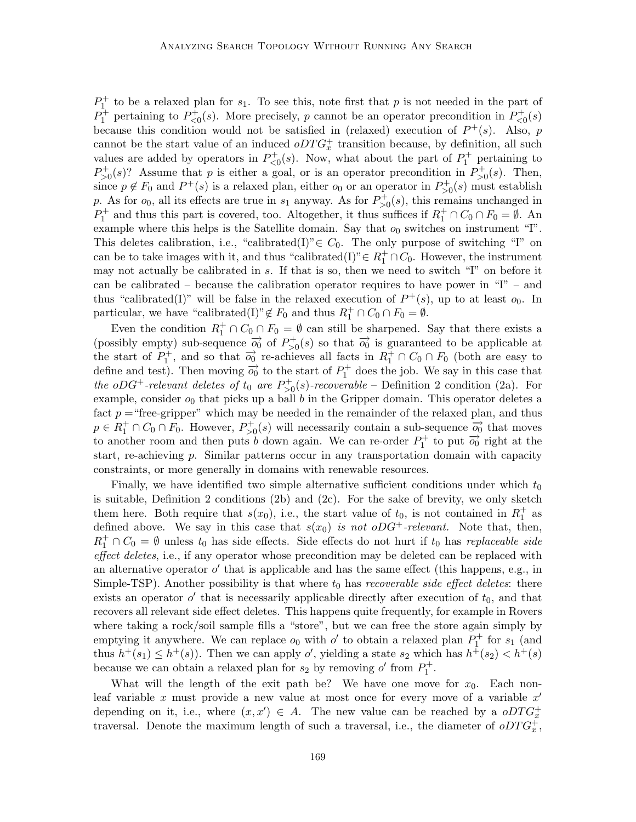$P_1^+$  to be a relaxed plan for  $s_1$ . To see this, note first that p is not needed in the part of  $P_1^+$  pertaining to  $P_{\leq 0}^+(s)$ . More precisely, p cannot be an operator precondition in  $P_{\leq 0}^+(s)$ because this condition would not be satisfied in (relaxed) execution of  $P^+(s)$ . Also, p cannot be the start value of an induced  $oDTG_x^+$  transition because, by definition, all such values are added by operators in  $P_{\leq 0}^+(s)$ . Now, what about the part of  $P_1^+$  pertaining to  $P_{>0}^+(s)$ ? Assume that p is either a goal, or is an operator precondition in  $P_{>0}^+(s)$ . Then, since  $p \notin F_0$  and  $P^+(s)$  is a relaxed plan, either  $o_0$  or an operator in  $P_{>0}^+(s)$  must establish p. As for  $o_0$ , all its effects are true in  $s_1$  anyway. As for  $P_{>0}^+(s)$ , this remains unchanged in  $P_1^+$  and thus this part is covered, too. Altogether, it thus suffices if  $R_1^+ \cap C_0 \cap F_0 = \emptyset$ . An example where this helps is the Satellite domain. Say that  $o_0$  switches on instrument "I". This deletes calibration, i.e., "calibrated(I)" ∈  $C_0$ . The only purpose of switching "I" on can be to take images with it, and thus "calibrated(I)" ∈  $R_1^+ \cap C_0$ . However, the instrument may not actually be calibrated in s. If that is so, then we need to switch "I" on before it can be calibrated – because the calibration operator requires to have power in " $I$ " – and thus "calibrated(I)" will be false in the relaxed execution of  $P^+(s)$ , up to at least  $o_0$ . In particular, we have "calibrated(I)"  $\not\in F_0$  and thus  $R_1^+ \cap C_0 \cap F_0 = \emptyset$ .

Even the condition  $R_1^+ \cap C_0 \cap F_0 = \emptyset$  can still be sharpened. Say that there exists a (possibly empty) sub-sequence  $\overrightarrow{o_0}$  of  $P_{>0}^+(s)$  so that  $\overrightarrow{o_0}$  is guaranteed to be applicable at the start of  $P_1^+$ , and so that  $\overrightarrow{o_0}$  re-achieves all facts in  $R_1^+ \cap C_0 \cap F_0$  (both are easy to define and test). Then moving  $\overrightarrow{o_0}$  to the start of  $P_1^+$  does the job. We say in this case that the oDG<sup>+</sup>-relevant deletes of  $t_0$  are  $P_{>0}^+(s)$ -recoverable – Definition 2 condition (2a). For example, consider  $o_0$  that picks up a ball b in the Gripper domain. This operator deletes a fact  $p =$ "free-gripper" which may be needed in the remainder of the relaxed plan, and thus  $p \in R_1^+ \cap C_0 \cap F_0$ . However,  $P_{>0}^+(s)$  will necessarily contain a sub-sequence  $\overrightarrow{o_0}$  that moves to another room and then puts b down again. We can re-order  $P_1^+$  to put  $\overrightarrow{O_0}$  right at the start, re-achieving  $p$ . Similar patterns occur in any transportation domain with capacity constraints, or more generally in domains with renewable resources.

Finally, we have identified two simple alternative sufficient conditions under which  $t_0$ is suitable, Definition 2 conditions (2b) and (2c). For the sake of brevity, we only sketch them here. Both require that  $s(x_0)$ , i.e., the start value of  $t_0$ , is not contained in  $R_1^+$  as defined above. We say in this case that  $s(x_0)$  is not oDG<sup>+</sup>-relevant. Note that, then,  $R_1^+ \cap C_0 = \emptyset$  unless  $t_0$  has side effects. Side effects do not hurt if  $t_0$  has replaceable side effect deletes, i.e., if any operator whose precondition may be deleted can be replaced with an alternative operator  $o'$  that is applicable and has the same effect (this happens, e.g., in Simple-TSP). Another possibility is that where  $t_0$  has *recoverable side effect deletes*: there exists an operator  $o'$  that is necessarily applicable directly after execution of  $t_0$ , and that recovers all relevant side effect deletes. This happens quite frequently, for example in Rovers where taking a rock/soil sample fills a "store", but we can free the store again simply by emptying it anywhere. We can replace  $o_0$  with  $o'$  to obtain a relaxed plan  $P_1^+$  for  $s_1$  (and thus  $h^+(s_1) \leq h^+(s)$ ). Then we can apply o', yielding a state  $s_2$  which has  $h^+(s_2) < h^+(s)$ because we can obtain a relaxed plan for  $s_2$  by removing  $o'$  from  $P_1^+$ .

What will the length of the exit path be? We have one move for  $x_0$ . Each nonleaf variable x must provide a new value at most once for every move of a variable  $x'$ depending on it, i.e., where  $(x, x') \in A$ . The new value can be reached by a  $oDTG_x^+$ traversal. Denote the maximum length of such a traversal, i.e., the diameter of  $oDTG_x^+$ ,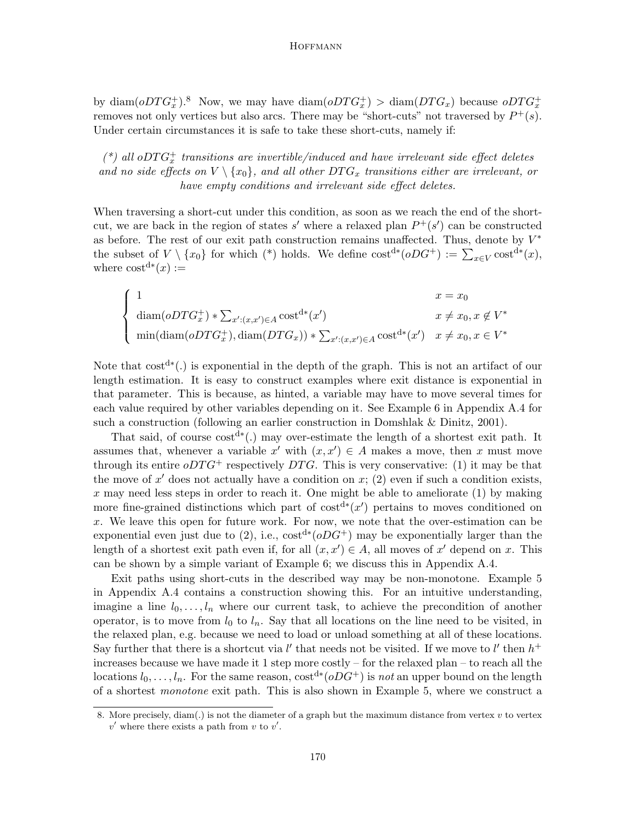by diam( $oDTG_x^+$ ).<sup>8</sup> Now, we may have diam( $oDTG_x^+$ ) > diam( $DTG_x$ ) because  $oDTG_x^+$ removes not only vertices but also arcs. There may be "short-cuts" not traversed by  $P^+(s)$ . Under certain circumstances it is safe to take these short-cuts, namely if:

 $(*)$  all o $DTG<sub>x</sub><sup>+</sup>$  transitions are invertible/induced and have irrelevant side effect deletes and no side effects on  $V \setminus \{x_0\}$ , and all other  $DTG_x$  transitions either are irrelevant, or have empty conditions and irrelevant side effect deletes.

When traversing a short-cut under this condition, as soon as we reach the end of the shortcut, we are back in the region of states s' where a relaxed plan  $P^+(s')$  can be constructed as before. The rest of our exit path construction remains unaffected. Thus, denote by  $V^*$ the subset of  $V \setminus \{x_0\}$  for which (\*) holds. We define  $\text{cost}^{\text{d}*}(oDG^+) := \sum_{x \in V} \text{cost}^{\text{d}*}(x)$ , where  $\text{cost}^{\text{d}*}(x) :=$ 

$$
\begin{cases}\n1 & x = x_0 \\
\text{diam}(oDTG_x^+) * \sum_{x':(x,x') \in A} \text{cost}^{d*}(x') & x \neq x_0, x \notin V^* \\
\min(\text{diam}(oDTG_x^+), \text{diam}(DTG_x)) * \sum_{x':(x,x') \in A} \text{cost}^{d*}(x') & x \neq x_0, x \in V^*\n\end{cases}
$$

Note that  $cost^{d*}(.)$  is exponential in the depth of the graph. This is not an artifact of our length estimation. It is easy to construct examples where exit distance is exponential in that parameter. This is because, as hinted, a variable may have to move several times for each value required by other variables depending on it. See Example 6 in Appendix A.4 for such a construction (following an earlier construction in Domshlak & Dinitz, 2001).

That said, of course cost<sup>d∗</sup>(.) may over-estimate the length of a shortest exit path. It assumes that, whenever a variable  $x'$  with  $(x, x') \in A$  makes a move, then x must move through its entire  $\partial DTG^+$  respectively DTG. This is very conservative: (1) it may be that the move of  $x'$  does not actually have a condition on  $x$ ; (2) even if such a condition exists, x may need less steps in order to reach it. One might be able to ameliorate  $(1)$  by making more fine-grained distinctions which part of  $cost^{d*}(x')$  pertains to moves conditioned on  $x$ . We leave this open for future work. For now, we note that the over-estimation can be exponential even just due to  $(2)$ , i.e.,  $\text{cost}^{d*}(oDG^+)$  may be exponentially larger than the length of a shortest exit path even if, for all  $(x, x') \in A$ , all moves of x' depend on x. This can be shown by a simple variant of Example 6; we discuss this in Appendix A.4.

Exit paths using short-cuts in the described way may be non-monotone. Example 5 in Appendix A.4 contains a construction showing this. For an intuitive understanding, imagine a line  $l_0, \ldots, l_n$  where our current task, to achieve the precondition of another operator, is to move from  $l_0$  to  $l_n$ . Say that all locations on the line need to be visited, in the relaxed plan, e.g. because we need to load or unload something at all of these locations. Say further that there is a shortcut via  $l'$  that needs not be visited. If we move to  $l'$  then  $h^+$ increases because we have made it 1 step more costly – for the relaxed plan – to reach all the locations  $l_0, \ldots, l_n$ . For the same reason, cost<sup>d∗</sup>( $oDG^+$ ) is not an upper bound on the length of a shortest monotone exit path. This is also shown in Example 5, where we construct a

<sup>8.</sup> More precisely, diam(.) is not the diameter of a graph but the maximum distance from vertex v to vertex  $v'$  where there exists a path from  $v$  to  $v'$ .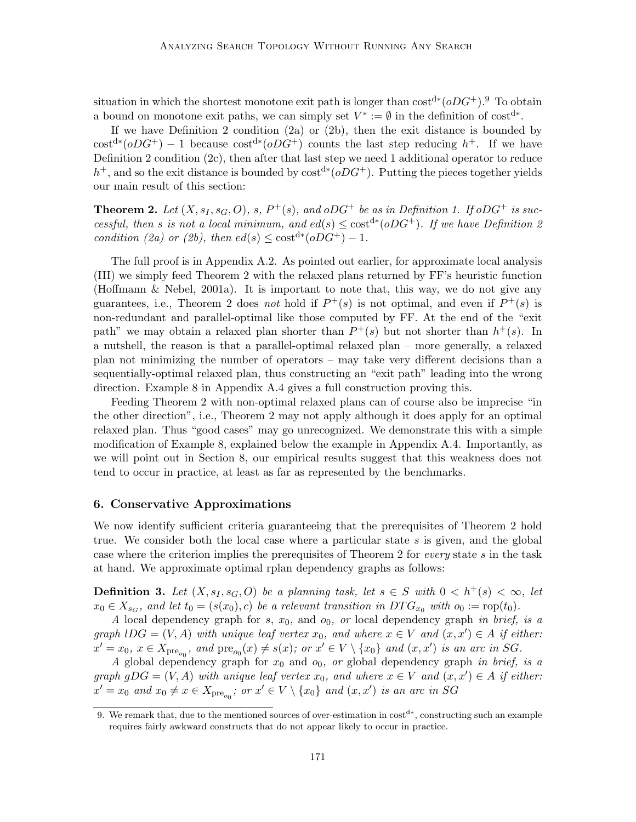situation in which the shortest monotone exit path is longer than  $\cos t^{d*} (oDG^+)^9$ . To obtain a bound on monotone exit paths, we can simply set  $V^* := \emptyset$  in the definition of cost<sup>d\*</sup>.

If we have Definition 2 condition (2a) or (2b), then the exit distance is bounded by  $\cot^{d*}(\rho DG^+) - 1$  because  $\cot^{d*}(\rho DG^+)$  counts the last step reducing  $h^+$ . If we have Definition 2 condition (2c), then after that last step we need 1 additional operator to reduce h<sup>+</sup>, and so the exit distance is bounded by  $cost^{d*}(oDG^+)$ . Putting the pieces together yields our main result of this section:

**Theorem 2.** Let  $(X, s_I, s_G, O)$ , s,  $P^+(s)$ , and  $oDG^+$  be as in Definition 1. If  $oDG^+$  is successful, then s is not a local minimum, and  $ed(s) \leq \text{cost}^{d*}(oDG^+)$ . If we have Definition 2 condition (2a) or (2b), then  $ed(s) \leq \text{cost}^{d*}(oDG^+) - 1$ .

The full proof is in Appendix A.2. As pointed out earlier, for approximate local analysis (III) we simply feed Theorem 2 with the relaxed plans returned by FF's heuristic function (Hoffmann & Nebel, 2001a). It is important to note that, this way, we do not give any guarantees, i.e., Theorem 2 does not hold if  $P^+(s)$  is not optimal, and even if  $P^+(s)$  is non-redundant and parallel-optimal like those computed by FF. At the end of the "exit path" we may obtain a relaxed plan shorter than  $P^+(s)$  but not shorter than  $h^+(s)$ . In a nutshell, the reason is that a parallel-optimal relaxed plan – more generally, a relaxed plan not minimizing the number of operators – may take very different decisions than a sequentially-optimal relaxed plan, thus constructing an "exit path" leading into the wrong direction. Example 8 in Appendix A.4 gives a full construction proving this.

Feeding Theorem 2 with non-optimal relaxed plans can of course also be imprecise "in the other direction", i.e., Theorem 2 may not apply although it does apply for an optimal relaxed plan. Thus "good cases" may go unrecognized. We demonstrate this with a simple modification of Example 8, explained below the example in Appendix A.4. Importantly, as we will point out in Section 8, our empirical results suggest that this weakness does not tend to occur in practice, at least as far as represented by the benchmarks.

# 6. Conservative Approximations

We now identify sufficient criteria guaranteeing that the prerequisites of Theorem 2 hold true. We consider both the local case where a particular state  $s$  is given, and the global case where the criterion implies the prerequisites of Theorem 2 for every state s in the task at hand. We approximate optimal rplan dependency graphs as follows:

**Definition 3.** Let  $(X, s_I, s_G, O)$  be a planning task, let  $s \in S$  with  $0 < h^+(s) < \infty$ , let  $x_0 \in X_{s_G}$ , and let  $t_0 = (s(x_0), c)$  be a relevant transition in  $DTG_{x_0}$  with  $o_0 := \text{rop}(t_0)$ .

A local dependency graph for  $s, x_0$ , and  $o_0$ , or local dependency graph in brief, is a graph  $\text{log} = (V, A)$  with unique leaf vertex  $x_0$ , and where  $x \in V$  and  $(x, x') \in A$  if either:  $x' = x_0, x \in X_{\text{pre}_{o_0}}, \text{ and } \text{pre}_{o_0}(x) \neq s(x); \text{ or } x' \in V \setminus \{x_0\} \text{ and } (x, x') \text{ is an arc in SG.}$ 

A global dependency graph for  $x_0$  and  $o_0$ , or global dependency graph in brief, is a graph  $gDG = (V, A)$  with unique leaf vertex  $x_0$ , and where  $x \in V$  and  $(x, x') \in A$  if either:  $x' = x_0$  and  $x_0 \neq x \in X_{\text{pre}_{o_0}}$ ; or  $x' \in V \setminus \{x_0\}$  and  $(x, x')$  is an arc in SG

<sup>9.</sup> We remark that, due to the mentioned sources of over-estimation in  $cost^{d*}$ , constructing such an example requires fairly awkward constructs that do not appear likely to occur in practice.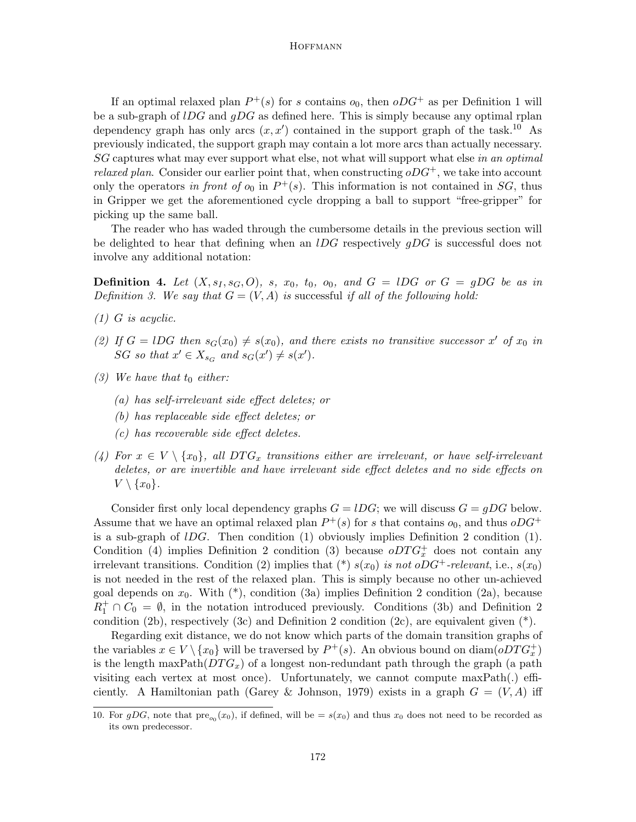If an optimal relaxed plan  $P^+(s)$  for s contains  $o_0$ , then  $oDG^+$  as per Definition 1 will be a sub-graph of  $lDG$  and  $qDG$  as defined here. This is simply because any optimal rplan dependency graph has only arcs  $(x, x')$  contained in the support graph of the task.<sup>10</sup> As previously indicated, the support graph may contain a lot more arcs than actually necessary. SG captures what may ever support what else, not what will support what else in an optimal *relaxed plan.* Consider our earlier point that, when constructing  $oDG^+$ , we take into account only the operators in front of  $o_0$  in  $P^+(s)$ . This information is not contained in SG, thus in Gripper we get the aforementioned cycle dropping a ball to support "free-gripper" for picking up the same ball.

The reader who has waded through the cumbersome details in the previous section will be delighted to hear that defining when an  $lDG$  respectively  $qDG$  is successful does not involve any additional notation:

**Definition 4.** Let  $(X, s_I, s_G, O)$ , s,  $x_0$ ,  $t_0$ ,  $o_0$ , and  $G = lDG$  or  $G = gDG$  be as in Definition 3. We say that  $G = (V, A)$  is successful if all of the following hold:

- $(1)$  G is acyclic.
- (2) If  $G = lDG$  then  $s_G(x_0) \neq s(x_0)$ , and there exists no transitive successor x' of  $x_0$  in SG so that  $x' \in X_{s_G}$  and  $s_G(x') \neq s(x')$ .
- (3) We have that  $t_0$  either:
	- (a) has self-irrelevant side effect deletes; or
	- (b) has replaceable side effect deletes; or
	- (c) has recoverable side effect deletes.
- (4) For  $x \in V \setminus \{x_0\}$ , all  $DTG_x$  transitions either are irrelevant, or have self-irrelevant deletes, or are invertible and have irrelevant side effect deletes and no side effects on  $V \setminus \{x_0\}.$

Consider first only local dependency graphs  $G = lDG$ ; we will discuss  $G = gDG$  below. Assume that we have an optimal relaxed plan  $P^+(s)$  for s that contains  $o_0$ , and thus  $oDG^+$ is a sub-graph of  $lDG$ . Then condition  $(1)$  obviously implies Definition 2 condition  $(1)$ . Condition (4) implies Definition 2 condition (3) because  $oDTG<sub>x</sub><sup>+</sup>$  does not contain any irrelevant transitions. Condition (2) implies that (\*)  $s(x_0)$  is not oDG<sup>+</sup>-relevant, i.e.,  $s(x_0)$ is not needed in the rest of the relaxed plan. This is simply because no other un-achieved goal depends on  $x_0$ . With  $(*)$ , condition (3a) implies Definition 2 condition (2a), because  $R_1^+ \cap C_0 = \emptyset$ , in the notation introduced previously. Conditions (3b) and Definition 2 condition (2b), respectively (3c) and Definition 2 condition (2c), are equivalent given  $(*)$ .

Regarding exit distance, we do not know which parts of the domain transition graphs of the variables  $x \in V \setminus \{x_0\}$  will be traversed by  $P^+(s)$ . An obvious bound on  $\text{diam}(oDTG_x^+)$ is the length maxPath( $DTG<sub>x</sub>$ ) of a longest non-redundant path through the graph (a path visiting each vertex at most once). Unfortunately, we cannot compute maxPath(.) efficiently. A Hamiltonian path (Garey & Johnson, 1979) exists in a graph  $G = (V, A)$  iff

<sup>10.</sup> For gDG, note that  $pre_{o_0}(x_0)$ , if defined, will be  $=s(x_0)$  and thus  $x_0$  does not need to be recorded as its own predecessor.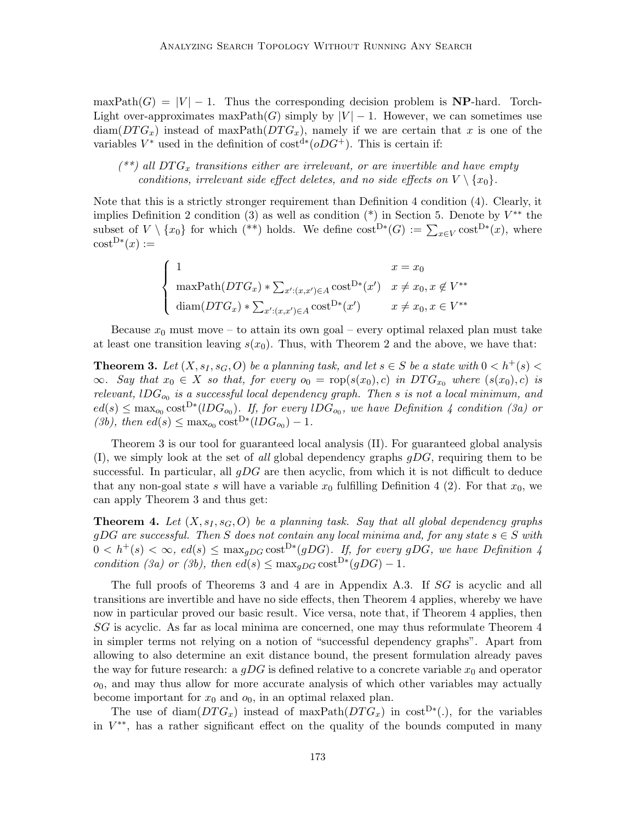maxPath $(G) = |V| - 1$ . Thus the corresponding decision problem is **NP**-hard. Torch-Light over-approximates maxPath(G) simply by  $|V| - 1$ . However, we can sometimes use  $\text{diam}(DTG_x)$  instead of maxPath( $DTG_x$ ), namely if we are certain that x is one of the variables  $V^*$  used in the definition of  $cost^{d*}(oDG^+)$ . This is certain if:

 $(**)$  all DTG<sub>x</sub> transitions either are irrelevant, or are invertible and have empty conditions, irrelevant side effect deletes, and no side effects on  $V \setminus \{x_0\}$ .

Note that this is a strictly stronger requirement than Definition 4 condition (4). Clearly, it implies Definition 2 condition (3) as well as condition  $(*)$  in Section 5. Denote by  $V^{**}$  the subset of  $V \setminus \{x_0\}$  for which (\*\*) holds. We define  $\text{cost}^{\text{D}*}(G) := \sum_{x \in V} \text{cost}^{\text{D}*}(x)$ , where  $\text{cost}^{\text{D}*}(x) :=$ 

$$
\begin{cases}\n1 & x = x_0 \\
\max \mathrm{Path}(DTG_x) * \sum_{x': (x,x') \in A} \mathrm{cost}^{D*}(x') & x \neq x_0, x \notin V^{**} \\
\mathrm{diam}(DTG_x) * \sum_{x': (x,x') \in A} \mathrm{cost}^{D*}(x') & x \neq x_0, x \in V^{**}\n\end{cases}
$$

Because  $x_0$  must move – to attain its own goal – every optimal relaxed plan must take at least one transition leaving  $s(x_0)$ . Thus, with Theorem 2 and the above, we have that:

**Theorem 3.** Let  $(X, s_I, s_G, O)$  be a planning task, and let  $s \in S$  be a state with  $0 < h^+(s)$  $\infty$ . Say that  $x_0 \in X$  so that, for every  $o_0 = \text{rop}(s(x_0), c)$  in  $DTG_{x_0}$  where  $(s(x_0), c)$  is relevant, lD $G_{o_0}$  is a successful local dependency graph. Then s is not a local minimum, and  $ed(s) \leq \max_{o_0} \text{cost}^{D*}(lDG_{o_0})$ . If, for every  $lDG_{o_0}$ , we have Definition 4 condition (3a) or (3b), then  $ed(s) \leq \max_{o_0} cost^{D*}(lDG_{o_0}) - 1$ .

Theorem 3 is our tool for guaranteed local analysis (II). For guaranteed global analysis  $(I)$ , we simply look at the set of all global dependency graphs  $gDG$ , requiring them to be successful. In particular, all  $gDG$  are then acyclic, from which it is not difficult to deduce that any non-goal state s will have a variable  $x_0$  fulfilling Definition 4 (2). For that  $x_0$ , we can apply Theorem 3 and thus get:

**Theorem 4.** Let  $(X, s_I, s_G, O)$  be a planning task. Say that all global dependency graphs gDG are successful. Then S does not contain any local minima and, for any state  $s \in S$  with  $0 < h^+(s) < \infty$ ,  $ed(s) \leq \max_{gDG} \text{cost}^{D*}(gDG)$ . If, for every gDG, we have Definition 4 condition (3a) or (3b), then  $ed(s) \leq \max_{gDG} \cosh^{D*}(gDG) - 1$ .

The full proofs of Theorems 3 and 4 are in Appendix A.3. If SG is acyclic and all transitions are invertible and have no side effects, then Theorem 4 applies, whereby we have now in particular proved our basic result. Vice versa, note that, if Theorem 4 applies, then SG is acyclic. As far as local minima are concerned, one may thus reformulate Theorem 4 in simpler terms not relying on a notion of "successful dependency graphs". Apart from allowing to also determine an exit distance bound, the present formulation already paves the way for future research: a  $gDG$  is defined relative to a concrete variable  $x_0$  and operator  $o<sub>0</sub>$ , and may thus allow for more accurate analysis of which other variables may actually become important for  $x_0$  and  $o_0$ , in an optimal relaxed plan.

The use of diam $(DTG_x)$  instead of maxPath $(DTG_x)$  in cost<sup>D\*</sup>(.), for the variables in  $V^{**}$ , has a rather significant effect on the quality of the bounds computed in many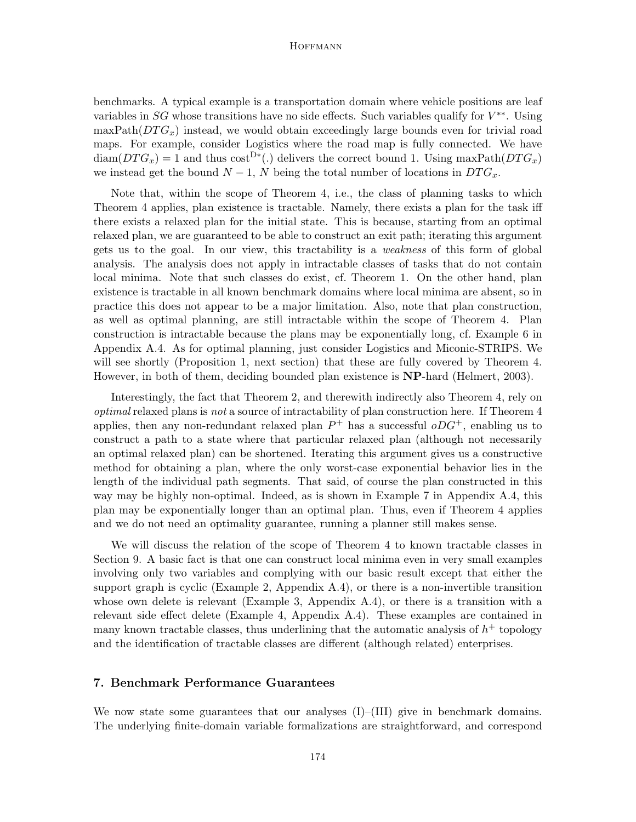benchmarks. A typical example is a transportation domain where vehicle positions are leaf variables in  $SG$  whose transitions have no side effects. Such variables qualify for  $V^{**}$ . Using  $\maxPath(DTG_x)$  instead, we would obtain exceedingly large bounds even for trivial road maps. For example, consider Logistics where the road map is fully connected. We have  $\text{diam}(DTG_x) = 1$  and thus  $\text{cost}^{D*}(.)$  delivers the correct bound 1. Using maxPath $(DTG_x)$ we instead get the bound  $N-1$ , N being the total number of locations in  $DTG_x$ .

Note that, within the scope of Theorem 4, i.e., the class of planning tasks to which Theorem 4 applies, plan existence is tractable. Namely, there exists a plan for the task iff there exists a relaxed plan for the initial state. This is because, starting from an optimal relaxed plan, we are guaranteed to be able to construct an exit path; iterating this argument gets us to the goal. In our view, this tractability is a weakness of this form of global analysis. The analysis does not apply in intractable classes of tasks that do not contain local minima. Note that such classes do exist, cf. Theorem 1. On the other hand, plan existence is tractable in all known benchmark domains where local minima are absent, so in practice this does not appear to be a major limitation. Also, note that plan construction, as well as optimal planning, are still intractable within the scope of Theorem 4. Plan construction is intractable because the plans may be exponentially long, cf. Example 6 in Appendix A.4. As for optimal planning, just consider Logistics and Miconic-STRIPS. We will see shortly (Proposition 1, next section) that these are fully covered by Theorem 4. However, in both of them, deciding bounded plan existence is NP-hard (Helmert, 2003).

Interestingly, the fact that Theorem 2, and therewith indirectly also Theorem 4, rely on optimal relaxed plans is not a source of intractability of plan construction here. If Theorem 4 applies, then any non-redundant relaxed plan  $P^+$  has a successful  $oDG^+$ , enabling us to construct a path to a state where that particular relaxed plan (although not necessarily an optimal relaxed plan) can be shortened. Iterating this argument gives us a constructive method for obtaining a plan, where the only worst-case exponential behavior lies in the length of the individual path segments. That said, of course the plan constructed in this way may be highly non-optimal. Indeed, as is shown in Example 7 in Appendix A.4, this plan may be exponentially longer than an optimal plan. Thus, even if Theorem 4 applies and we do not need an optimality guarantee, running a planner still makes sense.

We will discuss the relation of the scope of Theorem 4 to known tractable classes in Section 9. A basic fact is that one can construct local minima even in very small examples involving only two variables and complying with our basic result except that either the support graph is cyclic (Example 2, Appendix A.4), or there is a non-invertible transition whose own delete is relevant (Example 3, Appendix A.4), or there is a transition with a relevant side effect delete (Example 4, Appendix A.4). These examples are contained in many known tractable classes, thus underlining that the automatic analysis of  $h^+$  topology and the identification of tractable classes are different (although related) enterprises.

# 7. Benchmark Performance Guarantees

We now state some guarantees that our analyses  $(I)$ – $(III)$  give in benchmark domains. The underlying finite-domain variable formalizations are straightforward, and correspond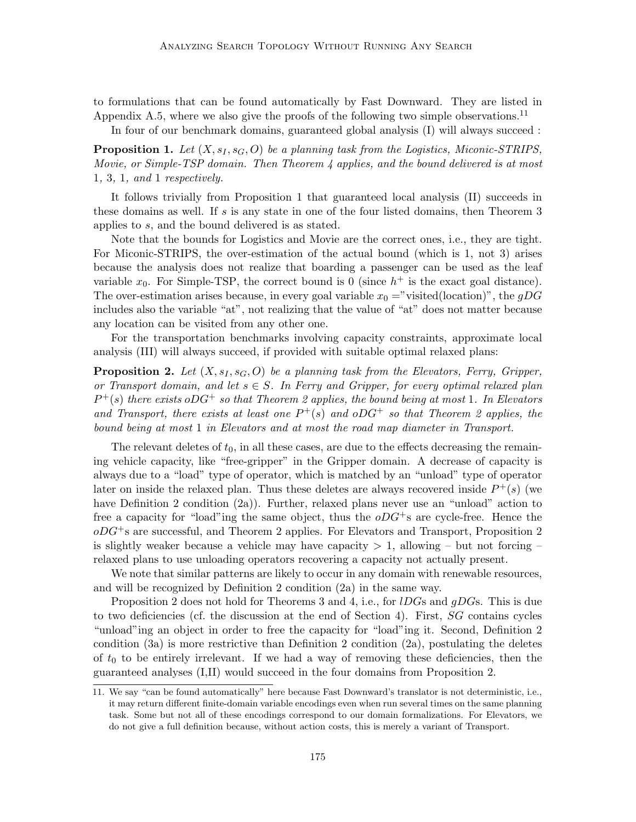to formulations that can be found automatically by Fast Downward. They are listed in Appendix A.5, where we also give the proofs of the following two simple observations.<sup>11</sup>

In four of our benchmark domains, guaranteed global analysis (I) will always succeed :

**Proposition 1.** Let  $(X, s_I, s_G, O)$  be a planning task from the Logistics, Miconic-STRIPS, Movie, or Simple-TSP domain. Then Theorem 4 applies, and the bound delivered is at most 1, 3, 1, and 1 respectively.

It follows trivially from Proposition 1 that guaranteed local analysis (II) succeeds in these domains as well. If  $s$  is any state in one of the four listed domains, then Theorem 3 applies to s, and the bound delivered is as stated.

Note that the bounds for Logistics and Movie are the correct ones, i.e., they are tight. For Miconic-STRIPS, the over-estimation of the actual bound (which is 1, not 3) arises because the analysis does not realize that boarding a passenger can be used as the leaf variable  $x_0$ . For Simple-TSP, the correct bound is 0 (since  $h^+$  is the exact goal distance). The over-estimation arises because, in every goal variable  $x_0 =$ "visited(location)", the gDG includes also the variable "at", not realizing that the value of "at" does not matter because any location can be visited from any other one.

For the transportation benchmarks involving capacity constraints, approximate local analysis (III) will always succeed, if provided with suitable optimal relaxed plans:

**Proposition 2.** Let  $(X, s_I, s_G, O)$  be a planning task from the Elevators, Ferry, Gripper, or Transport domain, and let  $s \in S$ . In Ferry and Gripper, for every optimal relaxed plan  $P^+(s)$  there exists oDG<sup>+</sup> so that Theorem 2 applies, the bound being at most 1. In Elevators and Transport, there exists at least one  $P^+(s)$  and  $oDG^+$  so that Theorem 2 applies, the bound being at most 1 in Elevators and at most the road map diameter in Transport.

The relevant deletes of  $t_0$ , in all these cases, are due to the effects decreasing the remaining vehicle capacity, like "free-gripper" in the Gripper domain. A decrease of capacity is always due to a "load" type of operator, which is matched by an "unload" type of operator later on inside the relaxed plan. Thus these deletes are always recovered inside  $P^+(s)$  (we have Definition 2 condition (2a)). Further, relaxed plans never use an "unload" action to free a capacity for "load"ing the same object, thus the  $oDG^{+}s$  are cycle-free. Hence the  $oDG<sup>+</sup>s$  are successful, and Theorem 2 applies. For Elevators and Transport, Proposition 2 is slightly weaker because a vehicle may have capacity  $> 1$ , allowing – but not forcing – relaxed plans to use unloading operators recovering a capacity not actually present.

We note that similar patterns are likely to occur in any domain with renewable resources, and will be recognized by Definition 2 condition (2a) in the same way.

Proposition 2 does not hold for Theorems 3 and 4, i.e., for *IDGs* and *qDGs*. This is due to two deficiencies (cf. the discussion at the end of Section 4). First, SG contains cycles "unload"ing an object in order to free the capacity for "load"ing it. Second, Definition 2 condition (3a) is more restrictive than Definition 2 condition (2a), postulating the deletes of  $t_0$  to be entirely irrelevant. If we had a way of removing these deficiencies, then the guaranteed analyses (I,II) would succeed in the four domains from Proposition 2.

<sup>11.</sup> We say "can be found automatically" here because Fast Downward's translator is not deterministic, i.e., it may return different finite-domain variable encodings even when run several times on the same planning task. Some but not all of these encodings correspond to our domain formalizations. For Elevators, we do not give a full definition because, without action costs, this is merely a variant of Transport.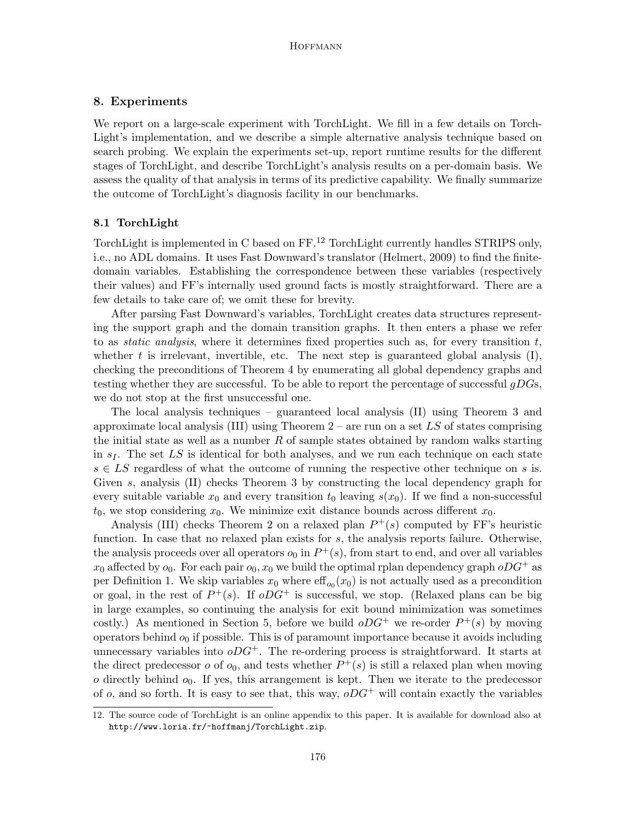# 8. Experiments

We report on a large-scale experiment with TorchLight. We fill in a few details on Torch-Light's implementation, and we describe a simple alternative analysis technique based on search probing. We explain the experiments set-up, report runtime results for the different stages of TorchLight, and describe TorchLight's analysis results on a per-domain basis. We assess the quality of that analysis in terms of its predictive capability. We finally summarize the outcome of TorchLight's diagnosis facility in our benchmarks.

# 8.1 TorchLight

TorchLight is implemented in C based on FF.<sup>12</sup> TorchLight currently handles STRIPS only, i.e., no ADL domains. It uses Fast Downward's translator (Helmert, 2009) to find the finitedomain variables. Establishing the correspondence between these variables (respectively their values) and FF's internally used ground facts is mostly straightforward. There are a few details to take care of; we omit these for brevity.

After parsing Fast Downward's variables, TorchLight creates data structures representing the support graph and the domain transition graphs. It then enters a phase we refer to as *static analysis*, where it determines fixed properties such as, for every transition  $t$ , whether t is irrelevant, invertible, etc. The next step is guaranteed global analysis  $(I)$ , checking the preconditions of Theorem 4 by enumerating all global dependency graphs and testing whether they are successful. To be able to report the percentage of successful  $gDGs$ , we do not stop at the first unsuccessful one.

The local analysis techniques – guaranteed local analysis (II) using Theorem 3 and approximate local analysis (III) using Theorem  $2$  – are run on a set LS of states comprising the initial state as well as a number  $R$  of sample states obtained by random walks starting in  $s<sub>I</sub>$ . The set LS is identical for both analyses, and we run each technique on each state  $s \in LS$  regardless of what the outcome of running the respective other technique on s is. Given s, analysis (II) checks Theorem 3 by constructing the local dependency graph for every suitable variable  $x_0$  and every transition  $t_0$  leaving  $s(x_0)$ . If we find a non-successful  $t_0$ , we stop considering  $x_0$ . We minimize exit distance bounds across different  $x_0$ .

Analysis (III) checks Theorem 2 on a relaxed plan  $P^+(s)$  computed by FF's heuristic function. In case that no relaxed plan exists for s, the analysis reports failure. Otherwise, the analysis proceeds over all operators  $o_0$  in  $P^+(s)$ , from start to end, and over all variables  $x_0$  affected by  $o_0$ . For each pair  $o_0$ ,  $x_0$  we build the optimal rplan dependency graph  $oDG^+$  as per Definition 1. We skip variables  $x_0$  where  $\mathrm{eff}_{o_0}(x_0)$  is not actually used as a precondition or goal, in the rest of  $P^+(s)$ . If  $oDG^+$  is successful, we stop. (Relaxed plans can be big in large examples, so continuing the analysis for exit bound minimization was sometimes costly.) As mentioned in Section 5, before we build  $oDG^+$  we re-order  $P^+(s)$  by moving operators behind  $o_0$  if possible. This is of paramount importance because it avoids including unnecessary variables into  $oDG^+$ . The re-ordering process is straightforward. It starts at the direct predecessor  $o$  of  $o_0$ , and tests whether  $P^+(s)$  is still a relaxed plan when moving  $o$  directly behind  $o_0$ . If yes, this arrangement is kept. Then we iterate to the predecessor of o, and so forth. It is easy to see that, this way,  $oDG^+$  will contain exactly the variables

<sup>12.</sup> The source code of TorchLight is an online appendix to this paper. It is available for download also at http://www.loria.fr/~hoffmanj/TorchLight.zip.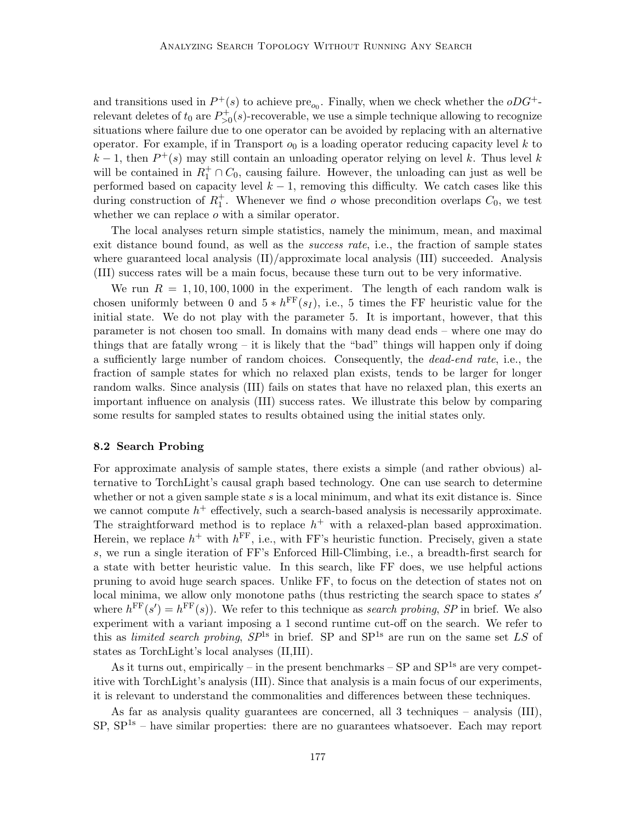and transitions used in  $P^+(s)$  to achieve pre<sub>o<sub>0</sub></sub>. Finally, when we check whether the  $oDG^+$ relevant deletes of  $t_0$  are  $P_{>0}^+(s)$ -recoverable, we use a simple technique allowing to recognize situations where failure due to one operator can be avoided by replacing with an alternative operator. For example, if in Transport  $o_0$  is a loading operator reducing capacity level k to  $k-1$ , then  $P^+(s)$  may still contain an unloading operator relying on level k. Thus level k will be contained in  $R_1^+ \cap C_0$ , causing failure. However, the unloading can just as well be performed based on capacity level  $k - 1$ , removing this difficulty. We catch cases like this during construction of  $R_1^+$ . Whenever we find o whose precondition overlaps  $C_0$ , we test whether we can replace *o* with a similar operator.

The local analyses return simple statistics, namely the minimum, mean, and maximal exit distance bound found, as well as the *success rate*, i.e., the fraction of sample states where guaranteed local analysis  $(\text{II})$ /approximate local analysis (III) succeeded. Analysis (III) success rates will be a main focus, because these turn out to be very informative.

We run  $R = 1, 10, 100, 1000$  in the experiment. The length of each random walk is chosen uniformly between 0 and  $5 * h^{\text{FF}}(s_I)$ , i.e., 5 times the FF heuristic value for the initial state. We do not play with the parameter 5. It is important, however, that this parameter is not chosen too small. In domains with many dead ends – where one may do things that are fatally wrong – it is likely that the "bad" things will happen only if doing a sufficiently large number of random choices. Consequently, the dead-end rate, i.e., the fraction of sample states for which no relaxed plan exists, tends to be larger for longer random walks. Since analysis (III) fails on states that have no relaxed plan, this exerts an important influence on analysis (III) success rates. We illustrate this below by comparing some results for sampled states to results obtained using the initial states only.

#### 8.2 Search Probing

For approximate analysis of sample states, there exists a simple (and rather obvious) alternative to TorchLight's causal graph based technology. One can use search to determine whether or not a given sample state  $s$  is a local minimum, and what its exit distance is. Since we cannot compute  $h^+$  effectively, such a search-based analysis is necessarily approximate. The straightforward method is to replace  $h^+$  with a relaxed-plan based approximation. Herein, we replace  $h^+$  with  $h^{\text{FF}}$ , i.e., with FF's heuristic function. Precisely, given a state s, we run a single iteration of FF's Enforced Hill-Climbing, i.e., a breadth-first search for a state with better heuristic value. In this search, like FF does, we use helpful actions pruning to avoid huge search spaces. Unlike FF, to focus on the detection of states not on local minima, we allow only monotone paths (thus restricting the search space to states s' where  $h^{\text{FF}}(s') = h^{\text{FF}}(s)$ . We refer to this technique as search probing, SP in brief. We also experiment with a variant imposing a 1 second runtime cut-off on the search. We refer to this as limited search probing,  $SP^{1s}$  in brief. SP and  $SP^{1s}$  are run on the same set LS of states as TorchLight's local analyses (II,III).

As it turns out, empirically – in the present benchmarks –  $SP$  and  $SP^{1s}$  are very competitive with TorchLight's analysis (III). Since that analysis is a main focus of our experiments, it is relevant to understand the commonalities and differences between these techniques.

As far as analysis quality guarantees are concerned, all 3 techniques – analysis (III),  $SP, SP<sup>1s</sup>$  – have similar properties: there are no guarantees whatsoever. Each may report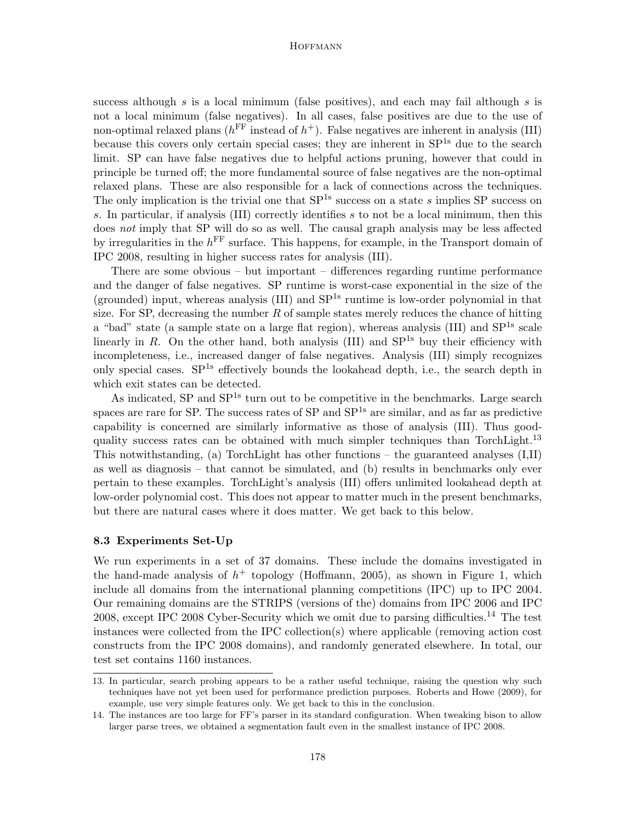success although s is a local minimum (false positives), and each may fail although s is not a local minimum (false negatives). In all cases, false positives are due to the use of non-optimal relaxed plans ( $h^{\text{FF}}$  instead of  $h^+$ ). False negatives are inherent in analysis (III) because this covers only certain special cases; they are inherent in  $SP^{1s}$  due to the search limit. SP can have false negatives due to helpful actions pruning, however that could in principle be turned off; the more fundamental source of false negatives are the non-optimal relaxed plans. These are also responsible for a lack of connections across the techniques. The only implication is the trivial one that  $SP^{1s}$  success on a state s implies SP success on s. In particular, if analysis (III) correctly identifies  $s$  to not be a local minimum, then this does not imply that SP will do so as well. The causal graph analysis may be less affected by irregularities in the  $h^{\text{FF}}$  surface. This happens, for example, in the Transport domain of IPC 2008, resulting in higher success rates for analysis (III).

There are some obvious – but important – differences regarding runtime performance and the danger of false negatives. SP runtime is worst-case exponential in the size of the (grounded) input, whereas analysis  $(III)$  and  $SP<sup>1s</sup>$  runtime is low-order polynomial in that size. For SP, decreasing the number  $R$  of sample states merely reduces the chance of hitting a "bad" state (a sample state on a large flat region), whereas analysis (III) and  $SP^{1s}$  scale linearly in R. On the other hand, both analysis  $(III)$  and  $SP<sup>1s</sup>$  buy their efficiency with incompleteness, i.e., increased danger of false negatives. Analysis (III) simply recognizes only special cases.  $SP^{1s}$  effectively bounds the lookahead depth, i.e., the search depth in which exit states can be detected.

As indicated, SP and SP<sup>1s</sup> turn out to be competitive in the benchmarks. Large search spaces are rare for SP. The success rates of SP and  $SP<sup>1s</sup>$  are similar, and as far as predictive capability is concerned are similarly informative as those of analysis (III). Thus goodquality success rates can be obtained with much simpler techniques than TorchLight.<sup>13</sup> This notwithstanding, (a) TorchLight has other functions – the guaranteed analyses (I,II) as well as diagnosis – that cannot be simulated, and (b) results in benchmarks only ever pertain to these examples. TorchLight's analysis (III) offers unlimited lookahead depth at low-order polynomial cost. This does not appear to matter much in the present benchmarks, but there are natural cases where it does matter. We get back to this below.

#### 8.3 Experiments Set-Up

We run experiments in a set of 37 domains. These include the domains investigated in the hand-made analysis of  $h^+$  topology (Hoffmann, 2005), as shown in Figure 1, which include all domains from the international planning competitions (IPC) up to IPC 2004. Our remaining domains are the STRIPS (versions of the) domains from IPC 2006 and IPC 2008, except IPC 2008 Cyber-Security which we omit due to parsing difficulties.<sup>14</sup> The test instances were collected from the IPC collection(s) where applicable (removing action cost constructs from the IPC 2008 domains), and randomly generated elsewhere. In total, our test set contains 1160 instances.

<sup>13.</sup> In particular, search probing appears to be a rather useful technique, raising the question why such techniques have not yet been used for performance prediction purposes. Roberts and Howe (2009), for example, use very simple features only. We get back to this in the conclusion.

<sup>14.</sup> The instances are too large for FF's parser in its standard configuration. When tweaking bison to allow larger parse trees, we obtained a segmentation fault even in the smallest instance of IPC 2008.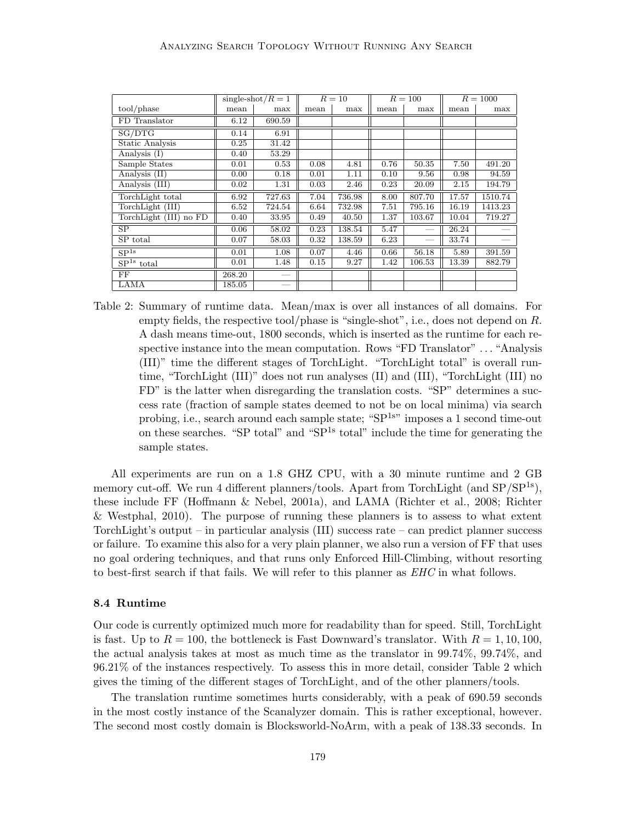|                        |        | single-shot/ $R=1$ |      | $R=10$ |      | $R = 100$       | $R = 1000$ |         |
|------------------------|--------|--------------------|------|--------|------|-----------------|------------|---------|
| tool/phase             | mean   | max                | mean | max    | mean | max             | mean       | max     |
| FD Translator          | 6.12   | 690.59             |      |        |      |                 |            |         |
| SG/DTG                 | 0.14   | 6.91               |      |        |      |                 |            |         |
| Static Analysis        | 0.25   | 31.42              |      |        |      |                 |            |         |
| Analysis (I)           | 0.40   | 53.29              |      |        |      |                 |            |         |
| Sample States          | 0.01   | 0.53               | 0.08 | 4.81   | 0.76 | 50.35           | 7.50       | 491.20  |
| Analysis (II)          | 0.00   | 0.18               | 0.01 | 1.11   | 0.10 | 9.56            | 0.98       | 94.59   |
| Analysis (III)         | 0.02   | 1.31               | 0.03 | 2.46   | 0.23 | 20.09           | 2.15       | 194.79  |
| TorchLight total       | 6.92   | 727.63             | 7.04 | 736.98 | 8.00 | 807.70          | 17.57      | 1510.74 |
| TorchLight (III)       | 6.52   | 724.54             | 6.64 | 732.98 | 7.51 | 795.16          | 16.19      | 1413.23 |
| TorchLight (III) no FD | 0.40   | 33.95              | 0.49 | 40.50  | 1.37 | 103.67          | 10.04      | 719.27  |
| SP                     | 0.06   | 58.02              | 0.23 | 138.54 | 5.47 |                 | 26.24      |         |
| SP total               | 0.07   | 58.03              | 0.32 | 138.59 | 6.23 | $\qquad \qquad$ | 33.74      |         |
| SP <sup>1s</sup>       | 0.01   | 1.08               | 0.07 | 4.46   | 0.66 | 56.18           | 5.89       | 391.59  |
| $SP1s$ total           | 0.01   | 1.48               | 0.15 | 9.27   | 1.42 | 106.53          | 13.39      | 882.79  |
| FF                     | 268.20 |                    |      |        |      |                 |            |         |
| LAMA                   | 185.05 |                    |      |        |      |                 |            |         |

Table 2: Summary of runtime data. Mean/max is over all instances of all domains. For empty fields, the respective tool/phase is "single-shot", i.e., does not depend on R. A dash means time-out, 1800 seconds, which is inserted as the runtime for each respective instance into the mean computation. Rows "FD Translator" . . . "Analysis (III)" time the different stages of TorchLight. "TorchLight total" is overall runtime, "TorchLight (III)" does not run analyses (II) and (III), "TorchLight (III) no FD" is the latter when disregarding the translation costs. "SP" determines a success rate (fraction of sample states deemed to not be on local minima) via search probing, i.e., search around each sample state; "SP<sup>1s"</sup> imposes a 1 second time-out on these searches. "SP total" and " $SP<sup>1s</sup>$  total" include the time for generating the sample states.

All experiments are run on a 1.8 GHZ CPU, with a 30 minute runtime and 2 GB memory cut-off. We run 4 different planners/tools. Apart from TorchLight (and  $SP/SP^{1s}$ ), these include FF (Hoffmann & Nebel, 2001a), and LAMA (Richter et al., 2008; Richter & Westphal, 2010). The purpose of running these planners is to assess to what extent TorchLight's output – in particular analysis (III) success rate – can predict planner success or failure. To examine this also for a very plain planner, we also run a version of FF that uses no goal ordering techniques, and that runs only Enforced Hill-Climbing, without resorting to best-first search if that fails. We will refer to this planner as EHC in what follows.

### 8.4 Runtime

Our code is currently optimized much more for readability than for speed. Still, TorchLight is fast. Up to  $R = 100$ , the bottleneck is Fast Downward's translator. With  $R = 1, 10, 100$ , the actual analysis takes at most as much time as the translator in 99.74%, 99.74%, and 96.21% of the instances respectively. To assess this in more detail, consider Table 2 which gives the timing of the different stages of TorchLight, and of the other planners/tools.

The translation runtime sometimes hurts considerably, with a peak of 690.59 seconds in the most costly instance of the Scanalyzer domain. This is rather exceptional, however. The second most costly domain is Blocksworld-NoArm, with a peak of 138.33 seconds. In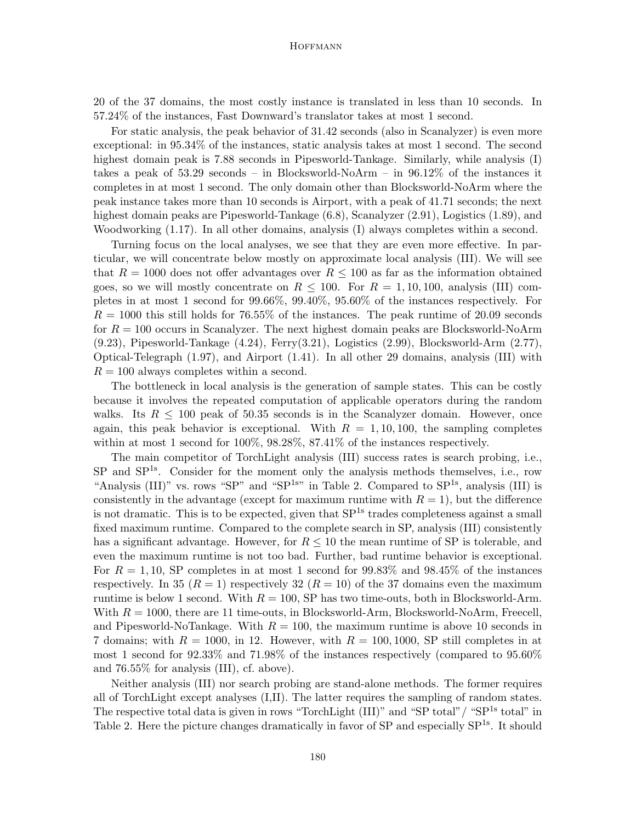20 of the 37 domains, the most costly instance is translated in less than 10 seconds. In 57.24% of the instances, Fast Downward's translator takes at most 1 second.

For static analysis, the peak behavior of 31.42 seconds (also in Scanalyzer) is even more exceptional: in 95.34% of the instances, static analysis takes at most 1 second. The second highest domain peak is 7.88 seconds in Pipesworld-Tankage. Similarly, while analysis (I) takes a peak of 53.29 seconds – in Blocksworld-NoArm – in 96.12% of the instances it completes in at most 1 second. The only domain other than Blocksworld-NoArm where the peak instance takes more than 10 seconds is Airport, with a peak of 41.71 seconds; the next highest domain peaks are Pipesworld-Tankage (6.8), Scanalyzer (2.91), Logistics (1.89), and Woodworking (1.17). In all other domains, analysis (I) always completes within a second.

Turning focus on the local analyses, we see that they are even more effective. In particular, we will concentrate below mostly on approximate local analysis (III). We will see that  $R = 1000$  does not offer advantages over  $R \leq 100$  as far as the information obtained goes, so we will mostly concentrate on  $R \le 100$ . For  $R = 1, 10, 100$ , analysis (III) completes in at most 1 second for 99.66%, 99.40%, 95.60% of the instances respectively. For  $R = 1000$  this still holds for 76.55% of the instances. The peak runtime of 20.09 seconds for  $R = 100$  occurs in Scanalyzer. The next highest domain peaks are Blocksworld-NoArm (9.23), Pipesworld-Tankage (4.24), Ferry(3.21), Logistics (2.99), Blocksworld-Arm (2.77), Optical-Telegraph (1.97), and Airport (1.41). In all other 29 domains, analysis (III) with  $R = 100$  always completes within a second.

The bottleneck in local analysis is the generation of sample states. This can be costly because it involves the repeated computation of applicable operators during the random walks. Its  $R \leq 100$  peak of 50.35 seconds is in the Scanalyzer domain. However, once again, this peak behavior is exceptional. With  $R = 1, 10, 100$ , the sampling completes within at most 1 second for 100%, 98.28%, 87.41% of the instances respectively.

The main competitor of TorchLight analysis (III) success rates is search probing, i.e., SP and SP<sup>1s</sup>. Consider for the moment only the analysis methods themselves, i.e., row "Analysis (III)" vs. rows "SP" and "SP<sup>1s"</sup> in Table 2. Compared to  $SP<sup>1s</sup>$ , analysis (III) is consistently in the advantage (except for maximum runtime with  $R = 1$ ), but the difference is not dramatic. This is to be expected, given that  $SP^{1s}$  trades completeness against a small fixed maximum runtime. Compared to the complete search in SP, analysis (III) consistently has a significant advantage. However, for  $R \leq 10$  the mean runtime of SP is tolerable, and even the maximum runtime is not too bad. Further, bad runtime behavior is exceptional. For  $R = 1, 10$ , SP completes in at most 1 second for 99.83% and 98.45% of the instances respectively. In 35 ( $R = 1$ ) respectively 32 ( $R = 10$ ) of the 37 domains even the maximum runtime is below 1 second. With  $R = 100$ , SP has two time-outs, both in Blocksworld-Arm. With  $R = 1000$ , there are 11 time-outs, in Blocksworld-Arm, Blocksworld-NoArm, Freecell, and Pipesworld-NoTankage. With  $R = 100$ , the maximum runtime is above 10 seconds in 7 domains; with  $R = 1000$ , in 12. However, with  $R = 100, 1000$ , SP still completes in at most 1 second for 92.33% and 71.98% of the instances respectively (compared to 95.60% and 76.55% for analysis (III), cf. above).

Neither analysis (III) nor search probing are stand-alone methods. The former requires all of TorchLight except analyses (I,II). The latter requires the sampling of random states. The respective total data is given in rows "TorchLight  $(III)$ " and "SP total"/ "SP<sup>1s</sup> total" in Table 2. Here the picture changes dramatically in favor of SP and especially SP<sup>1s</sup>. It should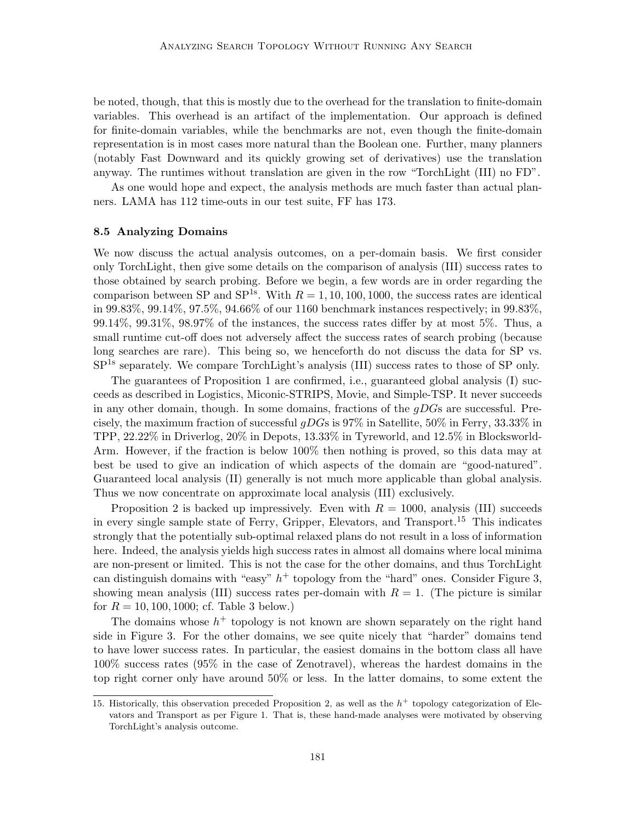be noted, though, that this is mostly due to the overhead for the translation to finite-domain variables. This overhead is an artifact of the implementation. Our approach is defined for finite-domain variables, while the benchmarks are not, even though the finite-domain representation is in most cases more natural than the Boolean one. Further, many planners (notably Fast Downward and its quickly growing set of derivatives) use the translation anyway. The runtimes without translation are given in the row "TorchLight (III) no FD".

As one would hope and expect, the analysis methods are much faster than actual planners. LAMA has 112 time-outs in our test suite, FF has 173.

# 8.5 Analyzing Domains

We now discuss the actual analysis outcomes, on a per-domain basis. We first consider only TorchLight, then give some details on the comparison of analysis (III) success rates to those obtained by search probing. Before we begin, a few words are in order regarding the comparison between SP and SP<sup>1s</sup>. With  $R = 1, 10, 100, 1000$ , the success rates are identical in 99.83%, 99.14%, 97.5%, 94.66% of our 1160 benchmark instances respectively; in 99.83%, 99.14%, 99.31%, 98.97% of the instances, the success rates differ by at most 5%. Thus, a small runtime cut-off does not adversely affect the success rates of search probing (because long searches are rare). This being so, we henceforth do not discuss the data for SP vs. SP1s separately. We compare TorchLight's analysis (III) success rates to those of SP only.

The guarantees of Proposition 1 are confirmed, i.e., guaranteed global analysis (I) succeeds as described in Logistics, Miconic-STRIPS, Movie, and Simple-TSP. It never succeeds in any other domain, though. In some domains, fractions of the  $gDGs$  are successful. Precisely, the maximum fraction of successful  $qDGs$  is 97% in Satellite, 50% in Ferry, 33.33% in TPP, 22.22% in Driverlog, 20% in Depots, 13.33% in Tyreworld, and 12.5% in Blocksworld-Arm. However, if the fraction is below 100% then nothing is proved, so this data may at best be used to give an indication of which aspects of the domain are "good-natured". Guaranteed local analysis (II) generally is not much more applicable than global analysis. Thus we now concentrate on approximate local analysis (III) exclusively.

Proposition 2 is backed up impressively. Even with  $R = 1000$ , analysis (III) succeeds in every single sample state of Ferry, Gripper, Elevators, and Transport.<sup>15</sup> This indicates strongly that the potentially sub-optimal relaxed plans do not result in a loss of information here. Indeed, the analysis yields high success rates in almost all domains where local minima are non-present or limited. This is not the case for the other domains, and thus TorchLight can distinguish domains with "easy"  $h^+$  topology from the "hard" ones. Consider Figure 3, showing mean analysis (III) success rates per-domain with  $R = 1$ . (The picture is similar for  $R = 10, 100, 1000$ ; cf. Table 3 below.)

The domains whose  $h^+$  topology is not known are shown separately on the right hand side in Figure 3. For the other domains, we see quite nicely that "harder" domains tend to have lower success rates. In particular, the easiest domains in the bottom class all have 100% success rates (95% in the case of Zenotravel), whereas the hardest domains in the top right corner only have around 50% or less. In the latter domains, to some extent the

<sup>15.</sup> Historically, this observation preceded Proposition 2, as well as the  $h^+$  topology categorization of Elevators and Transport as per Figure 1. That is, these hand-made analyses were motivated by observing TorchLight's analysis outcome.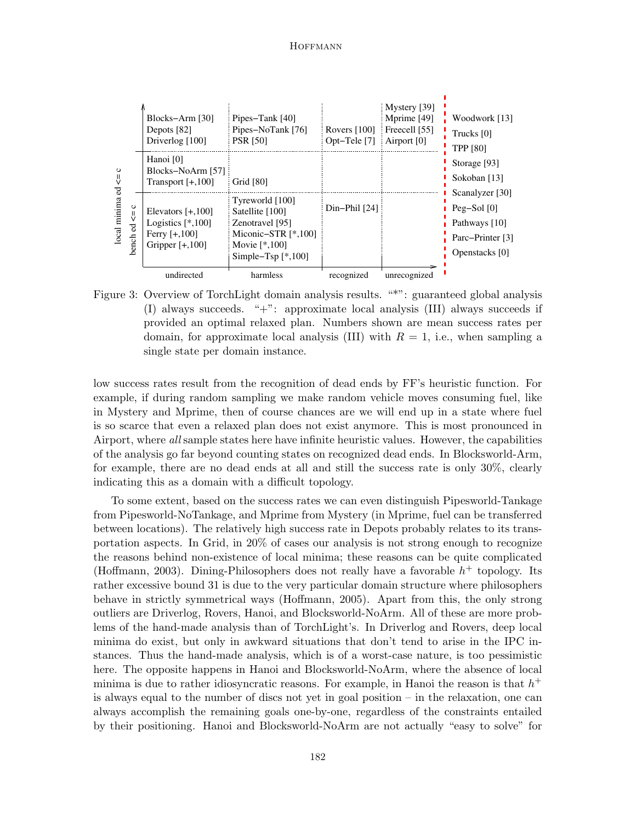| ပ<br>₩<br>local minima<br>$\circ$<br>₹<br>न्नु<br>bench | Blocks-Arm [30]<br>Depots [82]<br>Driverlog [100]                                  | Pipes-Tank [40]<br>Pipes-NoTank [76]<br><b>PSR [50]</b>                                                                     | Rovers $[100]$<br>Opt-Tele $[7]$ | Mystery [39]<br>Mprime [49]<br>Freecell [55]<br>Airport $[0]$ | Woodwork [13]<br>Trucks [0]<br><b>TPP [80]</b>                                           |  |  |
|---------------------------------------------------------|------------------------------------------------------------------------------------|-----------------------------------------------------------------------------------------------------------------------------|----------------------------------|---------------------------------------------------------------|------------------------------------------------------------------------------------------|--|--|
|                                                         | Hanoi [0]<br>Blocks-NoArm [57]<br>Transport $[+,100]$                              | Grid [80]                                                                                                                   |                                  |                                                               | Storage [93]<br>Sokoban [13]                                                             |  |  |
|                                                         | Elevators $[+,100]$<br>Logistics $[*,100]$<br>Ferry $[+,100]$<br>Gripper $[+,100]$ | Tyreworld $[100]$<br>Satellite [100]<br>Zenotravel [95]<br>Miconic-STR $[*,100]$<br>Movie $[*.100]$<br>Simple–Tsp $[*,100]$ | $Din-Phi[24]$                    |                                                               | Scanalyzer [30]<br>Peg $-Sol$ [0]<br>Pathways [10]<br>Parc-Printer [3]<br>Openstacks [0] |  |  |
|                                                         |                                                                                    | undirected                                                                                                                  | harmless                         | recognized                                                    | unrecognized                                                                             |  |  |

Figure 3: Overview of TorchLight domain analysis results. "\*": guaranteed global analysis (I) always succeeds. "+": approximate local analysis (III) always succeeds if provided an optimal relaxed plan. Numbers shown are mean success rates per domain, for approximate local analysis (III) with  $R = 1$ , i.e., when sampling a single state per domain instance.

low success rates result from the recognition of dead ends by FF's heuristic function. For example, if during random sampling we make random vehicle moves consuming fuel, like in Mystery and Mprime, then of course chances are we will end up in a state where fuel is so scarce that even a relaxed plan does not exist anymore. This is most pronounced in Airport, where all sample states here have infinite heuristic values. However, the capabilities of the analysis go far beyond counting states on recognized dead ends. In Blocksworld-Arm, for example, there are no dead ends at all and still the success rate is only 30%, clearly indicating this as a domain with a difficult topology.

To some extent, based on the success rates we can even distinguish Pipesworld-Tankage from Pipesworld-NoTankage, and Mprime from Mystery (in Mprime, fuel can be transferred between locations). The relatively high success rate in Depots probably relates to its transportation aspects. In Grid, in 20% of cases our analysis is not strong enough to recognize the reasons behind non-existence of local minima; these reasons can be quite complicated (Hoffmann, 2003). Dining-Philosophers does not really have a favorable  $h^+$  topology. Its rather excessive bound 31 is due to the very particular domain structure where philosophers behave in strictly symmetrical ways (Hoffmann, 2005). Apart from this, the only strong outliers are Driverlog, Rovers, Hanoi, and Blocksworld-NoArm. All of these are more problems of the hand-made analysis than of TorchLight's. In Driverlog and Rovers, deep local minima do exist, but only in awkward situations that don't tend to arise in the IPC instances. Thus the hand-made analysis, which is of a worst-case nature, is too pessimistic here. The opposite happens in Hanoi and Blocksworld-NoArm, where the absence of local minima is due to rather idiosyncratic reasons. For example, in Hanoi the reason is that  $h^+$ is always equal to the number of discs not yet in goal position – in the relaxation, one can always accomplish the remaining goals one-by-one, regardless of the constraints entailed by their positioning. Hanoi and Blocksworld-NoArm are not actually "easy to solve" for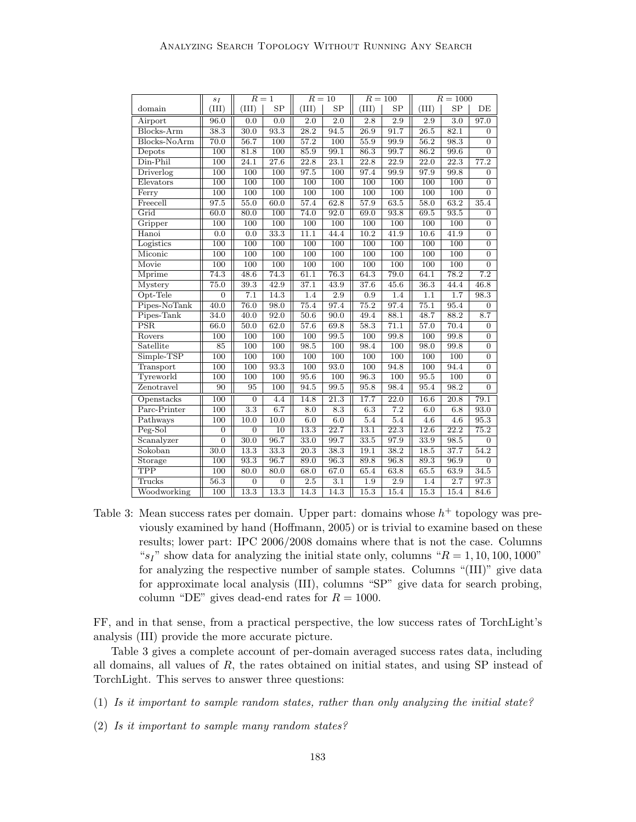|              | $s_I$            | $R=1$            |                   | $R=10$           |                   | $R = 100$         |                   | $R = 1000$        |                   |                  |
|--------------|------------------|------------------|-------------------|------------------|-------------------|-------------------|-------------------|-------------------|-------------------|------------------|
| domain       | (III)            | (III)            | SP                | (III)            | SP                | (III)             | SP                | (III)             | SP                | DE               |
| Airport      | 96.0             | 0.0              | 0.0               | $\overline{2.0}$ | $\overline{2.0}$  | $\overline{2.8}$  | $\overline{2.9}$  | $\overline{2.9}$  | $\overline{3.0}$  | 97.0             |
| Blocks-Arm   | 38.3             | 30.0             | 93.3              | 28.2             | 94.5              | $\overline{26.9}$ | 91.7              | $\overline{26.5}$ | 82.1              | $\overline{0}$   |
| Blocks-NoArm | 70.0             | 56.7             | 100               | 57.2             | 100               | 55.9              | 99.9              | $\overline{56.2}$ | 98.3              | $\overline{0}$   |
| Depots       | 100              | 81.8             | 100               | 85.9             | 99.1              | 86.3              | 99.7              | 86.2              | 99.6              | $\overline{0}$   |
| $D$ in-Phil  | 100              | 24.1             | $\overline{27.6}$ | 22.8             | 23.1              | 22.8              | $\overline{22.9}$ | $\overline{22.0}$ | 22.3              | 77.2             |
| Driverlog    | 100              | $\overline{100}$ | $\overline{100}$  | 97.5             | $\overline{100}$  | 97.4              | 99.9              | 97.9              | 99.8              | $\overline{0}$   |
| Elevators    | 100              | 100              | 100               | 100              | 100               | 100               | 100               | 100               | 100               | $\overline{0}$   |
| Ferry        | 100              | 100              | $\overline{100}$  | 100              | $\overline{100}$  | $\overline{100}$  | $\overline{100}$  | 100               | 100               | $\overline{0}$   |
| Freecell     | 97.5             | 55.0             | 60.0              | 57.4             | 62.8              | 57.9              | 63.5              | 58.0              | 63.2              | 35.4             |
| Grid         | 60.0             | 80.0             | 100               | 74.0             | 92.0              | 69.0              | 93.8              | 69.5              | 93.5              | $\boldsymbol{0}$ |
| Gripper      | 100              | 100              | 100               | 100              | 100               | 100               | 100               | 100               | 100               | $\overline{0}$   |
| Hanoi        | 0.0              | 0.0              | 33.3              | 11.1             | 44.4              | 10.2              | 41.9              | 10.6              | 41.9              | $\overline{0}$   |
| Logistics    | 100              | 100              | 100               | 100              | 100               | 100               | 100               | 100               | 100               | $\overline{0}$   |
| Miconic      | 100              | 100              | 100               | 100              | 100               | 100               | 100               | 100               | 100               | $\overline{0}$   |
| Movie        | 100              | 100              | $\overline{100}$  | 100              | 100               | 100               | 100               | 100               | 100               | $\overline{0}$   |
| Mprime       | 74.3             | 48.6             | 74.3              | 61.1             | 76.3              | 64.3              | 79.0              | 64.1              | $\overline{78.2}$ | $\overline{7.2}$ |
| Mystery      | 75.0             | 39.3             | 42.9              | 37.1             | 43.9              | 37.6              | 45.6              | 36.3              | 44.4              | 46.8             |
| Opt-Tele     | $\overline{0}$   | 7.1              | 14.3              | 1.4              | 2.9               | 0.9               | 1.4               | 1.1               | 1.7               | 98.3             |
| Pipes-NoTank | 40.0             | 76.0             | 98.0              | 75.4             | 97.4              | 75.2              | 97.4              | 75.1              | 95.4              | $\overline{0}$   |
| Pipes-Tank   | 34.0             | 40.0             | 92.0              | 50.6             | 90.0              | 49.4              | 88.1              | 48.7              | 88.2              | 8.7              |
| PSR          | 66.0             | 50.0             | 62.0              | 57.6             | 69.8              | 58.3              | 71.1              | 57.0              | 70.4              | $\theta$         |
| Rovers       | $\overline{100}$ | 100              | 100               | 100              | 99.5              | 100               | 99.8              | 100               | 99.8              | $\overline{0}$   |
| Satellite    | 85               | 100              | $\overline{100}$  | 98.5             | 100               | 98.4              | 100               | 98.0              | 99.8              | $\boldsymbol{0}$ |
| Simple-TSP   | 100              | 100              | 100               | 100              | 100               | 100               | 100               | 100               | 100               | $\overline{0}$   |
| Transport    | 100              | 100              | 93.3              | 100              | 93.0              | 100               | 94.8              | 100               | 94.4              | $\overline{0}$   |
| Tyreworld    | $\overline{100}$ | $\overline{100}$ | $\overline{100}$  | 95.6             | $\overline{100}$  | 96.3              | $\overline{100}$  | 95.5              | 100               | $\overline{0}$   |
| Zenotravel   | 90               | 95               | 100               | 94.5             | 99.5              | 95.8              | 98.4              | 95.4              | 98.2              | 0                |
| Openstacks   | 100              | $\overline{0}$   | 4.4               | 14.8             | $\overline{21.3}$ | 17.7              | $\overline{22.0}$ | 16.6              | $\overline{20.8}$ | 79.1             |
| Parc-Printer | 100              | $\overline{3.3}$ | 6.7               | 8.0              | $\overline{8.3}$  | 6.3               | 7.2               | 6.0               | 6.8               | 93.0             |
| Pathways     | 100              | 10.0             | 10.0              | 6.0              | 6.0               | 5.4               | 5.4               | 4.6               | 4.6               | 95.3             |
| Peg-Sol      | $\boldsymbol{0}$ | $\overline{0}$   | $\overline{10}$   | 13.3             | 22.7              | 13.1              | $\overline{22.3}$ | 12.6              | 22.2              | 75.2             |
| Scanalyzer   | $\overline{0}$   | 30.0             | 96.7              | 33.0             | 99.7              | 33.5              | 97.9              | 33.9              | 98.5              | 0                |
| Sokoban      | 30.0             | 13.3             | 33.3              | 20.3             | 38.3              | 19.1              | 38.2              | 18.5              | 37.7              | 54.2             |
| Storage      | 100              | 93.3             | 96.7              | 89.0             | 96.3              | 89.8              | 96.8              | 89.3              | 96.9              | $\overline{0}$   |
| <b>TPP</b>   | $\overline{100}$ | 80.0             | 80.0              | 68.0             | 67.0              | 65.4              | 63.8              | 65.5              | 63.9              | 34.5             |
| Trucks       | 56.3             | $\boldsymbol{0}$ | $\overline{0}$    | 2.5              | 3.1               | 1.9               | 2.9               | 1.4               | 2.7               | 97.3             |
| Woodworking  | 100              | 13.3             | 13.3              | 14.3             | 14.3              | 15.3              | 15.4              | 15.3              | 15.4              | 84.6             |

Table 3: Mean success rates per domain. Upper part: domains whose  $h^+$  topology was previously examined by hand (Hoffmann, 2005) or is trivial to examine based on these results; lower part: IPC 2006/2008 domains where that is not the case. Columns " $s_I$ " show data for analyzing the initial state only, columns " $R = 1, 10, 100, 1000$ " for analyzing the respective number of sample states. Columns "(III)" give data for approximate local analysis (III), columns "SP" give data for search probing, column "DE" gives dead-end rates for  $R = 1000$ .

FF, and in that sense, from a practical perspective, the low success rates of TorchLight's analysis (III) provide the more accurate picture.

Table 3 gives a complete account of per-domain averaged success rates data, including all domains, all values of R, the rates obtained on initial states, and using SP instead of TorchLight. This serves to answer three questions:

(1) Is it important to sample random states, rather than only analyzing the initial state?

(2) Is it important to sample many random states?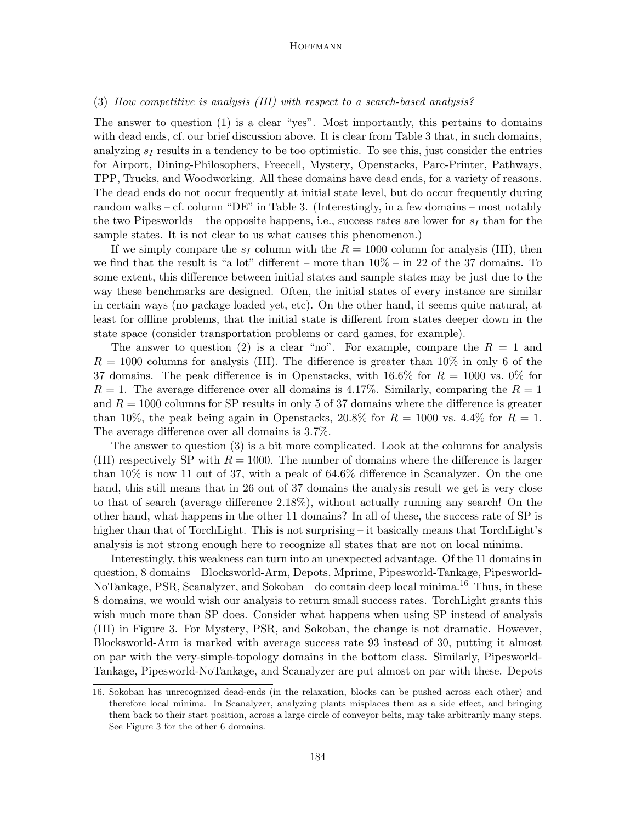# (3) How competitive is analysis (III) with respect to a search-based analysis?

The answer to question (1) is a clear "yes". Most importantly, this pertains to domains with dead ends, cf. our brief discussion above. It is clear from Table 3 that, in such domains, analyzing  $s_I$  results in a tendency to be too optimistic. To see this, just consider the entries for Airport, Dining-Philosophers, Freecell, Mystery, Openstacks, Parc-Printer, Pathways, TPP, Trucks, and Woodworking. All these domains have dead ends, for a variety of reasons. The dead ends do not occur frequently at initial state level, but do occur frequently during random walks – cf. column "DE" in Table 3. (Interestingly, in a few domains – most notably the two Pipesworlds – the opposite happens, i.e., success rates are lower for  $s_I$  than for the sample states. It is not clear to us what causes this phenomenon.)

If we simply compare the  $s_I$  column with the  $R = 1000$  column for analysis (III), then we find that the result is "a lot" different – more than  $10\%$  – in 22 of the 37 domains. To some extent, this difference between initial states and sample states may be just due to the way these benchmarks are designed. Often, the initial states of every instance are similar in certain ways (no package loaded yet, etc). On the other hand, it seems quite natural, at least for offline problems, that the initial state is different from states deeper down in the state space (consider transportation problems or card games, for example).

The answer to question (2) is a clear "no". For example, compare the  $R = 1$  and  $R = 1000$  columns for analysis (III). The difference is greater than 10% in only 6 of the 37 domains. The peak difference is in Openstacks, with  $16.6\%$  for  $R = 1000$  vs. 0% for  $R = 1$ . The average difference over all domains is 4.17%. Similarly, comparing the  $R = 1$ and  $R = 1000$  columns for SP results in only 5 of 37 domains where the difference is greater than 10%, the peak being again in Openstacks, 20.8% for  $R = 1000$  vs. 4.4% for  $R = 1$ . The average difference over all domains is 3.7%.

The answer to question (3) is a bit more complicated. Look at the columns for analysis (III) respectively SP with  $R = 1000$ . The number of domains where the difference is larger than 10% is now 11 out of 37, with a peak of 64.6% difference in Scanalyzer. On the one hand, this still means that in 26 out of 37 domains the analysis result we get is very close to that of search (average difference 2.18%), without actually running any search! On the other hand, what happens in the other 11 domains? In all of these, the success rate of SP is higher than that of TorchLight. This is not surprising – it basically means that TorchLight's analysis is not strong enough here to recognize all states that are not on local minima.

Interestingly, this weakness can turn into an unexpected advantage. Of the 11 domains in question, 8 domains – Blocksworld-Arm, Depots, Mprime, Pipesworld-Tankage, Pipesworld-NoTankage, PSR, Scanalyzer, and Sokoban – do contain deep local minima.<sup>16</sup> Thus, in these 8 domains, we would wish our analysis to return small success rates. TorchLight grants this wish much more than SP does. Consider what happens when using SP instead of analysis (III) in Figure 3. For Mystery, PSR, and Sokoban, the change is not dramatic. However, Blocksworld-Arm is marked with average success rate 93 instead of 30, putting it almost on par with the very-simple-topology domains in the bottom class. Similarly, Pipesworld-Tankage, Pipesworld-NoTankage, and Scanalyzer are put almost on par with these. Depots

<sup>16.</sup> Sokoban has unrecognized dead-ends (in the relaxation, blocks can be pushed across each other) and therefore local minima. In Scanalyzer, analyzing plants misplaces them as a side effect, and bringing them back to their start position, across a large circle of conveyor belts, may take arbitrarily many steps. See Figure 3 for the other 6 domains.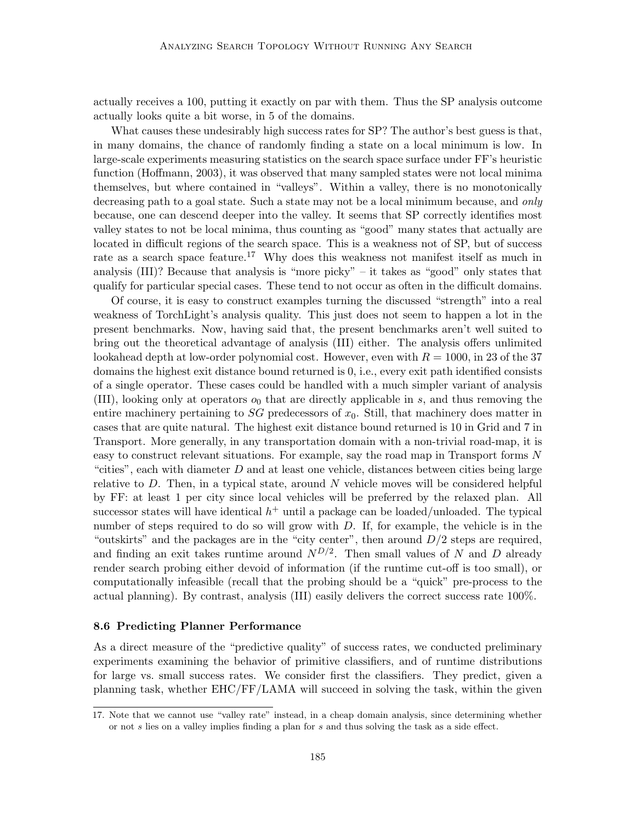actually receives a 100, putting it exactly on par with them. Thus the SP analysis outcome actually looks quite a bit worse, in 5 of the domains.

What causes these undesirably high success rates for SP? The author's best guess is that, in many domains, the chance of randomly finding a state on a local minimum is low. In large-scale experiments measuring statistics on the search space surface under FF's heuristic function (Hoffmann, 2003), it was observed that many sampled states were not local minima themselves, but where contained in "valleys". Within a valley, there is no monotonically decreasing path to a goal state. Such a state may not be a local minimum because, and only because, one can descend deeper into the valley. It seems that SP correctly identifies most valley states to not be local minima, thus counting as "good" many states that actually are located in difficult regions of the search space. This is a weakness not of SP, but of success rate as a search space feature.<sup>17</sup> Why does this weakness not manifest itself as much in analysis (III)? Because that analysis is "more picky" – it takes as "good" only states that qualify for particular special cases. These tend to not occur as often in the difficult domains.

Of course, it is easy to construct examples turning the discussed "strength" into a real weakness of TorchLight's analysis quality. This just does not seem to happen a lot in the present benchmarks. Now, having said that, the present benchmarks aren't well suited to bring out the theoretical advantage of analysis (III) either. The analysis offers unlimited lookahead depth at low-order polynomial cost. However, even with  $R = 1000$ , in 23 of the 37 domains the highest exit distance bound returned is 0, i.e., every exit path identified consists of a single operator. These cases could be handled with a much simpler variant of analysis (III), looking only at operators  $o_0$  that are directly applicable in s, and thus removing the entire machinery pertaining to  $SG$  predecessors of  $x<sub>0</sub>$ . Still, that machinery does matter in cases that are quite natural. The highest exit distance bound returned is 10 in Grid and 7 in Transport. More generally, in any transportation domain with a non-trivial road-map, it is easy to construct relevant situations. For example, say the road map in Transport forms N "cities", each with diameter  $D$  and at least one vehicle, distances between cities being large relative to  $D$ . Then, in a typical state, around N vehicle moves will be considered helpful by FF: at least 1 per city since local vehicles will be preferred by the relaxed plan. All successor states will have identical  $h^+$  until a package can be loaded/unloaded. The typical number of steps required to do so will grow with  $D$ . If, for example, the vehicle is in the "outskirts" and the packages are in the "city center", then around  $D/2$  steps are required, and finding an exit takes runtime around  $N^{D/2}$ . Then small values of N and D already render search probing either devoid of information (if the runtime cut-off is too small), or computationally infeasible (recall that the probing should be a "quick" pre-process to the actual planning). By contrast, analysis (III) easily delivers the correct success rate 100%.

#### 8.6 Predicting Planner Performance

As a direct measure of the "predictive quality" of success rates, we conducted preliminary experiments examining the behavior of primitive classifiers, and of runtime distributions for large vs. small success rates. We consider first the classifiers. They predict, given a planning task, whether EHC/FF/LAMA will succeed in solving the task, within the given

<sup>17.</sup> Note that we cannot use "valley rate" instead, in a cheap domain analysis, since determining whether or not s lies on a valley implies finding a plan for s and thus solving the task as a side effect.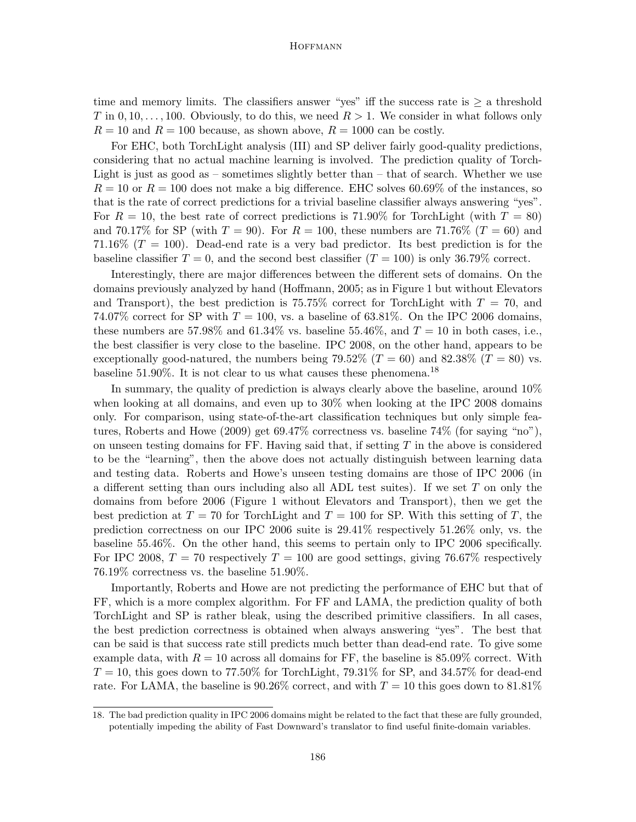time and memory limits. The classifiers answer "yes" iff the success rate is  $\geq$  a threshold T in 0, 10, ..., 100. Obviously, to do this, we need  $R > 1$ . We consider in what follows only  $R = 10$  and  $R = 100$  because, as shown above,  $R = 1000$  can be costly.

For EHC, both TorchLight analysis (III) and SP deliver fairly good-quality predictions, considering that no actual machine learning is involved. The prediction quality of Torch-Light is just as good as – sometimes slightly better than – that of search. Whether we use  $R = 10$  or  $R = 100$  does not make a big difference. EHC solves 60.69% of the instances, so that is the rate of correct predictions for a trivial baseline classifier always answering "yes". For  $R = 10$ , the best rate of correct predictions is 71.90% for TorchLight (with  $T = 80$ ) and 70.17% for SP (with  $T = 90$ ). For  $R = 100$ , these numbers are 71.76% ( $T = 60$ ) and 71.16%  $(T = 100)$ . Dead-end rate is a very bad predictor. Its best prediction is for the baseline classifier  $T = 0$ , and the second best classifier  $(T = 100)$  is only 36.79% correct.

Interestingly, there are major differences between the different sets of domains. On the domains previously analyzed by hand (Hoffmann, 2005; as in Figure 1 but without Elevators and Transport), the best prediction is  $75.75\%$  correct for TorchLight with  $T = 70$ , and 74.07% correct for SP with  $T = 100$ , vs. a baseline of 63.81%. On the IPC 2006 domains, these numbers are 57.98% and 61.34% vs. baseline 55.46%, and  $T = 10$  in both cases, i.e., the best classifier is very close to the baseline. IPC 2008, on the other hand, appears to be exceptionally good-natured, the numbers being  $79.52\%$  ( $T = 60$ ) and  $82.38\%$  ( $T = 80$ ) vs. baseline  $51.90\%$ . It is not clear to us what causes these phenomena.<sup>18</sup>

In summary, the quality of prediction is always clearly above the baseline, around 10% when looking at all domains, and even up to 30% when looking at the IPC 2008 domains only. For comparison, using state-of-the-art classification techniques but only simple features, Roberts and Howe (2009) get 69.47% correctness vs. baseline 74% (for saying "no"), on unseen testing domains for FF. Having said that, if setting  $T$  in the above is considered to be the "learning", then the above does not actually distinguish between learning data and testing data. Roberts and Howe's unseen testing domains are those of IPC 2006 (in a different setting than ours including also all ADL test suites). If we set T on only the domains from before 2006 (Figure 1 without Elevators and Transport), then we get the best prediction at  $T = 70$  for TorchLight and  $T = 100$  for SP. With this setting of T, the prediction correctness on our IPC 2006 suite is 29.41% respectively 51.26% only, vs. the baseline 55.46%. On the other hand, this seems to pertain only to IPC 2006 specifically. For IPC 2008,  $T = 70$  respectively  $T = 100$  are good settings, giving 76.67% respectively 76.19% correctness vs. the baseline 51.90%.

Importantly, Roberts and Howe are not predicting the performance of EHC but that of FF, which is a more complex algorithm. For FF and LAMA, the prediction quality of both TorchLight and SP is rather bleak, using the described primitive classifiers. In all cases, the best prediction correctness is obtained when always answering "yes". The best that can be said is that success rate still predicts much better than dead-end rate. To give some example data, with  $R = 10$  across all domains for FF, the baseline is 85.09% correct. With  $T = 10$ , this goes down to 77.50% for TorchLight, 79.31% for SP, and 34.57% for dead-end rate. For LAMA, the baseline is  $90.26\%$  correct, and with  $T = 10$  this goes down to  $81.81\%$ 

<sup>18.</sup> The bad prediction quality in IPC 2006 domains might be related to the fact that these are fully grounded, potentially impeding the ability of Fast Downward's translator to find useful finite-domain variables.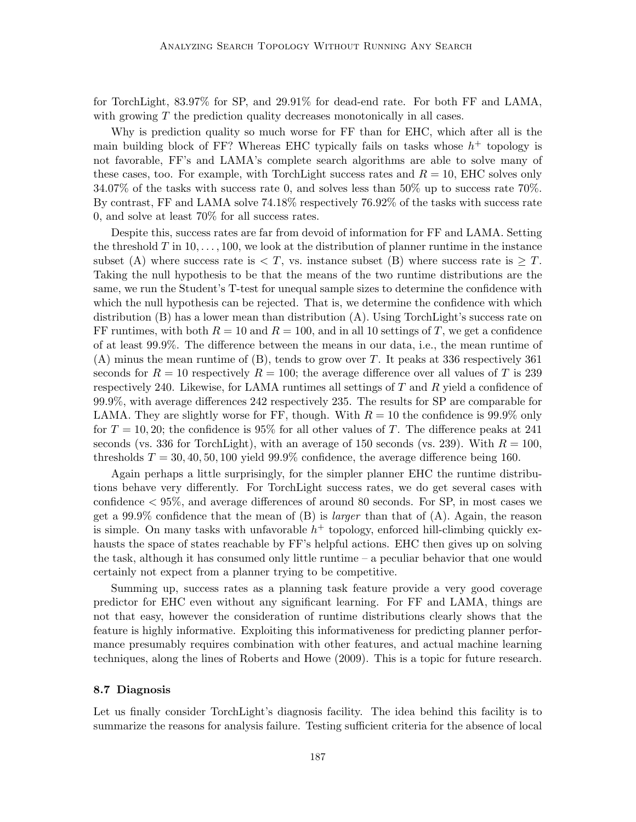for TorchLight, 83.97% for SP, and 29.91% for dead-end rate. For both FF and LAMA, with growing  $T$  the prediction quality decreases monotonically in all cases.

Why is prediction quality so much worse for FF than for EHC, which after all is the main building block of FF? Whereas EHC typically fails on tasks whose  $h^+$  topology is not favorable, FF's and LAMA's complete search algorithms are able to solve many of these cases, too. For example, with TorchLight success rates and  $R = 10$ , EHC solves only 34.07% of the tasks with success rate 0, and solves less than 50% up to success rate 70%. By contrast, FF and LAMA solve 74.18% respectively 76.92% of the tasks with success rate 0, and solve at least 70% for all success rates.

Despite this, success rates are far from devoid of information for FF and LAMA. Setting the threshold T in  $10, \ldots, 100$ , we look at the distribution of planner runtime in the instance subset (A) where success rate is  $\lt T$ , vs. instance subset (B) where success rate is  $\geq T$ . Taking the null hypothesis to be that the means of the two runtime distributions are the same, we run the Student's T-test for unequal sample sizes to determine the confidence with which the null hypothesis can be rejected. That is, we determine the confidence with which distribution (B) has a lower mean than distribution (A). Using TorchLight's success rate on FF runtimes, with both  $R = 10$  and  $R = 100$ , and in all 10 settings of T, we get a confidence of at least 99.9%. The difference between the means in our data, i.e., the mean runtime of (A) minus the mean runtime of (B), tends to grow over T. It peaks at 336 respectively 361 seconds for  $R = 10$  respectively  $R = 100$ ; the average difference over all values of T is 239 respectively 240. Likewise, for LAMA runtimes all settings of  $T$  and  $R$  yield a confidence of 99.9%, with average differences 242 respectively 235. The results for SP are comparable for LAMA. They are slightly worse for FF, though. With  $R = 10$  the confidence is 99.9% only for  $T = 10, 20$ ; the confidence is 95% for all other values of T. The difference peaks at 241 seconds (vs. 336 for TorchLight), with an average of 150 seconds (vs. 239). With  $R = 100$ , thresholds  $T = 30, 40, 50, 100$  yield 99.9% confidence, the average difference being 160.

Again perhaps a little surprisingly, for the simpler planner EHC the runtime distributions behave very differently. For TorchLight success rates, we do get several cases with confidence < 95%, and average differences of around 80 seconds. For SP, in most cases we get a 99.9% confidence that the mean of  $(B)$  is *larger* than that of  $(A)$ . Again, the reason is simple. On many tasks with unfavorable  $h^+$  topology, enforced hill-climbing quickly exhausts the space of states reachable by FF's helpful actions. EHC then gives up on solving the task, although it has consumed only little runtime – a peculiar behavior that one would certainly not expect from a planner trying to be competitive.

Summing up, success rates as a planning task feature provide a very good coverage predictor for EHC even without any significant learning. For FF and LAMA, things are not that easy, however the consideration of runtime distributions clearly shows that the feature is highly informative. Exploiting this informativeness for predicting planner performance presumably requires combination with other features, and actual machine learning techniques, along the lines of Roberts and Howe (2009). This is a topic for future research.

#### 8.7 Diagnosis

Let us finally consider TorchLight's diagnosis facility. The idea behind this facility is to summarize the reasons for analysis failure. Testing sufficient criteria for the absence of local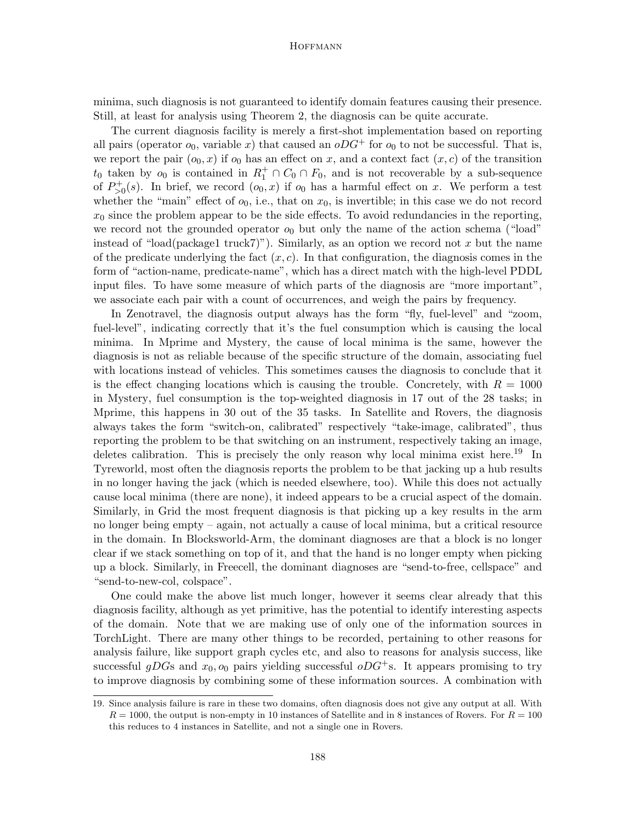minima, such diagnosis is not guaranteed to identify domain features causing their presence. Still, at least for analysis using Theorem 2, the diagnosis can be quite accurate.

The current diagnosis facility is merely a first-shot implementation based on reporting all pairs (operator  $o_0$ , variable x) that caused an  $oDG^+$  for  $o_0$  to not be successful. That is, we report the pair  $(o_0, x)$  if  $o_0$  has an effect on x, and a context fact  $(x, c)$  of the transition  $t_0$  taken by  $o_0$  is contained in  $R_1^+ \cap C_0 \cap F_0$ , and is not recoverable by a sub-sequence of  $P_{>0}^+(s)$ . In brief, we record  $(o_0, x)$  if  $o_0$  has a harmful effect on x. We perform a test whether the "main" effect of  $o_0$ , i.e., that on  $x_0$ , is invertible; in this case we do not record  $x_0$  since the problem appear to be the side effects. To avoid redundancies in the reporting, we record not the grounded operator  $o_0$  but only the name of the action schema ("load" instead of "load(package1 truck7)"). Similarly, as an option we record not x but the name of the predicate underlying the fact  $(x, c)$ . In that configuration, the diagnosis comes in the form of "action-name, predicate-name", which has a direct match with the high-level PDDL input files. To have some measure of which parts of the diagnosis are "more important", we associate each pair with a count of occurrences, and weigh the pairs by frequency.

In Zenotravel, the diagnosis output always has the form "fly, fuel-level" and "zoom, fuel-level", indicating correctly that it's the fuel consumption which is causing the local minima. In Mprime and Mystery, the cause of local minima is the same, however the diagnosis is not as reliable because of the specific structure of the domain, associating fuel with locations instead of vehicles. This sometimes causes the diagnosis to conclude that it is the effect changing locations which is causing the trouble. Concretely, with  $R = 1000$ in Mystery, fuel consumption is the top-weighted diagnosis in 17 out of the 28 tasks; in Mprime, this happens in 30 out of the 35 tasks. In Satellite and Rovers, the diagnosis always takes the form "switch-on, calibrated" respectively "take-image, calibrated", thus reporting the problem to be that switching on an instrument, respectively taking an image, deletes calibration. This is precisely the only reason why local minima exist here.<sup>19</sup> In Tyreworld, most often the diagnosis reports the problem to be that jacking up a hub results in no longer having the jack (which is needed elsewhere, too). While this does not actually cause local minima (there are none), it indeed appears to be a crucial aspect of the domain. Similarly, in Grid the most frequent diagnosis is that picking up a key results in the arm no longer being empty – again, not actually a cause of local minima, but a critical resource in the domain. In Blocksworld-Arm, the dominant diagnoses are that a block is no longer clear if we stack something on top of it, and that the hand is no longer empty when picking up a block. Similarly, in Freecell, the dominant diagnoses are "send-to-free, cellspace" and "send-to-new-col, colspace".

One could make the above list much longer, however it seems clear already that this diagnosis facility, although as yet primitive, has the potential to identify interesting aspects of the domain. Note that we are making use of only one of the information sources in TorchLight. There are many other things to be recorded, pertaining to other reasons for analysis failure, like support graph cycles etc, and also to reasons for analysis success, like successful gDGs and  $x_0$ ,  $o_0$  pairs yielding successful  $oDG^+s$ . It appears promising to try to improve diagnosis by combining some of these information sources. A combination with

<sup>19.</sup> Since analysis failure is rare in these two domains, often diagnosis does not give any output at all. With  $R = 1000$ , the output is non-empty in 10 instances of Satellite and in 8 instances of Rovers. For  $R = 100$ this reduces to 4 instances in Satellite, and not a single one in Rovers.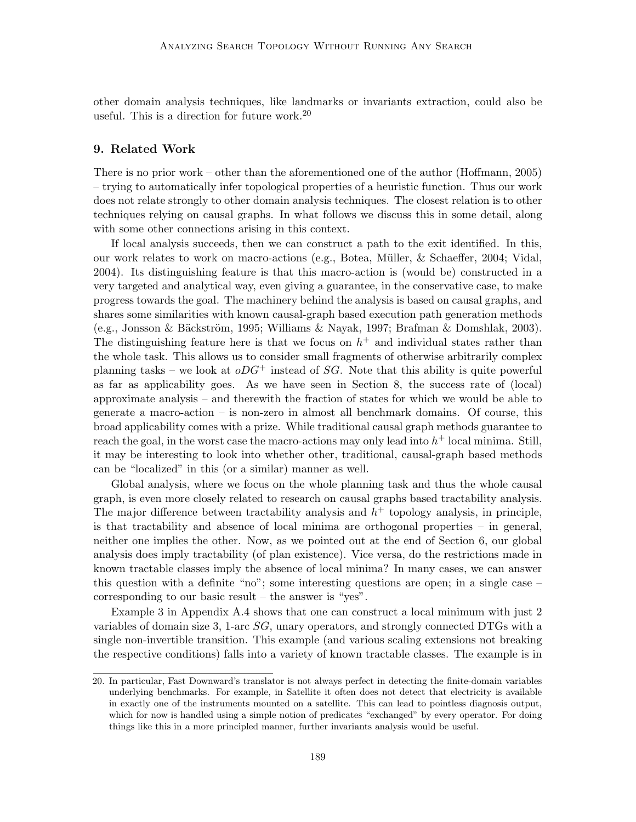other domain analysis techniques, like landmarks or invariants extraction, could also be useful. This is a direction for future work.<sup>20</sup>

# 9. Related Work

There is no prior work – other than the aforementioned one of the author (Hoffmann, 2005) – trying to automatically infer topological properties of a heuristic function. Thus our work does not relate strongly to other domain analysis techniques. The closest relation is to other techniques relying on causal graphs. In what follows we discuss this in some detail, along with some other connections arising in this context.

If local analysis succeeds, then we can construct a path to the exit identified. In this, our work relates to work on macro-actions (e.g., Botea, M¨uller, & Schaeffer, 2004; Vidal, 2004). Its distinguishing feature is that this macro-action is (would be) constructed in a very targeted and analytical way, even giving a guarantee, in the conservative case, to make progress towards the goal. The machinery behind the analysis is based on causal graphs, and shares some similarities with known causal-graph based execution path generation methods (e.g., Jonsson & Bäckström, 1995; Williams & Nayak, 1997; Brafman & Domshlak, 2003). The distinguishing feature here is that we focus on  $h^+$  and individual states rather than the whole task. This allows us to consider small fragments of otherwise arbitrarily complex planning tasks – we look at  $oDG^+$  instead of SG. Note that this ability is quite powerful as far as applicability goes. As we have seen in Section 8, the success rate of (local) approximate analysis – and therewith the fraction of states for which we would be able to generate a macro-action – is non-zero in almost all benchmark domains. Of course, this broad applicability comes with a prize. While traditional causal graph methods guarantee to reach the goal, in the worst case the macro-actions may only lead into  $h^+$  local minima. Still, it may be interesting to look into whether other, traditional, causal-graph based methods can be "localized" in this (or a similar) manner as well.

Global analysis, where we focus on the whole planning task and thus the whole causal graph, is even more closely related to research on causal graphs based tractability analysis. The major difference between tractability analysis and  $h<sup>+</sup>$  topology analysis, in principle, is that tractability and absence of local minima are orthogonal properties – in general, neither one implies the other. Now, as we pointed out at the end of Section 6, our global analysis does imply tractability (of plan existence). Vice versa, do the restrictions made in known tractable classes imply the absence of local minima? In many cases, we can answer this question with a definite "no"; some interesting questions are open; in a single case – corresponding to our basic result – the answer is "yes".

Example 3 in Appendix A.4 shows that one can construct a local minimum with just 2 variables of domain size 3, 1-arc  $SG$ , unary operators, and strongly connected DTGs with a single non-invertible transition. This example (and various scaling extensions not breaking the respective conditions) falls into a variety of known tractable classes. The example is in

<sup>20.</sup> In particular, Fast Downward's translator is not always perfect in detecting the finite-domain variables underlying benchmarks. For example, in Satellite it often does not detect that electricity is available in exactly one of the instruments mounted on a satellite. This can lead to pointless diagnosis output, which for now is handled using a simple notion of predicates "exchanged" by every operator. For doing things like this in a more principled manner, further invariants analysis would be useful.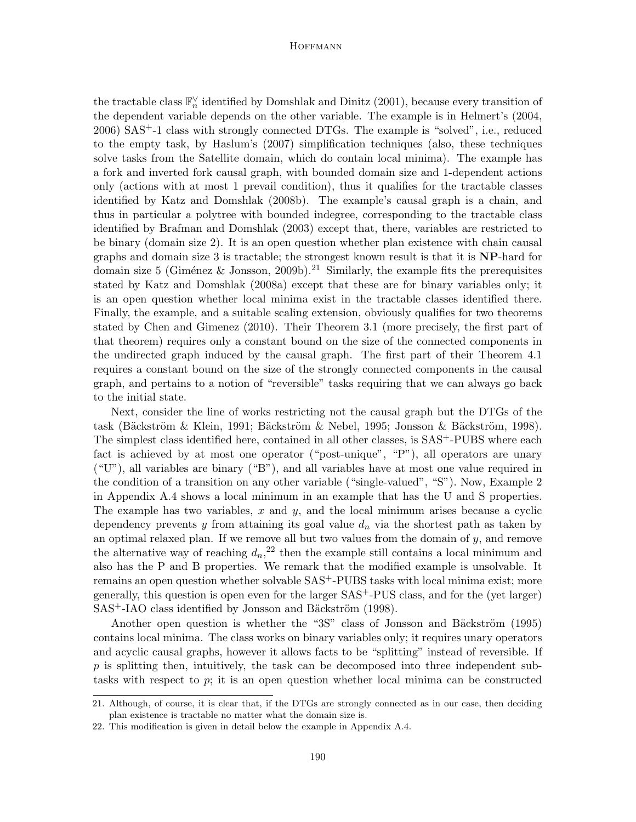the tractable class  $\mathbb{F}_n^{\vee}$  identified by Domshlak and Dinitz (2001), because every transition of the dependent variable depends on the other variable. The example is in Helmert's (2004, 2006) SAS+-1 class with strongly connected DTGs. The example is "solved", i.e., reduced to the empty task, by Haslum's (2007) simplification techniques (also, these techniques solve tasks from the Satellite domain, which do contain local minima). The example has a fork and inverted fork causal graph, with bounded domain size and 1-dependent actions only (actions with at most 1 prevail condition), thus it qualifies for the tractable classes identified by Katz and Domshlak (2008b). The example's causal graph is a chain, and thus in particular a polytree with bounded indegree, corresponding to the tractable class identified by Brafman and Domshlak (2003) except that, there, variables are restricted to be binary (domain size 2). It is an open question whether plan existence with chain causal graphs and domain size 3 is tractable; the strongest known result is that it is NP-hard for domain size 5 (Giménez & Jonsson, 2009b).<sup>21</sup> Similarly, the example fits the prerequisites stated by Katz and Domshlak (2008a) except that these are for binary variables only; it is an open question whether local minima exist in the tractable classes identified there. Finally, the example, and a suitable scaling extension, obviously qualifies for two theorems stated by Chen and Gimenez (2010). Their Theorem 3.1 (more precisely, the first part of that theorem) requires only a constant bound on the size of the connected components in the undirected graph induced by the causal graph. The first part of their Theorem 4.1 requires a constant bound on the size of the strongly connected components in the causal graph, and pertains to a notion of "reversible" tasks requiring that we can always go back to the initial state.

Next, consider the line of works restricting not the causal graph but the DTGs of the task (Bäckström & Klein, 1991; Bäckström & Nebel, 1995; Jonsson & Bäckström, 1998). The simplest class identified here, contained in all other classes, is  $SAS^+$ -PUBS where each fact is achieved by at most one operator ("post-unique", "P"), all operators are unary ("U"), all variables are binary ("B"), and all variables have at most one value required in the condition of a transition on any other variable ("single-valued", "S"). Now, Example 2 in Appendix A.4 shows a local minimum in an example that has the U and S properties. The example has two variables, x and y, and the local minimum arises because a cyclic dependency prevents y from attaining its goal value  $d_n$  via the shortest path as taken by an optimal relaxed plan. If we remove all but two values from the domain of  $y$ , and remove the alternative way of reaching  $d_n$ <sup>22</sup> then the example still contains a local minimum and also has the P and B properties. We remark that the modified example is unsolvable. It remains an open question whether solvable SAS+-PUBS tasks with local minima exist; more generally, this question is open even for the larger SAS+-PUS class, and for the (yet larger) SAS<sup>+</sup>-IAO class identified by Jonsson and Bäckström (1998).

Another open question is whether the "3S" class of Jonsson and Bäckström (1995) contains local minima. The class works on binary variables only; it requires unary operators and acyclic causal graphs, however it allows facts to be "splitting" instead of reversible. If  $p$  is splitting then, intuitively, the task can be decomposed into three independent subtasks with respect to p; it is an open question whether local minima can be constructed

<sup>21.</sup> Although, of course, it is clear that, if the DTGs are strongly connected as in our case, then deciding plan existence is tractable no matter what the domain size is.

<sup>22.</sup> This modification is given in detail below the example in Appendix A.4.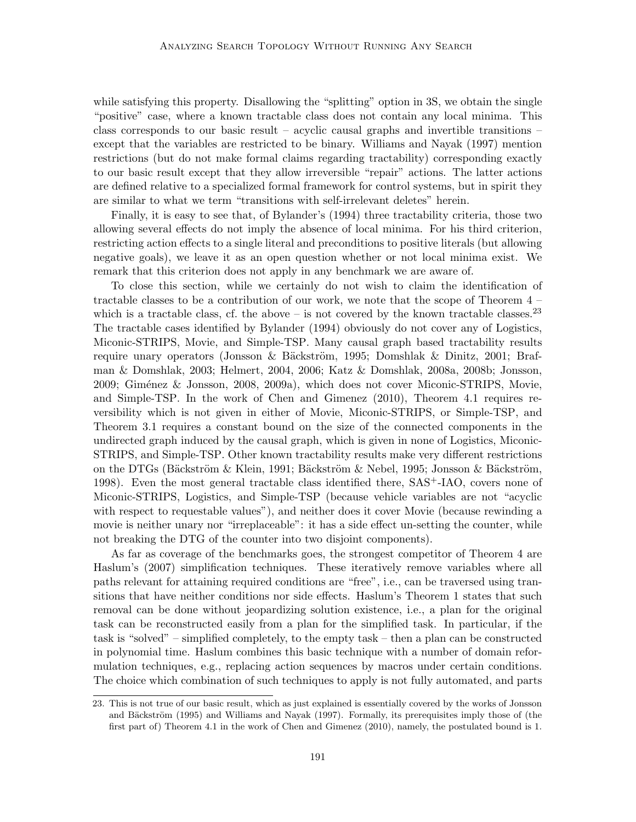while satisfying this property. Disallowing the "splitting" option in 3S, we obtain the single "positive" case, where a known tractable class does not contain any local minima. This class corresponds to our basic result – acyclic causal graphs and invertible transitions – except that the variables are restricted to be binary. Williams and Nayak (1997) mention restrictions (but do not make formal claims regarding tractability) corresponding exactly to our basic result except that they allow irreversible "repair" actions. The latter actions are defined relative to a specialized formal framework for control systems, but in spirit they are similar to what we term "transitions with self-irrelevant deletes" herein.

Finally, it is easy to see that, of Bylander's (1994) three tractability criteria, those two allowing several effects do not imply the absence of local minima. For his third criterion, restricting action effects to a single literal and preconditions to positive literals (but allowing negative goals), we leave it as an open question whether or not local minima exist. We remark that this criterion does not apply in any benchmark we are aware of.

To close this section, while we certainly do not wish to claim the identification of tractable classes to be a contribution of our work, we note that the scope of Theorem  $4$ which is a tractable class, cf. the above – is not covered by the known tractable classes.<sup>23</sup> The tractable cases identified by Bylander (1994) obviously do not cover any of Logistics, Miconic-STRIPS, Movie, and Simple-TSP. Many causal graph based tractability results require unary operators (Jonsson & Bäckström, 1995; Domshlak & Dinitz, 2001; Brafman & Domshlak, 2003; Helmert, 2004, 2006; Katz & Domshlak, 2008a, 2008b; Jonsson, 2009; Giménez & Jonsson, 2008, 2009a), which does not cover Miconic-STRIPS, Movie, and Simple-TSP. In the work of Chen and Gimenez (2010), Theorem 4.1 requires reversibility which is not given in either of Movie, Miconic-STRIPS, or Simple-TSP, and Theorem 3.1 requires a constant bound on the size of the connected components in the undirected graph induced by the causal graph, which is given in none of Logistics, Miconic-STRIPS, and Simple-TSP. Other known tractability results make very different restrictions on the DTGs (Bäckström & Klein, 1991; Bäckström & Nebel, 1995; Jonsson & Bäckström, 1998). Even the most general tractable class identified there, SAS+-IAO, covers none of Miconic-STRIPS, Logistics, and Simple-TSP (because vehicle variables are not "acyclic with respect to requestable values"), and neither does it cover Movie (because rewinding a movie is neither unary nor "irreplaceable": it has a side effect un-setting the counter, while not breaking the DTG of the counter into two disjoint components).

As far as coverage of the benchmarks goes, the strongest competitor of Theorem 4 are Haslum's (2007) simplification techniques. These iteratively remove variables where all paths relevant for attaining required conditions are "free", i.e., can be traversed using transitions that have neither conditions nor side effects. Haslum's Theorem 1 states that such removal can be done without jeopardizing solution existence, i.e., a plan for the original task can be reconstructed easily from a plan for the simplified task. In particular, if the task is "solved" – simplified completely, to the empty task – then a plan can be constructed in polynomial time. Haslum combines this basic technique with a number of domain reformulation techniques, e.g., replacing action sequences by macros under certain conditions. The choice which combination of such techniques to apply is not fully automated, and parts

<sup>23.</sup> This is not true of our basic result, which as just explained is essentially covered by the works of Jonsson and Bäckström (1995) and Williams and Nayak (1997). Formally, its prerequisites imply those of (the first part of) Theorem 4.1 in the work of Chen and Gimenez (2010), namely, the postulated bound is 1.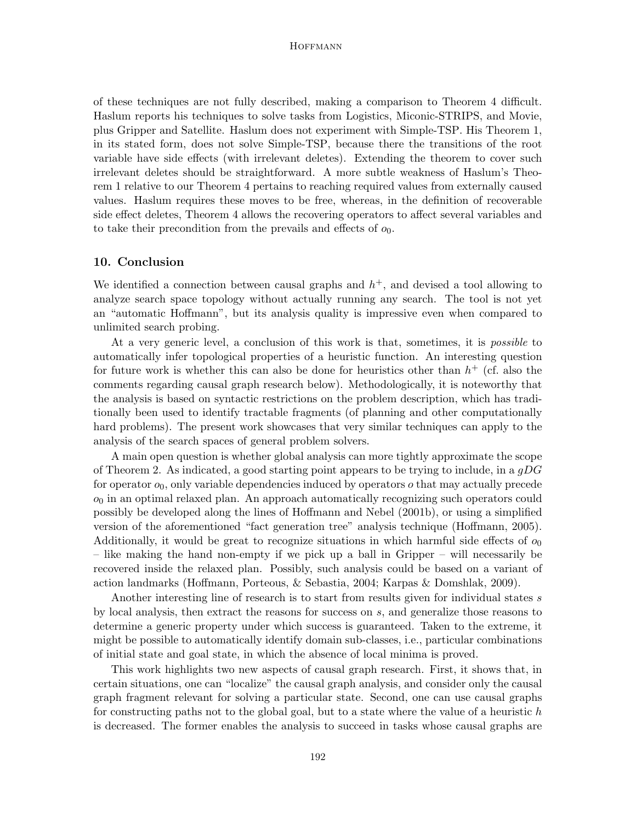of these techniques are not fully described, making a comparison to Theorem 4 difficult. Haslum reports his techniques to solve tasks from Logistics, Miconic-STRIPS, and Movie, plus Gripper and Satellite. Haslum does not experiment with Simple-TSP. His Theorem 1, in its stated form, does not solve Simple-TSP, because there the transitions of the root variable have side effects (with irrelevant deletes). Extending the theorem to cover such irrelevant deletes should be straightforward. A more subtle weakness of Haslum's Theorem 1 relative to our Theorem 4 pertains to reaching required values from externally caused values. Haslum requires these moves to be free, whereas, in the definition of recoverable side effect deletes, Theorem 4 allows the recovering operators to affect several variables and to take their precondition from the prevails and effects of  $o_0$ .

# 10. Conclusion

We identified a connection between causal graphs and  $h^+$ , and devised a tool allowing to analyze search space topology without actually running any search. The tool is not yet an "automatic Hoffmann", but its analysis quality is impressive even when compared to unlimited search probing.

At a very generic level, a conclusion of this work is that, sometimes, it is *possible* to automatically infer topological properties of a heuristic function. An interesting question for future work is whether this can also be done for heuristics other than  $h^+$  (cf. also the comments regarding causal graph research below). Methodologically, it is noteworthy that the analysis is based on syntactic restrictions on the problem description, which has traditionally been used to identify tractable fragments (of planning and other computationally hard problems). The present work showcases that very similar techniques can apply to the analysis of the search spaces of general problem solvers.

A main open question is whether global analysis can more tightly approximate the scope of Theorem 2. As indicated, a good starting point appears to be trying to include, in a  $gDG$ for operator  $o_0$ , only variable dependencies induced by operators  $o$  that may actually precede  $o<sub>0</sub>$  in an optimal relaxed plan. An approach automatically recognizing such operators could possibly be developed along the lines of Hoffmann and Nebel (2001b), or using a simplified version of the aforementioned "fact generation tree" analysis technique (Hoffmann, 2005). Additionally, it would be great to recognize situations in which harmful side effects of  $o_0$ – like making the hand non-empty if we pick up a ball in Gripper – will necessarily be recovered inside the relaxed plan. Possibly, such analysis could be based on a variant of action landmarks (Hoffmann, Porteous, & Sebastia, 2004; Karpas & Domshlak, 2009).

Another interesting line of research is to start from results given for individual states s by local analysis, then extract the reasons for success on s, and generalize those reasons to determine a generic property under which success is guaranteed. Taken to the extreme, it might be possible to automatically identify domain sub-classes, i.e., particular combinations of initial state and goal state, in which the absence of local minima is proved.

This work highlights two new aspects of causal graph research. First, it shows that, in certain situations, one can "localize" the causal graph analysis, and consider only the causal graph fragment relevant for solving a particular state. Second, one can use causal graphs for constructing paths not to the global goal, but to a state where the value of a heuristic  $h$ is decreased. The former enables the analysis to succeed in tasks whose causal graphs are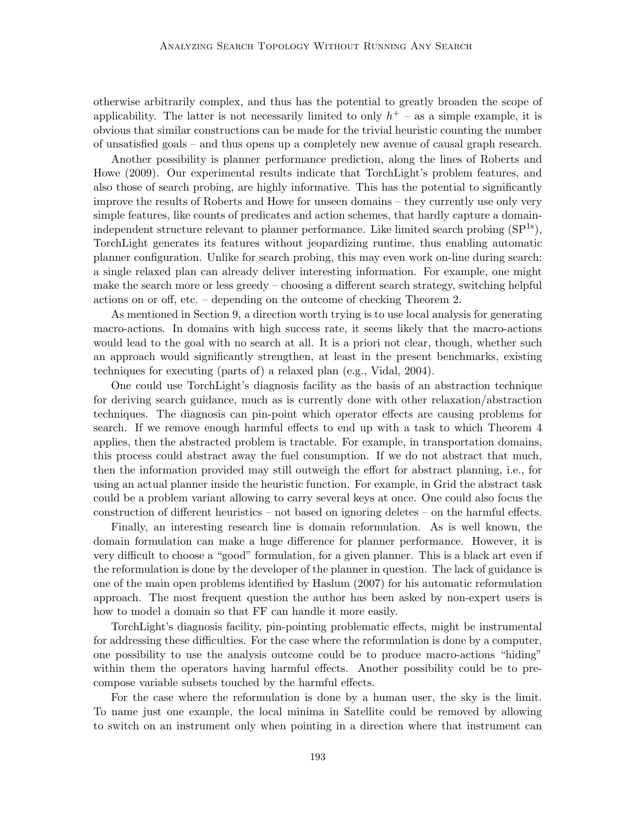otherwise arbitrarily complex, and thus has the potential to greatly broaden the scope of applicability. The latter is not necessarily limited to only  $h<sup>+</sup>$  – as a simple example, it is obvious that similar constructions can be made for the trivial heuristic counting the number of unsatisfied goals – and thus opens up a completely new avenue of causal graph research.

Another possibility is planner performance prediction, along the lines of Roberts and Howe (2009). Our experimental results indicate that TorchLight's problem features, and also those of search probing, are highly informative. This has the potential to significantly improve the results of Roberts and Howe for unseen domains – they currently use only very simple features, like counts of predicates and action schemes, that hardly capture a domainindependent structure relevant to planner performance. Like limited search probing  $(SP^{1s})$ , TorchLight generates its features without jeopardizing runtime, thus enabling automatic planner configuration. Unlike for search probing, this may even work on-line during search: a single relaxed plan can already deliver interesting information. For example, one might make the search more or less greedy – choosing a different search strategy, switching helpful actions on or off, etc. – depending on the outcome of checking Theorem 2.

As mentioned in Section 9, a direction worth trying is to use local analysis for generating macro-actions. In domains with high success rate, it seems likely that the macro-actions would lead to the goal with no search at all. It is a priori not clear, though, whether such an approach would significantly strengthen, at least in the present benchmarks, existing techniques for executing (parts of) a relaxed plan (e.g., Vidal, 2004).

One could use TorchLight's diagnosis facility as the basis of an abstraction technique for deriving search guidance, much as is currently done with other relaxation/abstraction techniques. The diagnosis can pin-point which operator effects are causing problems for search. If we remove enough harmful effects to end up with a task to which Theorem 4 applies, then the abstracted problem is tractable. For example, in transportation domains, this process could abstract away the fuel consumption. If we do not abstract that much, then the information provided may still outweigh the effort for abstract planning, i.e., for using an actual planner inside the heuristic function. For example, in Grid the abstract task could be a problem variant allowing to carry several keys at once. One could also focus the construction of different heuristics – not based on ignoring deletes – on the harmful effects.

Finally, an interesting research line is domain reformulation. As is well known, the domain formulation can make a huge difference for planner performance. However, it is very difficult to choose a "good" formulation, for a given planner. This is a black art even if the reformulation is done by the developer of the planner in question. The lack of guidance is one of the main open problems identified by Haslum (2007) for his automatic reformulation approach. The most frequent question the author has been asked by non-expert users is how to model a domain so that FF can handle it more easily.

TorchLight's diagnosis facility, pin-pointing problematic effects, might be instrumental for addressing these difficulties. For the case where the reformulation is done by a computer, one possibility to use the analysis outcome could be to produce macro-actions "hiding" within them the operators having harmful effects. Another possibility could be to precompose variable subsets touched by the harmful effects.

For the case where the reformulation is done by a human user, the sky is the limit. To name just one example, the local minima in Satellite could be removed by allowing to switch on an instrument only when pointing in a direction where that instrument can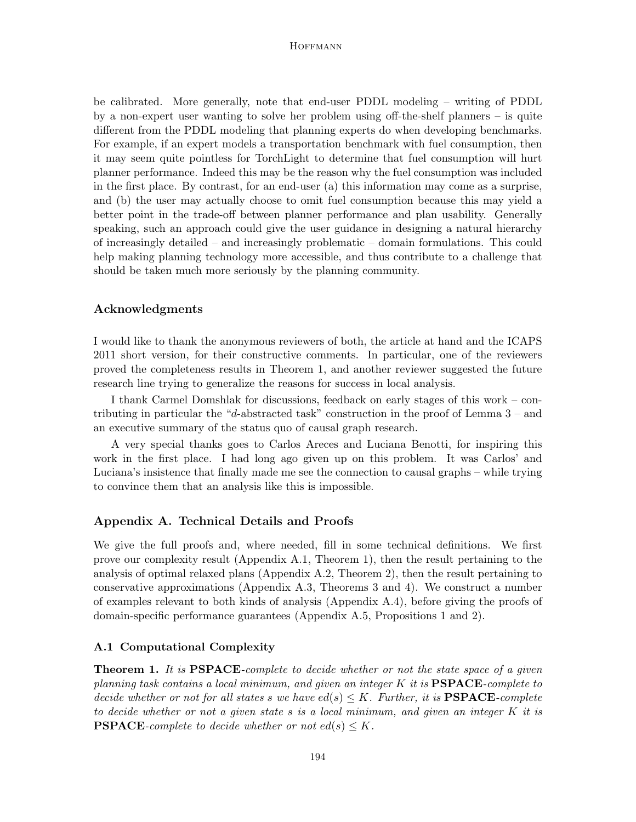be calibrated. More generally, note that end-user PDDL modeling – writing of PDDL by a non-expert user wanting to solve her problem using off-the-shelf planners – is quite different from the PDDL modeling that planning experts do when developing benchmarks. For example, if an expert models a transportation benchmark with fuel consumption, then it may seem quite pointless for TorchLight to determine that fuel consumption will hurt planner performance. Indeed this may be the reason why the fuel consumption was included in the first place. By contrast, for an end-user (a) this information may come as a surprise, and (b) the user may actually choose to omit fuel consumption because this may yield a better point in the trade-off between planner performance and plan usability. Generally speaking, such an approach could give the user guidance in designing a natural hierarchy of increasingly detailed – and increasingly problematic – domain formulations. This could help making planning technology more accessible, and thus contribute to a challenge that should be taken much more seriously by the planning community.

# Acknowledgments

I would like to thank the anonymous reviewers of both, the article at hand and the ICAPS 2011 short version, for their constructive comments. In particular, one of the reviewers proved the completeness results in Theorem 1, and another reviewer suggested the future research line trying to generalize the reasons for success in local analysis.

I thank Carmel Domshlak for discussions, feedback on early stages of this work – contributing in particular the "d-abstracted task" construction in the proof of Lemma  $3-$  and an executive summary of the status quo of causal graph research.

A very special thanks goes to Carlos Areces and Luciana Benotti, for inspiring this work in the first place. I had long ago given up on this problem. It was Carlos' and Luciana's insistence that finally made me see the connection to causal graphs – while trying to convince them that an analysis like this is impossible.

# Appendix A. Technical Details and Proofs

We give the full proofs and, where needed, fill in some technical definitions. We first prove our complexity result (Appendix A.1, Theorem 1), then the result pertaining to the analysis of optimal relaxed plans (Appendix A.2, Theorem 2), then the result pertaining to conservative approximations (Appendix A.3, Theorems 3 and 4). We construct a number of examples relevant to both kinds of analysis (Appendix A.4), before giving the proofs of domain-specific performance guarantees (Appendix A.5, Propositions 1 and 2).

# A.1 Computational Complexity

**Theorem 1.** It is **PSPACE**-complete to decide whether or not the state space of a given planning task contains a local minimum, and given an integer  $K$  it is  $\textbf{PSPACE}$ -complete to decide whether or not for all states s we have  $ed(s) \leq K$ . Further, it is **PSPACE**-complete to decide whether or not a given state s is a local minimum, and given an integer K it is **PSPACE**-complete to decide whether or not  $ed(s) \leq K$ .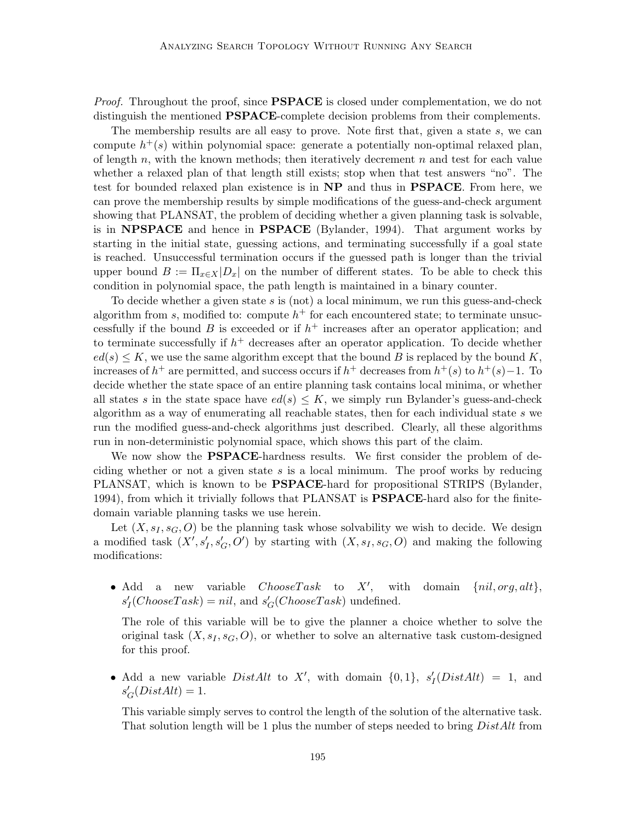*Proof.* Throughout the proof, since **PSPACE** is closed under complementation, we do not distinguish the mentioned **PSPACE**-complete decision problems from their complements.

The membership results are all easy to prove. Note first that, given a state s, we can compute  $h^+(s)$  within polynomial space: generate a potentially non-optimal relaxed plan, of length  $n$ , with the known methods; then iteratively decrement  $n$  and test for each value whether a relaxed plan of that length still exists; stop when that test answers "no". The test for bounded relaxed plan existence is in NP and thus in PSPACE. From here, we can prove the membership results by simple modifications of the guess-and-check argument showing that PLANSAT, the problem of deciding whether a given planning task is solvable, is in **NPSPACE** and hence in **PSPACE** (Bylander, 1994). That argument works by starting in the initial state, guessing actions, and terminating successfully if a goal state is reached. Unsuccessful termination occurs if the guessed path is longer than the trivial upper bound  $B := \Pi_{x \in X} |D_x|$  on the number of different states. To be able to check this condition in polynomial space, the path length is maintained in a binary counter.

To decide whether a given state  $s$  is (not) a local minimum, we run this guess-and-check algorithm from s, modified to: compute  $h^+$  for each encountered state; to terminate unsuccessfully if the bound B is exceeded or if  $h^+$  increases after an operator application; and to terminate successfully if  $h^+$  decreases after an operator application. To decide whether  $ed(s) \leq K$ , we use the same algorithm except that the bound B is replaced by the bound K, increases of  $h^+$  are permitted, and success occurs if  $h^+$  decreases from  $h^+(s)$  to  $h^+(s)$  -1. To decide whether the state space of an entire planning task contains local minima, or whether all states s in the state space have  $ed(s) \leq K$ , we simply run Bylander's guess-and-check algorithm as a way of enumerating all reachable states, then for each individual state s we run the modified guess-and-check algorithms just described. Clearly, all these algorithms run in non-deterministic polynomial space, which shows this part of the claim.

We now show the **PSPACE**-hardness results. We first consider the problem of deciding whether or not a given state  $s$  is a local minimum. The proof works by reducing PLANSAT, which is known to be **PSPACE**-hard for propositional STRIPS (Bylander, 1994), from which it trivially follows that PLANSAT is **PSPACE**-hard also for the finitedomain variable planning tasks we use herein.

Let  $(X, s<sub>I</sub>, s<sub>G</sub>, O)$  be the planning task whose solvability we wish to decide. We design a modified task  $(X', s'_I, s'_G, O')$  by starting with  $(X, s_I, s_G, O)$  and making the following modifications:

• Add a new variable  $ChooseTask$  to  $X'$ , with domain  $\{nil,org, alt\}$ ,  $s'_{I}(ChooseTask) = nil$ , and  $s'_{G}(ChooseTask)$  undefined.

The role of this variable will be to give the planner a choice whether to solve the original task  $(X, s<sub>I</sub>, s<sub>G</sub>, O)$ , or whether to solve an alternative task custom-designed for this proof.

• Add a new variable  $DistAlt$  to X', with domain  $\{0, 1\}$ ,  $s'_I(DistAlt) = 1$ , and  $s'_{G}(DistAlt) = 1.$ 

This variable simply serves to control the length of the solution of the alternative task. That solution length will be 1 plus the number of steps needed to bring DistAlt from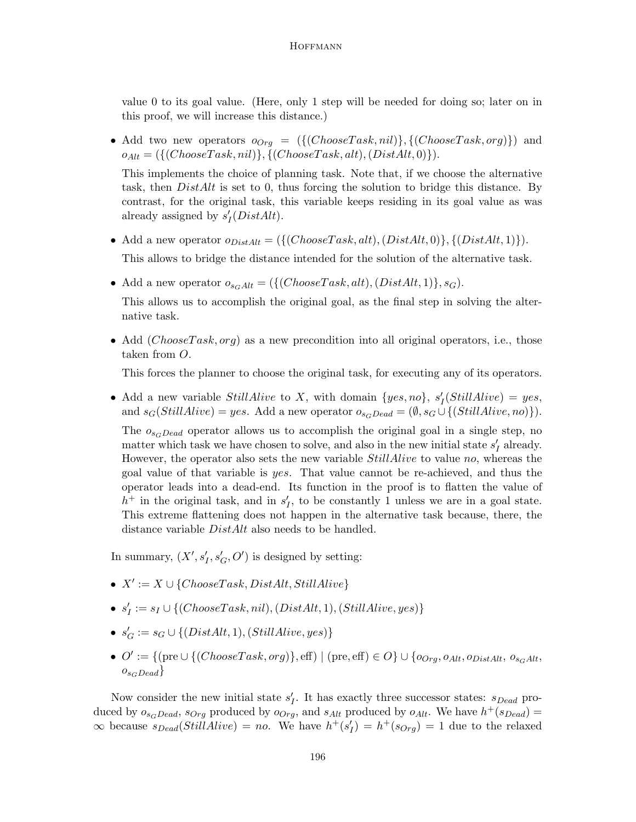value 0 to its goal value. (Here, only 1 step will be needed for doing so; later on in this proof, we will increase this distance.)

- Add two new operators  $o_{Org} = (\{(ChooseTask, nil)\}, \{(ChooseTask, org)\})$  and  $o_{Alt} = (\{(ChooseTask, nil)\}, \{(ChooseTask, alt), (DistAlt, 0)\}).$ This implements the choice of planning task. Note that, if we choose the alternative task, then  $DistAlt$  is set to 0, thus forcing the solution to bridge this distance. By contrast, for the original task, this variable keeps residing in its goal value as was already assigned by  $s'_I(DistAlt)$ .
- Add a new operator  $o_{DistAlt} = (\{(ChooseTask, alt), (DistAlt, 0)\}, \{(DistAlt, 1)\}).$ This allows to bridge the distance intended for the solution of the alternative task.
- Add a new operator  $o_{s_GAlt} = (\{(ChooseTask, alt), (DistAlt, 1)\}, s_G).$

This allows us to accomplish the original goal, as the final step in solving the alternative task.

• Add (*ChooseTask, org*) as a new precondition into all original operators, i.e., those taken from O.

This forces the planner to choose the original task, for executing any of its operators.

• Add a new variable *StillAlive* to X, with domain  $\{yes, no\}$ ,  $s'_{I}(StillAlive) = yes$ , and  $s_G(StillAlive) = yes$ . Add a new operator  $o_{s_GDead} = (\emptyset, s_G \cup \{(StillAlive, no)\}).$ 

The  $o_{s_c, Dead}$  operator allows us to accomplish the original goal in a single step, no matter which task we have chosen to solve, and also in the new initial state  $s'_I$  already. However, the operator also sets the new variable StillAlive to value no, whereas the goal value of that variable is yes. That value cannot be re-achieved, and thus the operator leads into a dead-end. Its function in the proof is to flatten the value of  $h^+$  in the original task, and in  $s'_I$ , to be constantly 1 unless we are in a goal state. This extreme flattening does not happen in the alternative task because, there, the distance variable DistAlt also needs to be handled.

In summary,  $(X', s'_I, s'_G, O')$  is designed by setting:

- $X' := X \cup \{ChooseTask, DistAlt, StillAlive\}$
- $s'_I := s_I \cup \{ (ChooseTask, nil), (DistAlt, 1), (StillAlive, yes) \}$
- $s'_G := s_G \cup \{ (DistAlt, 1), (Still Alice, yes) \}$
- $O' := \{(\text{pre} \cup \{(\text{ChooseTask}, \text{org})\}, \text{eff}) \mid (\text{pre}, \text{eff}) \in O\} \cup \{o_{Org}, o_{Alt}, o_{DistAlt}, o_{s_GAlt}, o_{estAlt}\}$  $o_{s_GDead}$

Now consider the new initial state  $s'_{I}$ . It has exactly three successor states:  $s_{Dead}$  produced by  $o_{s_GDead}$ ,  $s_{Org}$  produced by  $o_{Org}$ , and  $s_{Alt}$  produced by  $o_{Alt}$ . We have  $h^+(s_{Dead}) =$  $\infty$  because  $s_{Dead}(StillAlive) = no$ . We have  $h^+(s'_I) = h^+(s_{Org}) = 1$  due to the relaxed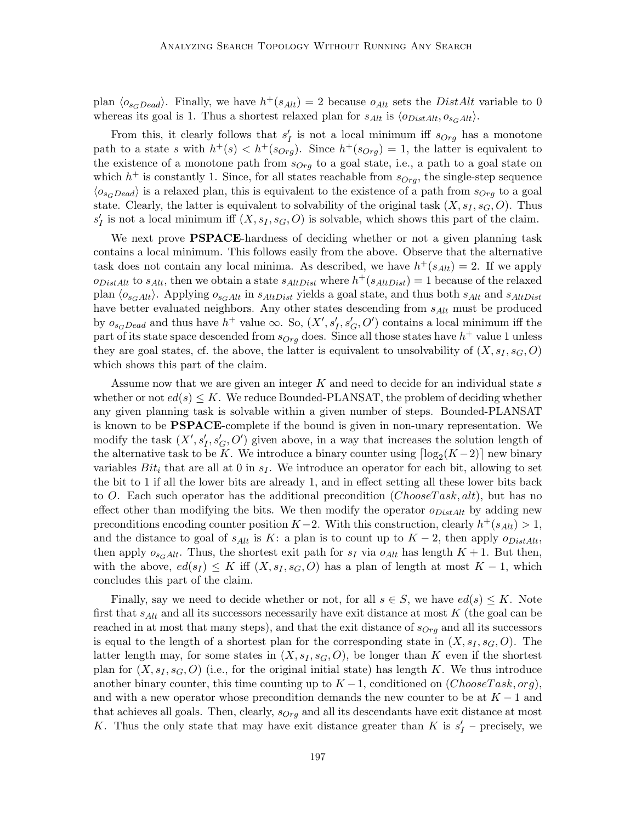plan  $\langle o_{s_GDead} \rangle$ . Finally, we have  $h^+(s_{Alt}) = 2$  because  $o_{Alt}$  sets the DistAlt variable to 0 whereas its goal is 1. Thus a shortest relaxed plan for  $s_{Alt}$  is  $\langle o_{DistAlt}, o_{s_GAlt} \rangle$ .

From this, it clearly follows that  $s'_I$  is not a local minimum iff  $s_{Org}$  has a monotone path to a state s with  $h^+(s) < h^+(s_{Org})$ . Since  $h^+(s_{Org}) = 1$ , the latter is equivalent to the existence of a monotone path from  $s_{Orq}$  to a goal state, i.e., a path to a goal state on which  $h^+$  is constantly 1. Since, for all states reachable from  $s_{Org}$ , the single-step sequence  $\langle o_{s_GDead} \rangle$  is a relaxed plan, this is equivalent to the existence of a path from  $s_{Org}$  to a goal state. Clearly, the latter is equivalent to solvability of the original task  $(X, s_I, s_G, O)$ . Thus  $s'_{I}$  is not a local minimum iff  $(X, s_{I}, s_{G}, O)$  is solvable, which shows this part of the claim.

We next prove **PSPACE**-hardness of deciding whether or not a given planning task contains a local minimum. This follows easily from the above. Observe that the alternative task does not contain any local minima. As described, we have  $h^+(s_{Alt}) = 2$ . If we apply  $o_{DistAlt}$  to  $s_{Alt}$ , then we obtain a state  $s_{AltDist}$  where  $h^+(s_{AltDist}) = 1$  because of the relaxed plan  $\langle o_{s_GAlt} \rangle$ . Applying  $o_{s_GAlt}$  in  $s_{AltDist}$  yields a goal state, and thus both  $s_{Alt}$  and  $s_{AltDist}$ have better evaluated neighbors. Any other states descending from  $s_{Alt}$  must be produced by  $o_{s_GDead}$  and thus have  $h^+$  value  $\infty$ . So,  $(X', s'_I, s'_G, O')$  contains a local minimum iff the part of its state space descended from  $s_{Org}$  does. Since all those states have  $h^+$  value 1 unless they are goal states, cf. the above, the latter is equivalent to unsolvability of  $(X, s_I, s_G, O)$ which shows this part of the claim.

Assume now that we are given an integer  $K$  and need to decide for an individual state  $s$ whether or not  $ed(s) \leq K$ . We reduce Bounded-PLANSAT, the problem of deciding whether any given planning task is solvable within a given number of steps. Bounded-PLANSAT is known to be PSPACE-complete if the bound is given in non-unary representation. We modify the task  $(X', s'_{I}, s'_{G}, O')$  given above, in a way that increases the solution length of the alternative task to be K. We introduce a binary counter using  $\lceil \log_2(K-2) \rceil$  new binary variables  $Bit_i$  that are all at 0 in  $s_I$ . We introduce an operator for each bit, allowing to set the bit to 1 if all the lower bits are already 1, and in effect setting all these lower bits back to O. Each such operator has the additional precondition  $(ChooseTask, alt)$ , but has no effect other than modifying the bits. We then modify the operator  $o_{DistAlt}$  by adding new preconditions encoding counter position  $K-2$ . With this construction, clearly  $h^+(s_{Alt}) > 1$ , and the distance to goal of  $s_{Alt}$  is K: a plan is to count up to  $K-2$ , then apply  $o_{DistAlt}$ , then apply  $o_{s_GAlt}$ . Thus, the shortest exit path for  $s_I$  via  $o_{Alt}$  has length  $K + 1$ . But then, with the above,  $ed(s_I) \leq K$  iff  $(X, s_I, s_G, O)$  has a plan of length at most  $K - 1$ , which concludes this part of the claim.

Finally, say we need to decide whether or not, for all  $s \in S$ , we have  $ed(s) \leq K$ . Note first that  $s_{Alt}$  and all its successors necessarily have exit distance at most K (the goal can be reached in at most that many steps), and that the exit distance of  $s_{Orq}$  and all its successors is equal to the length of a shortest plan for the corresponding state in  $(X, s<sub>I</sub>, s<sub>G</sub>, O)$ . The latter length may, for some states in  $(X, s<sub>I</sub>, s<sub>G</sub>, O)$ , be longer than K even if the shortest plan for  $(X, s<sub>I</sub>, s<sub>G</sub>, O)$  (i.e., for the original initial state) has length K. We thus introduce another binary counter, this time counting up to  $K-1$ , conditioned on  $(ChooseTask, org)$ , and with a new operator whose precondition demands the new counter to be at  $K - 1$  and that achieves all goals. Then, clearly,  $s_{Org}$  and all its descendants have exit distance at most K. Thus the only state that may have exit distance greater than K is  $s'_I$  – precisely, we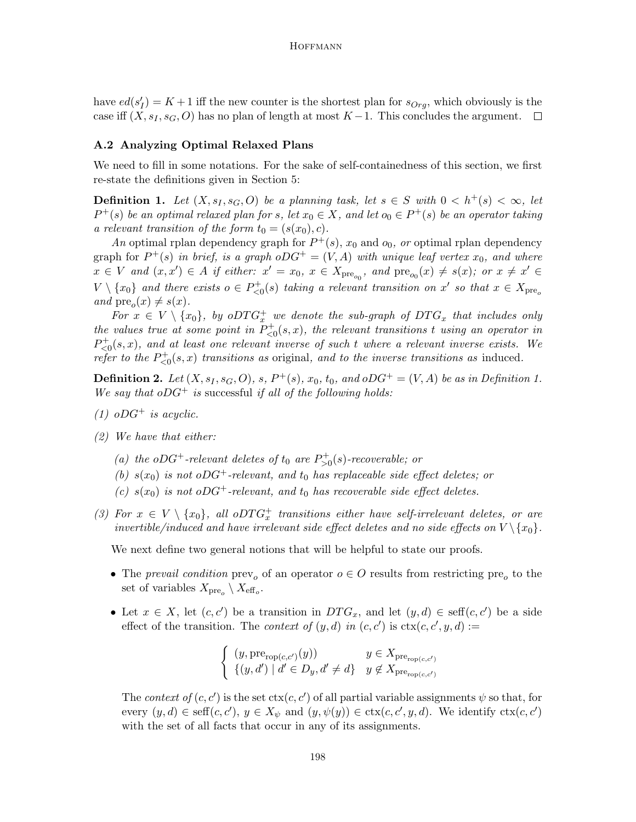have  $ed(s'_I) = K + 1$  iff the new counter is the shortest plan for  $s_{Org}$ , which obviously is the case iff  $(X, s<sub>I</sub>, s<sub>G</sub>, O)$  has no plan of length at most K – 1. This concludes the argument.  $\square$ 

## A.2 Analyzing Optimal Relaxed Plans

We need to fill in some notations. For the sake of self-containedness of this section, we first re-state the definitions given in Section 5:

**Definition 1.** Let  $(X, s_I, s_G, O)$  be a planning task, let  $s \in S$  with  $0 < h^+(s) < \infty$ , let  $P^+(s)$  be an optimal relaxed plan for s, let  $x_0 \in X$ , and let  $o_0 \in P^+(s)$  be an operator taking a relevant transition of the form  $t_0 = (s(x_0), c)$ .

An optimal rplan dependency graph for  $P^+(s)$ ,  $x_0$  and  $o_0$ , or optimal rplan dependency graph for  $P^+(s)$  in brief, is a graph  $oDG^+ = (V, A)$  with unique leaf vertex  $x_0$ , and where  $x \in V$  and  $(x, x') \in A$  if either:  $x' = x_0, x \in X_{pre_{o_0}}$ , and  $pre_{o_0}(x) \neq s(x)$ ; or  $x \neq x' \in A$  $V \setminus \{x_0\}$  and there exists  $o \in P_{\leq 0}^+(s)$  taking a relevant transition on  $x'$  so that  $x \in X_{\text{pre}_o}$ and  $pre_o(x) \neq s(x)$ .

For  $x \in V \setminus \{x_0\}$ , by o $DTG_x^+$  we denote the sub-graph of  $DTG_x$  that includes only the values true at some point in  $P_{\leq 0}^+(s, x)$ , the relevant transitions t using an operator in  $P_{\leq 0}^+(s,x)$ , and at least one relevant inverse of such t where a relevant inverse exists. We refer to the  $P_{\leq 0}^+(s,x)$  transitions as original, and to the inverse transitions as induced.

**Definition 2.** Let  $(X, s_I, s_G, O)$ , s,  $P^+(s)$ ,  $x_0$ ,  $t_0$ , and  $oDG^+ = (V, A)$  be as in Definition 1. We say that  $oDG^+$  is successful if all of the following holds:

- (1)  $oDG^+$  is acyclic.
- (2) We have that either:
	- (a) the oDG<sup>+</sup>-relevant deletes of  $t_0$  are  $P_{>0}^+(s)$ -recoverable; or
	- (b)  $s(x_0)$  is not oDG<sup>+</sup>-relevant, and  $t_0$  has replaceable side effect deletes; or
	- (c)  $s(x_0)$  is not oDG<sup>+</sup>-relevant, and  $t_0$  has recoverable side effect deletes.
- (3) For  $x \in V \setminus \{x_0\}$ , all oDT $G_x^+$  transitions either have self-irrelevant deletes, or are invertible/induced and have irrelevant side effect deletes and no side effects on  $V \{x_0\}$ .

We next define two general notions that will be helpful to state our proofs.

- The prevail condition  $\text{prev}_o$  of an operator  $o \in O$  results from restricting  $\text{pre}_o$  to the set of variables  $X_{\text{pre}_o} \setminus X_{\text{eff}_o}$ .
- Let  $x \in X$ , let  $(c, c')$  be a transition in  $DTG_x$ , and let  $(y, d) \in \text{seff}(c, c')$  be a side effect of the transition. The *context of*  $(y, d)$  in  $(c, c')$  is  $\text{ctx}(c, c', y, d) :=$

$$
\begin{cases}\n(y, \text{pre}_{\text{rop}(c,c')}(y)) & y \in X_{\text{pre}_{\text{rop}(c,c')}} \\
\{(y,d') \mid d' \in D_y, d' \neq d\} & y \notin X_{\text{pre}_{\text{rop}(c,c')}}\n\end{cases}
$$

The context of  $(c, c')$  is the set  $\text{ctx}(c, c')$  of all partial variable assignments  $\psi$  so that, for every  $(y, d) \in \text{seff}(c, c'), y \in X_{\psi}$  and  $(y, \psi(y)) \in \text{ctx}(c, c', y, d)$ . We identify  $\text{ctx}(c, c')$ with the set of all facts that occur in any of its assignments.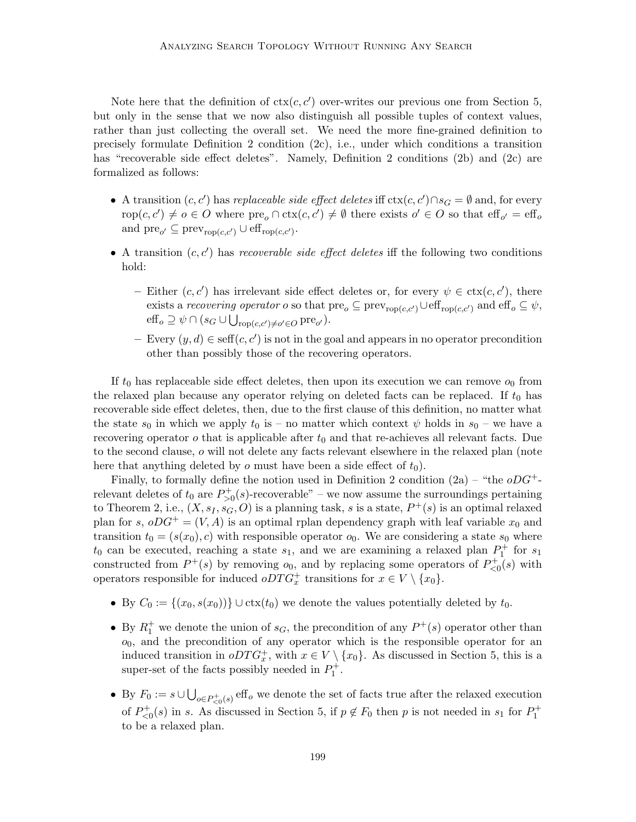Note here that the definition of  $\text{ctx}(c, c')$  over-writes our previous one from Section 5, but only in the sense that we now also distinguish all possible tuples of context values, rather than just collecting the overall set. We need the more fine-grained definition to precisely formulate Definition 2 condition (2c), i.e., under which conditions a transition has "recoverable side effect deletes". Namely, Definition 2 conditions (2b) and (2c) are formalized as follows:

- A transition  $(c, c')$  has replaceable side effect deletes iff  $\text{ctx}(c, c') \cap s_G = \emptyset$  and, for every rop $(c, c') \neq o \in O$  where  $pre_o \cap \text{ctx}(c, c') \neq \emptyset$  there exists  $o' \in O$  so that  $\text{eff}_{o'} = \text{eff}_{o'}$ and  $pre_{o'} \subseteq prev_{rop(c,c')} \cup eff_{rop(c,c')}$ .
- A transition  $(c, c')$  has recoverable side effect deletes iff the following two conditions hold:
	- Either  $(c, c')$  has irrelevant side effect deletes or, for every  $\psi \in \text{ctx}(c, c')$ , there exists a recovering operator o so that  $pre_o \subseteq prev_{rop(c,c')} \cup eff_{rop(c,c')}$  and  $eff_o \subseteq \psi$ ,  $\mathrm{eff}_{o} \supseteq \psi \cap (s_G \cup \bigcup_{\mathrm{rop}(c,c') \neq o' \in O} \mathrm{pre}_{o'}).$
	- Every  $(y, d) \in \text{seff}(c, c')$  is not in the goal and appears in no operator precondition other than possibly those of the recovering operators.

If  $t_0$  has replaceable side effect deletes, then upon its execution we can remove  $o_0$  from the relaxed plan because any operator relying on deleted facts can be replaced. If  $t_0$  has recoverable side effect deletes, then, due to the first clause of this definition, no matter what the state  $s_0$  in which we apply  $t_0$  is – no matter which context  $\psi$  holds in  $s_0$  – we have a recovering operator  $o$  that is applicable after  $t_0$  and that re-achieves all relevant facts. Due to the second clause, o will not delete any facts relevant elsewhere in the relaxed plan (note here that anything deleted by  $o$  must have been a side effect of  $t_0$ ).

Finally, to formally define the notion used in Definition 2 condition  $(2a)$  – "the  $\partial DG^+$ relevant deletes of  $t_0$  are  $P_{>0}^+(s)$ -recoverable" – we now assume the surroundings pertaining to Theorem 2, i.e.,  $(X, s_I, s_G, O)$  is a planning task, s is a state,  $P^+(s)$  is an optimal relaxed plan for s,  $oDG^+ = (V, A)$  is an optimal rplan dependency graph with leaf variable  $x_0$  and transition  $t_0 = (s(x_0), c)$  with responsible operator  $o_0$ . We are considering a state  $s_0$  where  $t_0$  can be executed, reaching a state  $s_1$ , and we are examining a relaxed plan  $P_1^+$  for  $s_1$ constructed from  $P^+(s)$  by removing  $o_0$ , and by replacing some operators of  $P^+_{\leq 0}(s)$  with operators responsible for induced  $oDTG_x^+$  transitions for  $x \in V \setminus \{x_0\}.$ 

- By  $C_0 := \{(x_0, s(x_0))\} \cup \text{ctx}(t_0)$  we denote the values potentially deleted by  $t_0$ .
- By  $R_1^+$  we denote the union of  $s_G$ , the precondition of any  $P^+(s)$  operator other than  $o_0$ , and the precondition of any operator which is the responsible operator for an induced transition in  $oDTG_x^+$ , with  $x \in V \setminus \{x_0\}$ . As discussed in Section 5, this is a super-set of the facts possibly needed in  $P_1^+$ .
- By  $F_0 := s \cup \bigcup_{o \in P_{\leq 0}^+(s)} \text{eff}_o$  we denote the set of facts true after the relaxed execution of  $P_{\leq 0}^+(s)$  in s. As discussed in Section 5, if  $p \notin F_0$  then p is not needed in s<sub>1</sub> for  $P_1^+$ to be a relaxed plan.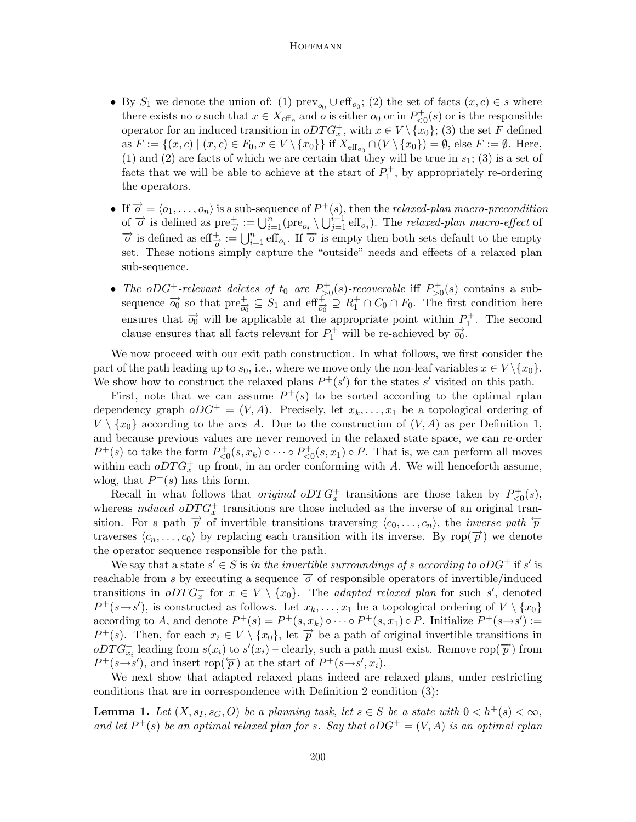- By  $S_1$  we denote the union of: (1)  $\text{prev}_{o_0} \cup \text{eff}_{o_0}$ ; (2) the set of facts  $(x, c) \in s$  where there exists no *o* such that  $x \in X_{\text{eff}_o}$  and *o* is either  $o_0$  or in  $P_{\leq 0}^+(s)$  or is the responsible operator for an induced transition in  $oDTG_x^+$ , with  $x \in V \setminus \{x_0\}$ ; (3) the set F defined as  $F := \{(x, c) \mid (x, c) \in F_0, x \in V \setminus \{x_0\}\}\$ if  $X_{\text{eff}_{o_0}} \cap (V \setminus \{x_0\}) = \emptyset$ , else  $F := \emptyset$ . Here, (1) and (2) are facts of which we are certain that they will be true in  $s_1$ ; (3) is a set of facts that we will be able to achieve at the start of  $P_1^+$ , by appropriately re-ordering the operators.
- If  $\overrightarrow{o} = \langle o_1, \ldots, o_n \rangle$  is a sub-sequence of  $P^+(s)$ , then the relaxed-plan macro-precondition of  $\vec{o}$  is defined as  $\text{pre}_{\vec{o}}^+ := \bigcup_{i=1}^n (\text{pre}_{o_i} \setminus \bigcup_{j=1}^{i-1} \text{eff}_{o_j})$ . The relaxed-plan macro-effect of  $\vec{o}$  is defined as eff $\frac{+}{\vec{o}} := \bigcup_{i=1}^{n} \text{eff}_{o_i}$ . If  $\vec{o}$  is empty then both sets default to the empty set. These notions simply capture the "outside" needs and effects of a relaxed plan sub-sequence.
- The oDG<sup>+</sup>-relevant deletes of  $t_0$  are  $P_{>0}^+(s)$ -recoverable iff  $P_{>0}^+(s)$  contains a subsequence  $\overrightarrow{o_0}$  so that  $\text{pre}^+_{\overrightarrow{o_0}} \subseteq S_1$  and  $\text{eff}^+_{\overrightarrow{o_0}} \supseteq R_1^+ \cap C_0 \cap F_0$ . The first condition here ensures that  $\overrightarrow{o_0}$  will be applicable at the appropriate point within  $P_1^+$ . The second clause ensures that all facts relevant for  $P_1^+$  will be re-achieved by  $\overrightarrow{o_0}$ .

We now proceed with our exit path construction. In what follows, we first consider the part of the path leading up to  $s_0$ , i.e., where we move only the non-leaf variables  $x \in V \setminus \{x_0\}$ . We show how to construct the relaxed plans  $P^+(s')$  for the states s' visited on this path.

First, note that we can assume  $P^+(s)$  to be sorted according to the optimal rplan dependency graph  $oDG^+ = (V, A)$ . Precisely, let  $x_k, \ldots, x_1$  be a topological ordering of  $V \setminus \{x_0\}$  according to the arcs A. Due to the construction of  $(V, A)$  as per Definition 1, and because previous values are never removed in the relaxed state space, we can re-order  $P^+(s)$  to take the form  $P_{\leq 0}^+(s, x_k) \circ \cdots \circ P_{\leq 0}^+(s, x_1) \circ P$ . That is, we can perform all moves within each  $oDTG_x^+$  up front, in an order conforming with A. We will henceforth assume, wlog, that  $P^+(s)$  has this form.

Recall in what follows that *original*  $oDTG_x^+$  transitions are those taken by  $P_{\leq 0}^+(s)$ , whereas *induced*  $oDTG_x^+$  transitions are those included as the inverse of an original transition. For a path  $\overrightarrow{p}$  of invertible transitions traversing  $\langle c_0, \ldots, c_n \rangle$ , the *inverse path*  $\overleftarrow{p}$ traverses  $\langle c_n, \ldots, c_0 \rangle$  by replacing each transition with its inverse. By rop $(\vec{p})$  we denote the operator sequence responsible for the path.

We say that a state  $s' \in S$  is in the invertible surroundings of s according to oDG<sup>+</sup> if s' is reachable from s by executing a sequence  $\vec{\sigma}$  of responsible operators of invertible/induced transitions in  $oDTG_x^+$  for  $x \in V \setminus \{x_0\}$ . The *adapted relaxed plan* for such s', denoted  $P^+(s\rightarrow s')$ , is constructed as follows. Let  $x_k, \ldots, x_1$  be a topological ordering of  $V \setminus \{x_0\}$ according to A, and denote  $P^+(s) = P^+(s, x_k) \circ \cdots \circ P^+(s, x_1) \circ P$ . Initialize  $P^+(s \rightarrow s') :=$  $P^+(s)$ . Then, for each  $x_i \in V \setminus \{x_0\}$ , let  $\overrightarrow{p}$  be a path of original invertible transitions in  $\overrightarrow{ODTG_{x_i}^+}$  leading from  $s(x_i)$  to  $s'(x_i)$  – clearly, such a path must exist. Remove rop $(\overrightarrow{p})$  from  $P^+(s\rightarrow s')$ , and insert rop( $\overleftarrow{p}$ ) at the start of  $P^+(s\rightarrow s', x_i)$ .

We next show that adapted relaxed plans indeed are relaxed plans, under restricting conditions that are in correspondence with Definition 2 condition (3):

**Lemma 1.** Let  $(X, s_1, s_G, O)$  be a planning task, let  $s \in S$  be a state with  $0 < h^+(s) < \infty$ , and let  $P^+(s)$  be an optimal relaxed plan for s. Say that  $oDG^+ = (V, A)$  is an optimal rplan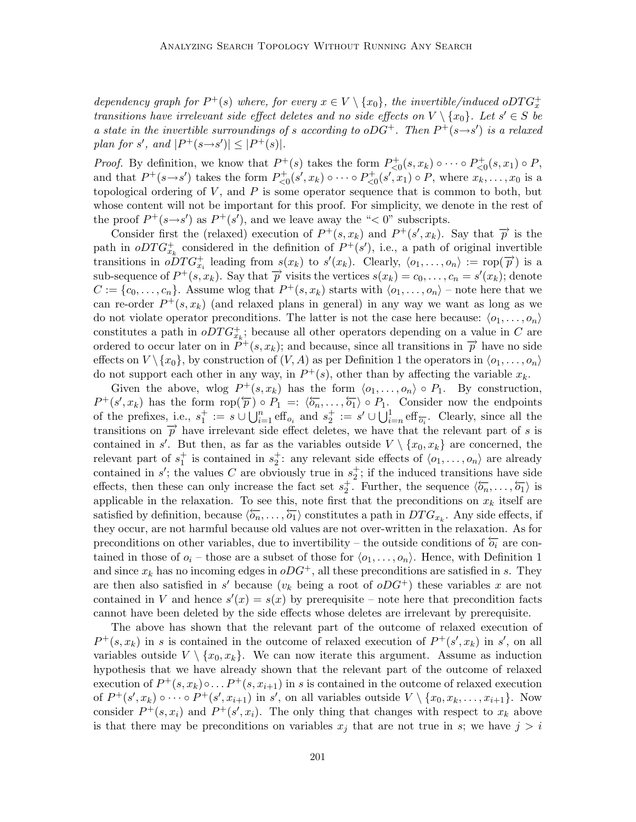dependency graph for  $P^+(s)$  where, for every  $x \in V \setminus \{x_0\}$ , the invertible/induced oDT $G_x^+$ transitions have irrelevant side effect deletes and no side effects on  $V \setminus \{x_0\}$ . Let  $s' \in S$  be a state in the invertible surroundings of s according to oDG<sup>+</sup>. Then  $P^+(s\rightarrow s')$  is a relaxed plan for s', and  $|P^+(s\rightarrow s')| \leq |P^+(s)|$ .

*Proof.* By definition, we know that  $P^+(s)$  takes the form  $P^+_{\leq 0}(s, x_k) \circ \cdots \circ P^+_{\leq 0}(s, x_1) \circ P$ , and that  $P^+(s\rightarrow s')$  takes the form  $P^+_{\leq 0}(s', x_k) \circ \cdots \circ P^+_{\leq 0}(s', x_1) \circ P$ , where  $x_k, \ldots, x_0$  is a topological ordering of  $V$ , and  $P$  is some operator sequence that is common to both, but whose content will not be important for this proof. For simplicity, we denote in the rest of the proof  $P^+(s\rightarrow s')$  as  $P^+(s')$ , and we leave away the "< 0" subscripts.

Consider first the (relaxed) execution of  $P^+(s,x_k)$  and  $P^+(s',x_k)$ . Say that  $\overrightarrow{p}$  is the path in  $oDTG_{x_k}^+$  considered in the definition of  $P^+(s')$ , i.e., a path of original invertible transitions in  $\phi DTG_{x_i}^+$  leading from  $s(x_k)$  to  $s'(x_k)$ . Clearly,  $\langle o_1,\ldots,o_n \rangle := \text{rop}(\overrightarrow{p})$  is a sub-sequence of  $P^+(s, x_k)$ . Say that  $\overrightarrow{p}$  visits the vertices  $s(x_k) = c_0, \ldots, c_n = s'(x_k)$ ; denote  $C := \{c_0, \ldots, c_n\}$ . Assume wlog that  $P^+(s, x_k)$  starts with  $\langle o_1, \ldots, o_n \rangle$  – note here that we can re-order  $P^+(s, x_k)$  (and relaxed plans in general) in any way we want as long as we do not violate operator preconditions. The latter is not the case here because:  $\langle o_1, \ldots, o_n \rangle$ constitutes a path in  $oDTG_{x_k}^+$ ; because all other operators depending on a value in C are ordered to occur later on in  $P^+(s, x_k)$ ; and because, since all transitions in  $\overrightarrow{p}$  have no side effects on  $V \setminus \{x_0\}$ , by construction of  $(V, A)$  as per Definition 1 the operators in  $\langle o_1, \ldots, o_n \rangle$ do not support each other in any way, in  $P^+(s)$ , other than by affecting the variable  $x_k$ .

Given the above, wlog  $P^+(s, x_k)$  has the form  $\langle o_1, \ldots, o_n \rangle \circ P_1$ . By construction,  $P^+(s',x_k)$  has the form  $\text{rop}(\overleftarrow{p}) \circ P_1 =: \langle \overleftarrow{o_n}, \ldots, \overleftarrow{o_1} \rangle \circ P_1$ . Consider now the endpoints of the prefixes, i.e.,  $s_1^+ := s \cup \bigcup_{i=1}^n \text{eff}_{o_i}$  and  $s_2^+ := s' \cup \bigcup_{i=n}^1 \text{eff}_{\overleftarrow{o_i}}$ . Clearly, since all the transitions on  $\vec{p}$  have irrelevant side effect deletes, we have that the relevant part of s is contained in s'. But then, as far as the variables outside  $V \setminus \{x_0, x_k\}$  are concerned, the relevant part of  $s_1^+$  is contained in  $s_2^+$ : any relevant side effects of  $\langle o_1, \ldots, o_n \rangle$  are already contained in s'; the values C are obviously true in  $s_2^+$ ; if the induced transitions have side effects, then these can only increase the fact set  $s_2^{\dagger}$ . Further, the sequence  $\langle \overleftarrow{o_n}, \ldots, \overleftarrow{o_1} \rangle$  is applicable in the relaxation. To see this, note first that the preconditions on  $x_k$  itself are satisfied by definition, because  $\langle \overleftarrow{o_n}, \ldots, \overleftarrow{o_1} \rangle$  constitutes a path in  $DTG_{x_k}$ . Any side effects, if they occur, are not harmful because old values are not over-written in the relaxation. As for preconditions on other variables, due to invertibility – the outside conditions of  $\overleftarrow{\phi_i}$  are contained in those of  $o_i$  – those are a subset of those for  $\langle o_1, \ldots, o_n \rangle$ . Hence, with Definition 1 and since  $x_k$  has no incoming edges in  $oDG^+$ , all these preconditions are satisfied in s. They are then also satisfied in s' because  $(v_k)$  being a root of  $oDG^+$ ) these variables x are not contained in V and hence  $s'(x) = s(x)$  by prerequisite – note here that precondition facts cannot have been deleted by the side effects whose deletes are irrelevant by prerequisite.

The above has shown that the relevant part of the outcome of relaxed execution of  $P^+(s,x_k)$  in s is contained in the outcome of relaxed execution of  $P^+(s',x_k)$  in s', on all variables outside  $V \setminus \{x_0, x_k\}$ . We can now iterate this argument. Assume as induction hypothesis that we have already shown that the relevant part of the outcome of relaxed execution of  $P^+(s, x_k) \circ \ldots P^+(s, x_{i+1})$  in s is contained in the outcome of relaxed execution of  $P^+(s',x_k) \circ \cdots \circ P^+(s',x_{i+1})$  in s', on all variables outside  $V \setminus \{x_0, x_k, \ldots, x_{i+1}\}$ . Now consider  $P^+(s,x_i)$  and  $P^+(s',x_i)$ . The only thing that changes with respect to  $x_k$  above is that there may be preconditions on variables  $x_j$  that are not true in s; we have  $j > i$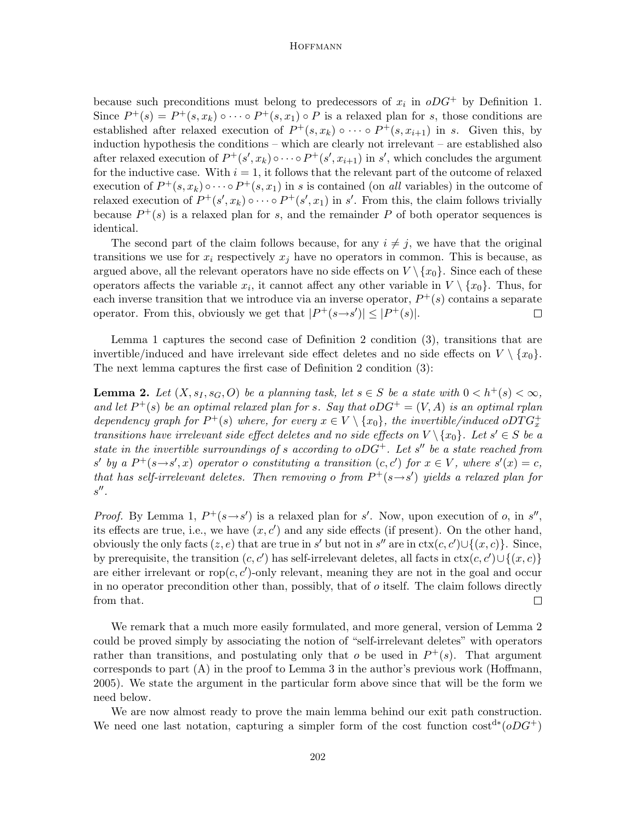because such preconditions must belong to predecessors of  $x_i$  in  $oDG^+$  by Definition 1. Since  $P^+(s) = P^+(s, x_k) \circ \cdots \circ P^+(s, x_1) \circ P$  is a relaxed plan for s, those conditions are established after relaxed execution of  $P^+(s, x_k) \circ \cdots \circ P^+(s, x_{i+1})$  in s. Given this, by induction hypothesis the conditions – which are clearly not irrelevant – are established also after relaxed execution of  $P^+(s', x_k) \circ \cdots \circ P^+(s', x_{i+1})$  in s', which concludes the argument for the inductive case. With  $i = 1$ , it follows that the relevant part of the outcome of relaxed execution of  $P^+(s,x_k) \circ \cdots \circ P^+(s,x_1)$  in s is contained (on all variables) in the outcome of relaxed execution of  $P^+(s', x_k) \circ \cdots \circ P^+(s', x_1)$  in s'. From this, the claim follows trivially because  $P^+(s)$  is a relaxed plan for s, and the remainder P of both operator sequences is identical.

The second part of the claim follows because, for any  $i \neq j$ , we have that the original transitions we use for  $x_i$  respectively  $x_j$  have no operators in common. This is because, as argued above, all the relevant operators have no side effects on  $V \setminus \{x_0\}$ . Since each of these operators affects the variable  $x_i$ , it cannot affect any other variable in  $V \setminus \{x_0\}$ . Thus, for each inverse transition that we introduce via an inverse operator,  $P^+(s)$  contains a separate operator. From this, obviously we get that  $|P^+(s\rightarrow s')| \leq |P^+(s)|$ .  $\Box$ 

Lemma 1 captures the second case of Definition 2 condition (3), transitions that are invertible/induced and have irrelevant side effect deletes and no side effects on  $V \setminus \{x_0\}$ . The next lemma captures the first case of Definition 2 condition (3):

**Lemma 2.** Let  $(X, s_I, s_G, O)$  be a planning task, let  $s \in S$  be a state with  $0 < h^+(s) < \infty$ , and let  $P^+(s)$  be an optimal relaxed plan for s. Say that  $oDG^+ = (V, A)$  is an optimal rplan dependency graph for  $P^+(s)$  where, for every  $x \in V \setminus \{x_0\}$ , the invertible/induced oDT $G_x^+$ transitions have irrelevant side effect deletes and no side effects on  $V \setminus \{x_0\}$ . Let  $s' \in S$  be a state in the invertible surroundings of s according to  $oDG^+$ . Let s'' be a state reached from s' by a  $P^+(s\rightarrow s',x)$  operator o constituting a transition  $(c, c')$  for  $x \in V$ , where  $s'(x) = c$ , that has self-irrelevant deletes. Then removing o from  $P^+(s\rightarrow s')$  yields a relaxed plan for  $s''$ .

*Proof.* By Lemma 1,  $P^+(s \rightarrow s')$  is a relaxed plan for s'. Now, upon execution of o, in s'', its effects are true, i.e., we have  $(x, c')$  and any side effects (if present). On the other hand, obviously the only facts  $(z, e)$  that are true in s' but not in s'' are in  $ext(c, c') \cup \{(x, c)\}$ . Since, by prerequisite, the transition  $(c, c')$  has self-irrelevant deletes, all facts in  $\text{ctx}(c, c') \cup \{(x, c)\}$ are either irrelevant or  $\text{rop}(c, c')$ -only relevant, meaning they are not in the goal and occur in no operator precondition other than, possibly, that of  $o$  itself. The claim follows directly from that.  $\Box$ 

We remark that a much more easily formulated, and more general, version of Lemma 2 could be proved simply by associating the notion of "self-irrelevant deletes" with operators rather than transitions, and postulating only that  $o$  be used in  $P^+(s)$ . That argument corresponds to part  $(A)$  in the proof to Lemma 3 in the author's previous work (Hoffmann, 2005). We state the argument in the particular form above since that will be the form we need below.

We are now almost ready to prove the main lemma behind our exit path construction. We need one last notation, capturing a simpler form of the cost function  $\cos t^{d*} (oDG^+)$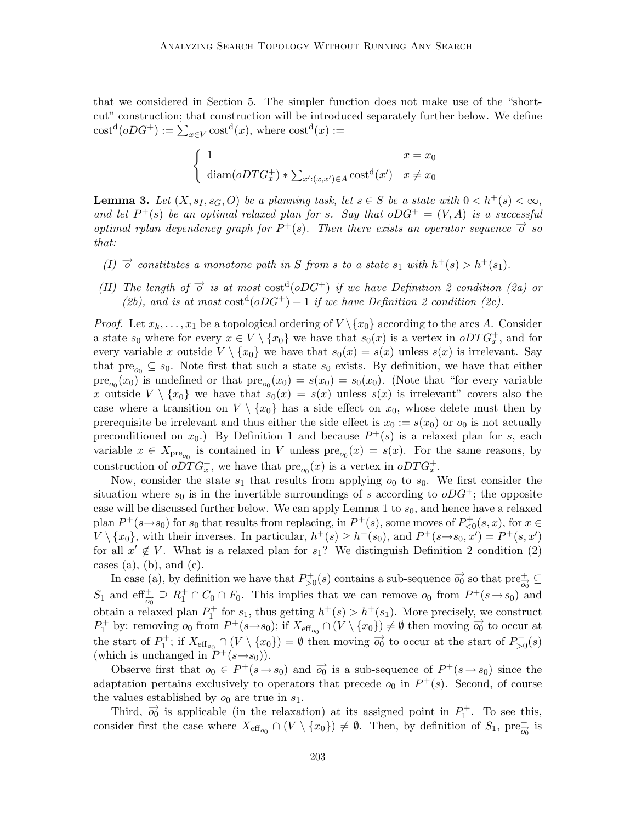that we considered in Section 5. The simpler function does not make use of the "shortcut" construction; that construction will be introduced separately further below. We define  $\text{cost}^{\text{d}}(oDG^+) := \sum_{x \in V} \text{cost}^{\text{d}}(x)$ , where  $\text{cost}^{\text{d}}(x) :=$ 

$$
\begin{cases}\n1 & x = x_0 \\
\text{diam}(oDTG_x^+) * \sum_{x':(x,x') \in A} \text{cost}^{\mathbf{d}}(x') & x \neq x_0\n\end{cases}
$$

**Lemma 3.** Let  $(X, s_I, s_G, O)$  be a planning task, let  $s \in S$  be a state with  $0 < h^+(s) < \infty$ , and let  $P^+(s)$  be an optimal relaxed plan for s. Say that  $oDG^+ = (V, A)$  is a successful optimal rplan dependency graph for  $P^+(s)$ . Then there exists an operator sequence  $\overrightarrow{o}$  so that:

- (I)  $\vec{\sigma}$  constitutes a monotone path in S from s to a state  $s_1$  with  $h^+(s) > h^+(s_1)$ .
- (II) The length of  $\overrightarrow{o}$  is at most cost<sup>d</sup>(oDG<sup>+</sup>) if we have Definition 2 condition (2a) or (2b), and is at most  $\cot^d(oDG^+) + 1$  if we have Definition 2 condition (2c).

*Proof.* Let  $x_k, \ldots, x_1$  be a topological ordering of  $V \setminus \{x_0\}$  according to the arcs A. Consider a state  $s_0$  where for every  $x \in V \setminus \{x_0\}$  we have that  $s_0(x)$  is a vertex in  $oDTG_x^+$ , and for every variable x outside  $V \setminus \{x_0\}$  we have that  $s_0(x) = s(x)$  unless  $s(x)$  is irrelevant. Say that  $pre_{o_0} \subseteq s_0$ . Note first that such a state  $s_0$  exists. By definition, we have that either  $pre_{o_0}(x_0)$  is undefined or that  $pre_{o_0}(x_0) = s(x_0) = s_0(x_0)$ . (Note that "for every variable x outside  $V \setminus \{x_0\}$  we have that  $s_0(x) = s(x)$  unless  $s(x)$  is irrelevant" covers also the case where a transition on  $V \setminus \{x_0\}$  has a side effect on  $x_0$ , whose delete must then by prerequisite be irrelevant and thus either the side effect is  $x_0 := s(x_0)$  or  $o_0$  is not actually preconditioned on  $x_0$ .) By Definition 1 and because  $P^+(s)$  is a relaxed plan for s, each variable  $x \in X_{pre_{o_0}}$  is contained in V unless  $pre_{o_0}(x) = s(x)$ . For the same reasons, by construction of  $oDTG_x^+$ , we have that  $pre_{o_0}(x)$  is a vertex in  $oDTG_x^+$ .

Now, consider the state  $s_1$  that results from applying  $o_0$  to  $s_0$ . We first consider the situation where  $s_0$  is in the invertible surroundings of s according to  $oDG^+$ ; the opposite case will be discussed further below. We can apply Lemma 1 to  $s_0$ , and hence have a relaxed plan  $P^+(s\rightarrow s_0)$  for  $s_0$  that results from replacing, in  $P^+(s)$ , some moves of  $P^+_{\leq 0}(s, x)$ , for  $x \in$  $V \setminus \{x_0\}$ , with their inverses. In particular,  $h^+(s) \geq h^+(s_0)$ , and  $P^+(s \rightarrow s_0, x') = P^+(s, x')$ for all  $x' \notin V$ . What is a relaxed plan for  $s_1$ ? We distinguish Definition 2 condition (2) cases  $(a)$ ,  $(b)$ , and  $(c)$ .

In case (a), by definition we have that  $P_{>0}^+(s)$  contains a sub-sequence  $\overrightarrow{o_0}$  so that  $\text{pre}^+_{\overrightarrow{o_0}} \subseteq$  $S_1$  and  $\text{eff}^+_{\overrightarrow{q_0}} \supseteq R_1^+ \cap C_0 \cap F_0$ . This implies that we can remove  $o_0$  from  $P^+(s \to s_0)$  and obtain a relaxed plan  $P_1^+$  for  $s_1$ , thus getting  $h^+(s) > h^+(s_1)$ . More precisely, we construct  $P_1^+$  by: removing  $o_0$  from  $P^+(s \to s_0)$ ; if  $X_{\text{eff}_{o_0}} \cap (V \setminus \{x_0\}) \neq \emptyset$  then moving  $\overrightarrow{o_0}$  to occur at the start of  $P_1^+$ ; if  $X_{\text{eff}_{o_0}} \cap (V \setminus \{x_0\}) = \emptyset$  then moving  $\overrightarrow{o_0}$  to occur at the start of  $P_{>0}^+(s)$ (which is unchanged in  $P^+(s \rightarrow s_0)$ ).

Observe first that  $o_0 \in P^+(s \to s_0)$  and  $\overrightarrow{o_0}$  is a sub-sequence of  $P^+(s \to s_0)$  since the adaptation pertains exclusively to operators that precede  $o_0$  in  $P^+(s)$ . Second, of course the values established by  $o_0$  are true in  $s_1$ .

Third,  $\vec{o_0}$  is applicable (in the relaxation) at its assigned point in  $P_1^+$ . To see this, consider first the case where  $X_{\text{eff}_{o_0}} \cap (V \setminus \{x_0\}) \neq \emptyset$ . Then, by definition of  $S_1$ , pre $\frac{1}{\overline{o_0}}$  is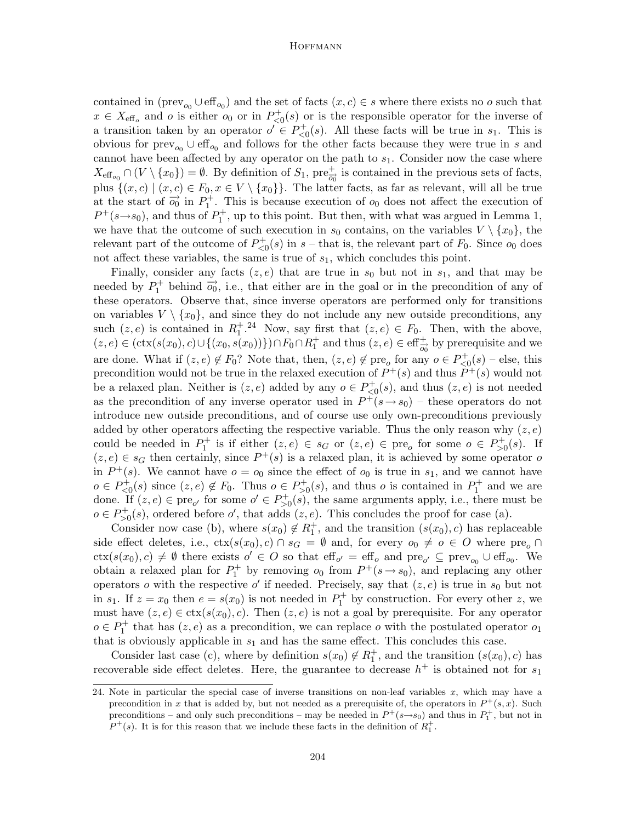contained in ( $\text{prev}_{o0} \cup \text{eff}_{o0}$ ) and the set of facts  $(x, c) \in s$  where there exists no o such that  $x \in X_{\text{eff}_o}$  and *o* is either  $o_0$  or in  $P_{\leq 0}^+(s)$  or is the responsible operator for the inverse of a transition taken by an operator  $o' \in P_{\leq 0}^+(s)$ . All these facts will be true in  $s_1$ . This is obvious for  $\text{prev}_{o_0} \cup \text{eff}_{o_0}$  and follows for the other facts because they were true in s and cannot have been affected by any operator on the path to  $s_1$ . Consider now the case where  $X_{\text{eff}_{o_0}} \cap (V \setminus \{x_0\}) = \emptyset$ . By definition of  $S_1$ ,  $\text{pre}^+_{\overrightarrow{o_0}}$  is contained in the previous sets of facts, plus  $\{(x, c) | (x, c) \in F_0, x \in V \setminus \{x_0\}\}.$  The latter facts, as far as relevant, will all be true at the start of  $\overrightarrow{o_0}$  in  $P_1^+$ . This is because execution of  $o_0$  does not affect the execution of  $P^+(s\rightarrow s_0)$ , and thus of  $P_1^+$ , up to this point. But then, with what was argued in Lemma 1, we have that the outcome of such execution in  $s_0$  contains, on the variables  $V \setminus \{x_0\}$ , the relevant part of the outcome of  $P_{\leq 0}^+(s)$  in s – that is, the relevant part of  $F_0$ . Since  $o_0$  does not affect these variables, the same is true of  $s<sub>1</sub>$ , which concludes this point.

Finally, consider any facts  $(z, e)$  that are true in  $s_0$  but not in  $s_1$ , and that may be needed by  $P_1^+$  behind  $\overrightarrow{o_0}$ , i.e., that either are in the goal or in the precondition of any of these operators. Observe that, since inverse operators are performed only for transitions on variables  $V \setminus \{x_0\}$ , and since they do not include any new outside preconditions, any such  $(z, e)$  is contained in  $R_1^{\dagger}$ .<sup>24</sup> Now, say first that  $(z, e) \in F_0$ . Then, with the above,  $(z, e) \in (\text{ctx}(s(x_0), c) \cup \{(x_0, s(x_0))\}) \cap F_0 \cap R_1^+$  and thus  $(z, e) \in \text{eff}^+_{\overrightarrow{o_0}}$  by prerequisite and we are done. What if  $(z, e) \notin F_0$ ? Note that, then,  $(z, e) \notin \text{pre}_o$  for any  $o \in P_{\leq 0}^+(s)$  – else, this precondition would not be true in the relaxed execution of  $P^+(s)$  and thus  $P^+(s)$  would not be a relaxed plan. Neither is  $(z, e)$  added by any  $o \in P_{\leq 0}^+(s)$ , and thus  $(z, e)$  is not needed as the precondition of any inverse operator used in  $P^+(s \to s_0)$  – these operators do not introduce new outside preconditions, and of course use only own-preconditions previously added by other operators affecting the respective variable. Thus the only reason why  $(z, e)$ could be needed in  $P_1^+$  is if either  $(z, e) \in s_G$  or  $(z, e) \in \text{pre}_o$  for some  $o \in P_{>0}^+(s)$ . If  $(z, e) \in s_G$  then certainly, since  $P^+(s)$  is a relaxed plan, it is achieved by some operator of in  $P^+(s)$ . We cannot have  $o = o_0$  since the effect of  $o_0$  is true in  $s_1$ , and we cannot have  $o \in P_{\leq 0}^+(s)$  since  $(z, e) \notin F_0$ . Thus  $o \in P_{\geq 0}^+(s)$ , and thus o is contained in  $P_1^+$  and we are done. If  $(z, e) \in \text{pre}_{o'}$  for some  $o' \in P_{>0}^+(s)$ , the same arguments apply, i.e., there must be  $o \in P_{>0}^+(s)$ , ordered before  $o'$ , that adds  $(z, e)$ . This concludes the proof for case (a).

Consider now case (b), where  $s(x_0) \notin R_1^+$ , and the transition  $(s(x_0), c)$  has replaceable side effect deletes, i.e.,  $\text{ctx}(s(x_0), c) \cap s_G = \emptyset$  and, for every  $o_0 \neq o \in O$  where  $\text{pre}_o \cap$  $\text{ctx}(s(x_0), c) \neq \emptyset$  there exists  $o' \in O$  so that  $\text{eff}_{o'} = \text{eff}_{o}$  and  $\text{pre}_{o'} \subseteq \text{prev}_{o_0} \cup \text{eff}_{o_0}$ . We obtain a relaxed plan for  $P_1^+$  by removing  $o_0$  from  $P^+(s \to s_0)$ , and replacing any other operators o with the respective o' if needed. Precisely, say that  $(z, e)$  is true in  $s_0$  but not in  $s_1$ . If  $z = x_0$  then  $e = s(x_0)$  is not needed in  $P_1^+$  by construction. For every other z, we must have  $(z, e) \in \text{ctx}(s(x_0), c)$ . Then  $(z, e)$  is not a goal by prerequisite. For any operator  $o \in P_1^+$  that has  $(z, e)$  as a precondition, we can replace o with the postulated operator  $o_1$ that is obviously applicable in  $s_1$  and has the same effect. This concludes this case.

Consider last case (c), where by definition  $s(x_0) \notin R_1^+$ , and the transition  $(s(x_0), c)$  has recoverable side effect deletes. Here, the guarantee to decrease  $h^+$  is obtained not for  $s_1$ 

<sup>24.</sup> Note in particular the special case of inverse transitions on non-leaf variables  $x$ , which may have a precondition in x that is added by, but not needed as a prerequisite of, the operators in  $P^+(s, x)$ . Such preconditions – and only such preconditions – may be needed in  $P^+(s\rightarrow s_0)$  and thus in  $P_1^+$ , but not in  $P^+(s)$ . It is for this reason that we include these facts in the definition of  $R_1^+$ .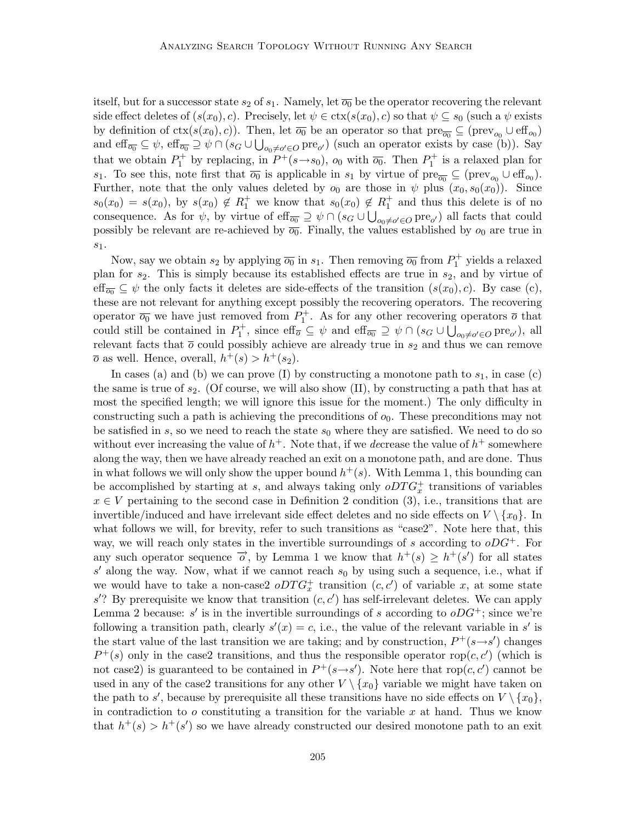itself, but for a successor state  $s_2$  of  $s_1$ . Namely, let  $\overline{o_0}$  be the operator recovering the relevant side effect deletes of  $(s(x_0), c)$ . Precisely, let  $\psi \in \text{ctx}(s(x_0), c)$  so that  $\psi \subseteq s_0$  (such a  $\psi$  exists by definition of  $\text{ctx}(s(x_0), c)$ ). Then, let  $\overline{o_0}$  be an operator so that  $\text{pre}_{\overline{o_0}} \subseteq (\text{prev}_{o_0} \cup \text{eff}_{o_0})$ and  $\text{eff}_{\overline{o_0}} \subseteq \psi$ ,  $\text{eff}_{\overline{o_0}} \supseteq \psi \cap (s_G \cup \bigcup_{o_0 \neq o' \in O} \text{pre}_{o'})$  (such an operator exists by case (b)). Say that we obtain  $P_1^+$  by replacing, in  $P^+(s \to s_0)$ ,  $o_0$  with  $\overline{o_0}$ . Then  $P_1^+$  is a relaxed plan for s<sub>1</sub>. To see this, note first that  $\overline{o_0}$  is applicable in s<sub>1</sub> by virtue of pre $_{\overline{o_0}} \subseteq (\text{prev}_{o_0} \cup \text{eff}_{o_0})$ . Further, note that the only values deleted by  $o_0$  are those in  $\psi$  plus  $(x_0, s_0(x_0))$ . Since  $s_0(x_0) = s(x_0)$ , by  $s(x_0) \notin R_1^+$  we know that  $s_0(x_0) \notin R_1^+$  and thus this delete is of no consequence. As for  $\psi$ , by virtue of  $\text{eff}_{\overline{o_0}} \supseteq \psi \cap (s_G \cup \bigcup_{o_0 \neq o' \in O} \text{pre}_{o'})$  all facts that could possibly be relevant are re-achieved by  $\overline{o_0}$ . Finally, the values established by  $o_0$  are true in  $s_1$ .

Now, say we obtain  $s_2$  by applying  $\overline{o_0}$  in  $s_1$ . Then removing  $\overline{o_0}$  from  $P_1^+$  yields a relaxed plan for  $s_2$ . This is simply because its established effects are true in  $s_2$ , and by virtue of eff<sub> $\overline{\sigma_0} \subseteq \psi$  the only facts it deletes are side-effects of the transition  $(s(x_0), c)$ . By case (c),</sub> these are not relevant for anything except possibly the recovering operators. The recovering operator  $\overline{o_0}$  we have just removed from  $P_1^+$ . As for any other recovering operators  $\overline{o}$  that could still be contained in  $P_1^+$ , since  $\text{eff}_{\overline{o}} \subseteq \psi$  and  $\text{eff}_{\overline{o_0}} \supseteq \psi \cap (s_G \cup \bigcup_{o_0 \neq o' \in O} \text{pre}_{o'})$ , all relevant facts that  $\overline{o}$  could possibly achieve are already true in  $s_2$  and thus we can remove  $\overline{o}$  as well. Hence, overall,  $h^+(s) > h^+(s_2)$ .

In cases (a) and (b) we can prove (I) by constructing a monotone path to  $s_1$ , in case (c) the same is true of  $s_2$ . (Of course, we will also show (II), by constructing a path that has at most the specified length; we will ignore this issue for the moment.) The only difficulty in constructing such a path is achieving the preconditions of  $o_0$ . These preconditions may not be satisfied in s, so we need to reach the state  $s_0$  where they are satisfied. We need to do so without ever increasing the value of  $h^+$ . Note that, if we decrease the value of  $h^+$  somewhere along the way, then we have already reached an exit on a monotone path, and are done. Thus in what follows we will only show the upper bound  $h^+(s)$ . With Lemma 1, this bounding can be accomplished by starting at s, and always taking only  $oDTG_x^+$  transitions of variables  $x \in V$  pertaining to the second case in Definition 2 condition (3), i.e., transitions that are invertible/induced and have irrelevant side effect deletes and no side effects on  $V \setminus \{x_0\}$ . In what follows we will, for brevity, refer to such transitions as "case2". Note here that, this way, we will reach only states in the invertible surroundings of s according to  $oDG^+$ . For any such operator sequence  $\overrightarrow{o}$ , by Lemma 1 we know that  $h^+(s) \geq h^+(s')$  for all states  $s'$  along the way. Now, what if we cannot reach  $s_0$  by using such a sequence, i.e., what if we would have to take a non-case  $2$   $oDTG_x^+$  transition  $(c, c')$  of variable x, at some state  $s'$ ? By prerequisite we know that transition  $(c, c')$  has self-irrelevant deletes. We can apply Lemma 2 because: s' is in the invertible surroundings of s according to  $oDG^+$ ; since we're following a transition path, clearly  $s'(x) = c$ , i.e., the value of the relevant variable in s' is the start value of the last transition we are taking; and by construction,  $P^+(s\rightarrow s')$  changes  $P^+(s)$  only in the case2 transitions, and thus the responsible operator rop $(c, c')$  (which is not case2) is guaranteed to be contained in  $P^+(s\rightarrow s')$ . Note here that rop $(c, c')$  cannot be used in any of the case2 transitions for any other  $V \setminus \{x_0\}$  variable we might have taken on the path to s', because by prerequisite all these transitions have no side effects on  $V \setminus \{x_0\}$ , in contradiction to  $\sigma$  constituting a transition for the variable x at hand. Thus we know that  $h^+(s) > h^+(s')$  so we have already constructed our desired monotone path to an exit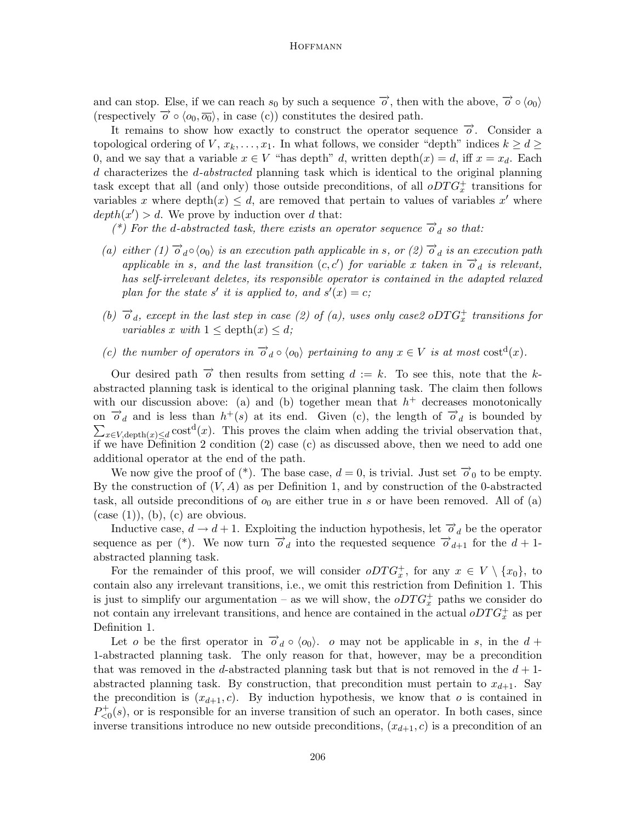and can stop. Else, if we can reach  $s_0$  by such a sequence  $\overrightarrow{o}$ , then with the above,  $\overrightarrow{o} \circ \langle o_0 \rangle$ (respectively  $\overrightarrow{o} \circ \langle o_0, \overrightarrow{o_0} \rangle$ , in case (c)) constitutes the desired path.

It remains to show how exactly to construct the operator sequence  $\vec{\sigma}$ . Consider a topological ordering of  $V, x_k, \ldots, x_1$ . In what follows, we consider "depth" indices  $k > d >$ 0, and we say that a variable  $x \in V$  "has depth" d, written depth $(x) = d$ , iff  $x = x_d$ . Each d characterizes the d-abstracted planning task which is identical to the original planning task except that all (and only) those outside preconditions, of all  $oDTG_x^+$  transitions for variables x where depth $(x) \leq d$ , are removed that pertain to values of variables x' where  $depth(x') > d.$  We prove by induction over d that:

(\*) For the d-abstracted task, there exists an operator sequence  $\overrightarrow{o}_d$  so that:

- (a) either (1)  $\overrightarrow{o}_d \circ \langle o_0 \rangle$  is an execution path applicable in s, or (2)  $\overrightarrow{o}_d$  is an execution path applicable in s, and the last transition  $(c, c')$  for variable x taken in  $\overrightarrow{o}_d$  is relevant, has self-irrelevant deletes, its responsible operator is contained in the adapted relaxed plan for the state s' it is applied to, and  $s'(x) = c$ ;
- (b)  $\overrightarrow{o}_d$ , except in the last step in case (2) of (a), uses only case2 oDTG<sup>+</sup> transitions for variables x with  $1 \leq \text{depth}(x) \leq d$ ;
- (c) the number of operators in  $\overrightarrow{o}_d \circ \langle o_0 \rangle$  pertaining to any  $x \in V$  is at most  $cost^d(x)$ .

Our desired path  $\overrightarrow{o}$  then results from setting  $d := k$ . To see this, note that the kabstracted planning task is identical to the original planning task. The claim then follows with our discussion above: (a) and (b) together mean that  $h<sup>+</sup>$  decreases monotonically on  $\overrightarrow{o}_d$  and is less than  $h^+(s)$  at its end. Given (c), the length of  $\overrightarrow{o}_d$  is bounded by  $\sum_{x \in V, \text{depth}(x) \le d} \text{cost}^d(x)$ . This proves the claim when adding the trivial observation that, if we have Definition 2 condition (2) case (c) as discussed above, then we need to add one additional operator at the end of the path.

We now give the proof of (\*). The base case,  $d = 0$ , is trivial. Just set  $\overrightarrow{o}_0$  to be empty. By the construction of  $(V, A)$  as per Definition 1, and by construction of the 0-abstracted task, all outside preconditions of  $o_0$  are either true in s or have been removed. All of (a)  $(case (1)), (b), (c)$  are obvious.

Inductive case,  $d \to d + 1$ . Exploiting the induction hypothesis, let  $\overrightarrow{o}_d$  be the operator sequence as per (\*). We now turn  $\overrightarrow{o}_d$  into the requested sequence  $\overrightarrow{o}_{d+1}$  for the  $d+1$ abstracted planning task.

For the remainder of this proof, we will consider  $oDTG_x^+$ , for any  $x \in V \setminus \{x_0\}$ , to contain also any irrelevant transitions, i.e., we omit this restriction from Definition 1. This is just to simplify our argumentation – as we will show, the  $oDTG_x^+$  paths we consider do not contain any irrelevant transitions, and hence are contained in the actual  $oDTG<sub>x</sub><sup>+</sup>$  as per Definition 1.

Let o be the first operator in  $\overrightarrow{o}_d \circ \langle o_0 \rangle$ . o may not be applicable in s, in the  $d +$ 1-abstracted planning task. The only reason for that, however, may be a precondition that was removed in the d-abstracted planning task but that is not removed in the  $d+1$ abstracted planning task. By construction, that precondition must pertain to  $x_{d+1}$ . Say the precondition is  $(x_{d+1}, c)$ . By induction hypothesis, we know that o is contained in  $P_{\leq 0}^{+}(s)$ , or is responsible for an inverse transition of such an operator. In both cases, since inverse transitions introduce no new outside preconditions,  $(x_{d+1}, c)$  is a precondition of an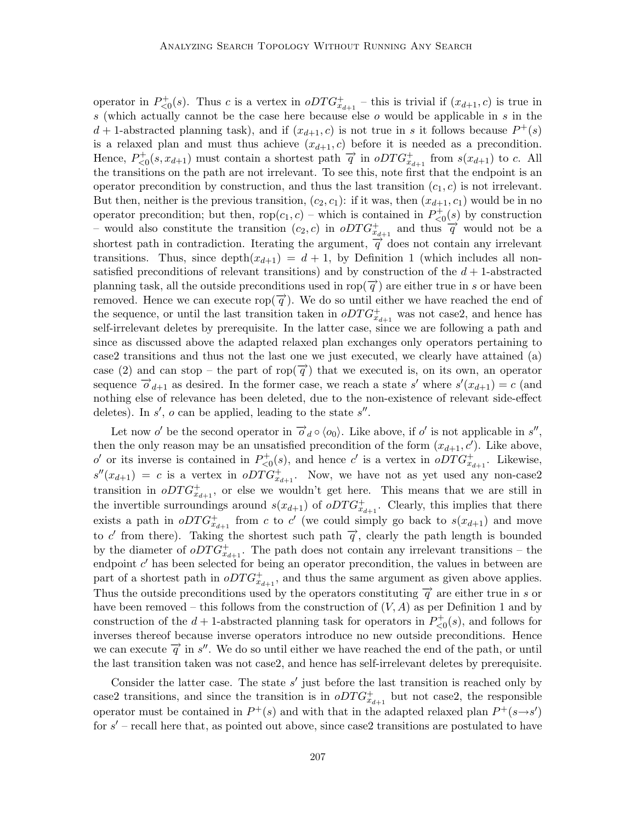operator in  $P_{\leq 0}^+(s)$ . Thus c is a vertex in  $oDTG_{x_{d+1}}^+$  – this is trivial if  $(x_{d+1}, c)$  is true in s (which actually cannot be the case here because else  $o$  would be applicable in  $s$  in the  $d+1$ -abstracted planning task), and if  $(x_{d+1}, c)$  is not true in s it follows because  $P^+(s)$ is a relaxed plan and must thus achieve  $(x_{d+1}, c)$  before it is needed as a precondition. Hence,  $P_{\leq 0}^+(s, x_{d+1})$  must contain a shortest path  $\vec{q}$  in  $oDTG_{x_{d+1}}^+$  from  $s(x_{d+1})$  to c. All the transitions on the path are not irrelevant. To see this, note first that the endpoint is an operator precondition by construction, and thus the last transition  $(c_1, c)$  is not irrelevant. But then, neither is the previous transition,  $(c_2, c_1)$ : if it was, then  $(x_{d+1}, c_1)$  would be in no operator precondition; but then,  $\text{rop}(c_1, c)$  – which is contained in  $P_{\leq 0}^+(s)$  by construction – would also constitute the transition  $(c_2, c)$  in  $oDTG_{x_{d+1}}^+$  and thus  $\overrightarrow{q}$  would not be a shortest path in contradiction. Iterating the argument,  $\vec{q}$  does not contain any irrelevant transitions. Thus, since depth $(x_{d+1}) = d + 1$ , by Definition 1 (which includes all nonsatisfied preconditions of relevant transitions) and by construction of the  $d+1$ -abstracted planning task, all the outside preconditions used in rop( $\overrightarrow{q}$ ) are either true in s or have been removed. Hence we can execute rop( $\vec{q}$ ). We do so until either we have reached the end of the sequence, or until the last transition taken in  $oDTG_{x_{d+1}}^+$  was not case2, and hence has self-irrelevant deletes by prerequisite. In the latter case, since we are following a path and since as discussed above the adapted relaxed plan exchanges only operators pertaining to case2 transitions and thus not the last one we just executed, we clearly have attained (a) case (2) and can stop – the part of rop( $\vec{q}$ ) that we executed is, on its own, an operator sequence  $\overrightarrow{o}_{d+1}$  as desired. In the former case, we reach a state s' where  $s'(x_{d+1}) = c$  (and nothing else of relevance has been deleted, due to the non-existence of relevant side-effect deletes). In  $s'$ ,  $o$  can be applied, leading to the state  $s''$ .

Let now o' be the second operator in  $\overrightarrow{o}_d \circ \langle o_0 \rangle$ . Like above, if o' is not applicable in s'', then the only reason may be an unsatisfied precondition of the form  $(x_{d+1}, c')$ . Like above, o' or its inverse is contained in  $P_{\leq 0}^+(s)$ , and hence c' is a vertex in  $oDTG_{x_{d+1}}^+$ . Likewise,  $s''(x_{d+1}) = c$  is a vertex in  $oDTG_{x_{d+1}}^+$ . Now, we have not as yet used any non-case2 transition in  $oDTG_{x_{d+1}}^+$ , or else we wouldn't get here. This means that we are still in the invertible surroundings around  $s(x_{d+1})$  of  $oDTG_{x_{d+1}}^+$ . Clearly, this implies that there exists a path in  $oDTG_{x_{d+1}}^+$  from c to c' (we could simply go back to  $s(x_{d+1})$  and move to c' from there). Taking the shortest such path  $\vec{q}$ , clearly the path length is bounded by the diameter of  $oDTG_{x_{d+1}}^+$ . The path does not contain any irrelevant transitions – the endpoint  $c'$  has been selected for being an operator precondition, the values in between are part of a shortest path in  $oDTG_{x_{d+1}}^+$ , and thus the same argument as given above applies. Thus the outside preconditions used by the operators constituting  $\vec{q}$  are either true in s or have been removed – this follows from the construction of  $(V, A)$  as per Definition 1 and by construction of the  $d+1$ -abstracted planning task for operators in  $P_{\leq 0}^{+}(s)$ , and follows for inverses thereof because inverse operators introduce no new outside preconditions. Hence we can execute  $\overrightarrow{q}$  in s''. We do so until either we have reached the end of the path, or until the last transition taken was not case2, and hence has self-irrelevant deletes by prerequisite.

Consider the latter case. The state  $s'$  just before the last transition is reached only by case2 transitions, and since the transition is in  $oDTG_{x_{d+1}}^+$  but not case2, the responsible operator must be contained in  $P^+(s)$  and with that in the adapted relaxed plan  $P^+(s\rightarrow s')$ for  $s'$  – recall here that, as pointed out above, since case2 transitions are postulated to have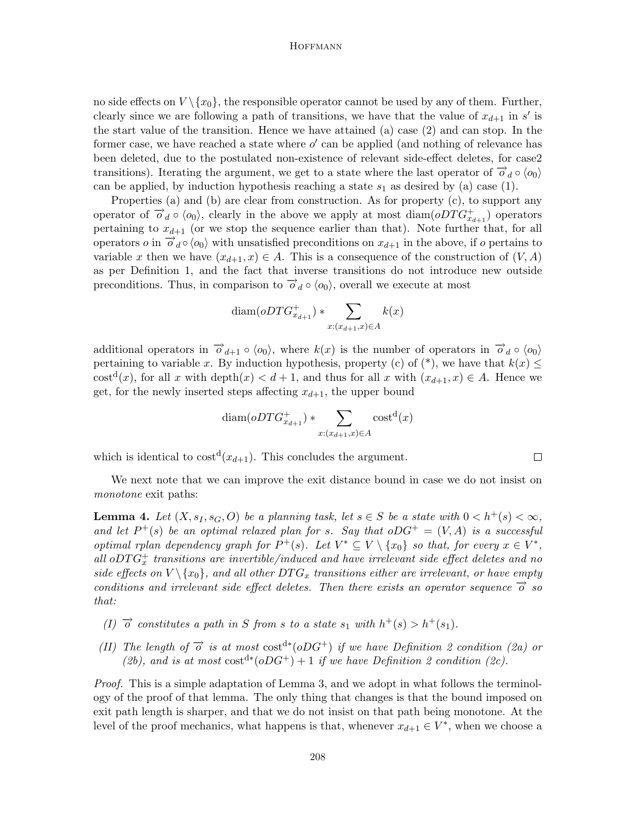no side effects on  $V \setminus \{x_0\}$ , the responsible operator cannot be used by any of them. Further, clearly since we are following a path of transitions, we have that the value of  $x_{d+1}$  in s' is the start value of the transition. Hence we have attained (a) case (2) and can stop. In the former case, we have reached a state where  $o'$  can be applied (and nothing of relevance has been deleted, due to the postulated non-existence of relevant side-effect deletes, for case2 transitions). Iterating the argument, we get to a state where the last operator of  $\vec{\sigma}_d \circ \langle o_0 \rangle$ can be applied, by induction hypothesis reaching a state  $s_1$  as desired by (a) case (1).

Properties (a) and (b) are clear from construction. As for property (c), to support any operator of  $\overrightarrow{\sigma}_d \circ \langle o_0 \rangle$ , clearly in the above we apply at most diam $(oDTG^+_{x_{d+1}})$  operators pertaining to  $x_{d+1}$  (or we stop the sequence earlier than that). Note further that, for all operators  $o$  in  $\overrightarrow{o}_d \circ \langle o_0 \rangle$  with unsatisfied preconditions on  $x_{d+1}$  in the above, if  $o$  pertains to variable x then we have  $(x_{d+1}, x) \in A$ . This is a consequence of the construction of  $(V, A)$ as per Definition 1, and the fact that inverse transitions do not introduce new outside preconditions. Thus, in comparison to  $\overrightarrow{o}_d \circ \langle o_0 \rangle$ , overall we execute at most

$$
\text{diam}(oDTG^+_{x_{d+1}}) * \sum_{x:(x_{d+1},x)\in A} k(x)
$$

additional operators in  $\vec{\sigma}_{d+1} \circ \langle o_0 \rangle$ , where  $k(x)$  is the number of operators in  $\vec{\sigma}_d \circ \langle o_0 \rangle$ pertaining to variable x. By induction hypothesis, property (c) of (\*), we have that  $k(x) \leq$ cost<sup>d</sup>(x), for all x with depth(x) < d + 1, and thus for all x with  $(x_{d+1}, x) \in A$ . Hence we get, for the newly inserted steps affecting  $x_{d+1}$ , the upper bound

$$
\text{diam}(oDTG^+_{x_{d+1}}) * \sum_{x:(x_{d+1},x)\in A}\text{cost}^{\mathbf{d}}(x)
$$

which is identical to  $cost<sup>d</sup>(x_{d+1})$ . This concludes the argument.

We next note that we can improve the exit distance bound in case we do not insist on monotone exit paths:

**Lemma 4.** Let  $(X, s_I, s_G, O)$  be a planning task, let  $s \in S$  be a state with  $0 < h^+(s) < \infty$ , and let  $P^+(s)$  be an optimal relaxed plan for s. Say that  $oDG^+ = (V, A)$  is a successful optimal rplan dependency graph for  $P^+(s)$ . Let  $V^* \subseteq V \setminus \{x_0\}$  so that, for every  $x \in V^*$ , all  $oDTG<sup>+</sup><sub>x</sub>$  transitions are invertible/induced and have irrelevant side effect deletes and no side effects on  $V \setminus \{x_0\}$ , and all other  $DTG_x$  transitions either are irrelevant, or have empty conditions and irrelevant side effect deletes. Then there exists an operator sequence  $\vec{o}$  so that:

- (I)  $\vec{\sigma}$  constitutes a path in S from s to a state  $s_1$  with  $h^+(s) > h^+(s_1)$ .
- (II) The length of  $\vec{o}$  is at most cost<sup>d</sup><sup>\*</sup>(oDG<sup>+</sup>) if we have Definition 2 condition (2a) or (2b), and is at most  $cost^{d*}(oDG^+) + 1$  if we have Definition 2 condition (2c).

Proof. This is a simple adaptation of Lemma 3, and we adopt in what follows the terminology of the proof of that lemma. The only thing that changes is that the bound imposed on exit path length is sharper, and that we do not insist on that path being monotone. At the level of the proof mechanics, what happens is that, whenever  $x_{d+1} \in V^*$ , when we choose a

 $\Box$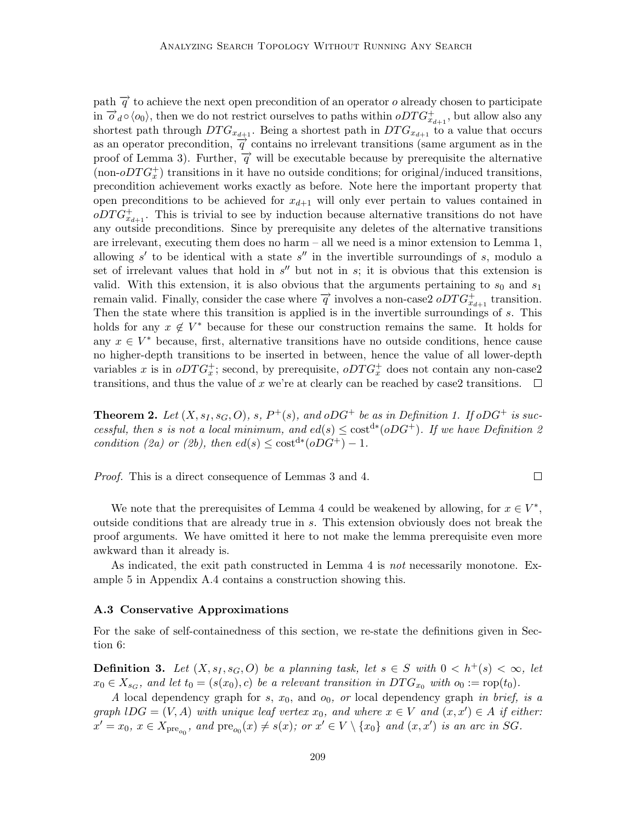path  $\vec{q}$  to achieve the next open precondition of an operator o already chosen to participate in  $\overrightarrow{o}_d \circ \langle o_0 \rangle$ , then we do not restrict ourselves to paths within  $\overrightarrow{o}_T G_{x_{d+1}}^+$ , but allow also any shortest path through  $DTG_{x_{d+1}}$ . Being a shortest path in  $DTG_{x_{d+1}}$  to a value that occurs as an operator precondition,  $\vec{q}$  contains no irrelevant transitions (same argument as in the proof of Lemma 3). Further,  $\vec{q}$  will be executable because by prerequisite the alternative (non- $\partial T G_x^+$ ) transitions in it have no outside conditions; for original/induced transitions, precondition achievement works exactly as before. Note here the important property that open preconditions to be achieved for  $x_{d+1}$  will only ever pertain to values contained in  $\overline{ODTG}_{x_{d+1}}^+$ . This is trivial to see by induction because alternative transitions do not have any outside preconditions. Since by prerequisite any deletes of the alternative transitions are irrelevant, executing them does no harm – all we need is a minor extension to Lemma 1, allowing  $s'$  to be identical with a state  $s''$  in the invertible surroundings of s, modulo a set of irrelevant values that hold in  $s''$  but not in  $s$ ; it is obvious that this extension is valid. With this extension, it is also obvious that the arguments pertaining to  $s_0$  and  $s_1$ remain valid. Finally, consider the case where  $\overrightarrow{q}$  involves a non-case2  $oDTG_{x_{d+1}}^+$  transition. Then the state where this transition is applied is in the invertible surroundings of s. This holds for any  $x \notin V^*$  because for these our construction remains the same. It holds for any  $x \in V^*$  because, first, alternative transitions have no outside conditions, hence cause no higher-depth transitions to be inserted in between, hence the value of all lower-depth variables x is in  $oDTG_x^+$ ; second, by prerequisite,  $oDTG_x^+$  does not contain any non-case2 transitions, and thus the value of x we're at clearly can be reached by case2 transitions.  $\square$ 

**Theorem 2.** Let  $(X, s_I, s_G, O)$ , s,  $P^+(s)$ , and  $oDG^+$  be as in Definition 1. If  $oDG^+$  is successful, then s is not a local minimum, and  $ed(s) \leq \text{cost}^{d*}(oDG^+)$ . If we have Definition 2 condition (2a) or (2b), then  $ed(s) \leq \text{cost}^{d*}(oDG^+) - 1$ .

Proof. This is a direct consequence of Lemmas 3 and 4.

 $\Box$ 

We note that the prerequisites of Lemma 4 could be weakened by allowing, for  $x \in V^*$ , outside conditions that are already true in s. This extension obviously does not break the proof arguments. We have omitted it here to not make the lemma prerequisite even more awkward than it already is.

As indicated, the exit path constructed in Lemma 4 is not necessarily monotone. Example 5 in Appendix A.4 contains a construction showing this.

## A.3 Conservative Approximations

For the sake of self-containedness of this section, we re-state the definitions given in Section 6:

**Definition 3.** Let  $(X, s_I, s_G, O)$  be a planning task, let  $s \in S$  with  $0 < h^+(s) < \infty$ , let  $x_0 \in X_{s_G}$ , and let  $t_0 = (s(x_0), c)$  be a relevant transition in  $DTG_{x_0}$  with  $o_0 := \text{rop}(t_0)$ .

A local dependency graph for s,  $x_0$ , and  $o_0$ , or local dependency graph in brief, is a graph  $\text{IDG} = (V, A)$  with unique leaf vertex  $x_0$ , and where  $x \in V$  and  $(x, x') \in A$  if either:  $x' = x_0, x \in X_{\text{pre}_{o_0}}, \text{ and } \text{pre}_{o_0}(x) \neq s(x); \text{ or } x' \in V \setminus \{x_0\} \text{ and } (x, x') \text{ is an arc in SG.}$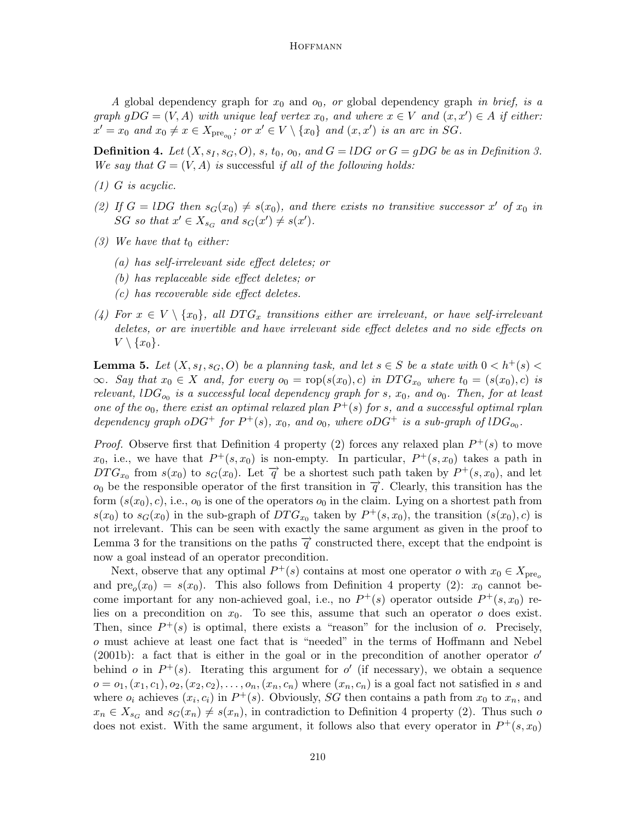A global dependency graph for  $x_0$  and  $o_0$ , or global dependency graph in brief, is a graph  $gDG = (V, A)$  with unique leaf vertex  $x_0$ , and where  $x \in V$  and  $(x, x') \in A$  if either:  $x' = x_0$  and  $x_0 \neq x \in X_{\text{pre}_{o_0}}$ ; or  $x' \in V \setminus \{x_0\}$  and  $(x, x')$  is an arc in SG.

**Definition 4.** Let  $(X, s_I, s_G, O)$ , s,  $t_0$ ,  $o_0$ , and  $G = lDG$  or  $G = gDG$  be as in Definition 3. We say that  $G = (V, A)$  is successful if all of the following holds:

- (1) G is acyclic.
- (2) If  $G = lDG$  then  $s_G(x_0) \neq s(x_0)$ , and there exists no transitive successor x' of  $x_0$  in SG so that  $x' \in X_{s_G}$  and  $s_G(x') \neq s(x')$ .
- (3) We have that  $t_0$  either:
	- (a) has self-irrelevant side effect deletes; or
	- (b) has replaceable side effect deletes; or
	- (c) has recoverable side effect deletes.
- (4) For  $x \in V \setminus \{x_0\}$ , all  $DTG_x$  transitions either are irrelevant, or have self-irrelevant deletes, or are invertible and have irrelevant side effect deletes and no side effects on  $V \setminus \{x_0\}.$

**Lemma 5.** Let  $(X, s_1, s_G, O)$  be a planning task, and let  $s \in S$  be a state with  $0 < h^+(s)$  $\infty$ . Say that  $x_0 \in X$  and, for every  $o_0 = \text{rop}(s(x_0), c)$  in  $DTG_{x_0}$  where  $t_0 = (s(x_0), c)$  is relevant,  $1DG_{o_0}$  is a successful local dependency graph for s,  $x_0$ , and  $o_0$ . Then, for at least one of the  $o_0$ , there exist an optimal relaxed plan  $P^+(s)$  for s, and a successful optimal rplan dependency graph  $oDG^+$  for  $P^+(s)$ ,  $x_0$ , and  $o_0$ , where  $oDG^+$  is a sub-graph of  $lDG_{o_0}$ .

*Proof.* Observe first that Definition 4 property (2) forces any relaxed plan  $P^+(s)$  to move  $x_0$ , i.e., we have that  $P^+(s,x_0)$  is non-empty. In particular,  $P^+(s,x_0)$  takes a path in  $DTG_{x_0}$  from  $s(x_0)$  to  $s_G(x_0)$ . Let  $\overrightarrow{q}$  be a shortest such path taken by  $P^+(s,x_0)$ , and let  $o_0$  be the responsible operator of the first transition in  $\vec{q}$ . Clearly, this transition has the form  $(s(x_0), c)$ , i.e.,  $o_0$  is one of the operators  $o_0$  in the claim. Lying on a shortest path from  $s(x_0)$  to  $s_G(x_0)$  in the sub-graph of  $DTG_{x_0}$  taken by  $P^+(s,x_0)$ , the transition  $(s(x_0), c)$  is not irrelevant. This can be seen with exactly the same argument as given in the proof to Lemma 3 for the transitions on the paths  $\vec{q}$  constructed there, except that the endpoint is now a goal instead of an operator precondition.

Next, observe that any optimal  $P^+(s)$  contains at most one operator  $o$  with  $x_0 \in X_{\text{pre}_o}$ and  $pre_o(x_0) = s(x_0)$ . This also follows from Definition 4 property (2):  $x_0$  cannot become important for any non-achieved goal, i.e., no  $P^+(s)$  operator outside  $P^+(s,x_0)$  relies on a precondition on  $x_0$ . To see this, assume that such an operator  $o$  does exist. Then, since  $P^+(s)$  is optimal, there exists a "reason" for the inclusion of o. Precisely, o must achieve at least one fact that is "needed" in the terms of Hoffmann and Nebel (2001b): a fact that is either in the goal or in the precondition of another operator  $o'$ behind *o* in  $P^+(s)$ . Iterating this argument for *o'* (if necessary), we obtain a sequence  $o = o_1, (x_1, c_1), o_2, (x_2, c_2), \ldots, o_n, (x_n, c_n)$  where  $(x_n, c_n)$  is a goal fact not satisfied in s and where  $o_i$  achieves  $(x_i, c_i)$  in  $P^+(s)$ . Obviously, SG then contains a path from  $x_0$  to  $x_n$ , and  $x_n \in X_{s_G}$  and  $s_G(x_n) \neq s(x_n)$ , in contradiction to Definition 4 property (2). Thus such o does not exist. With the same argument, it follows also that every operator in  $P^+(s, x_0)$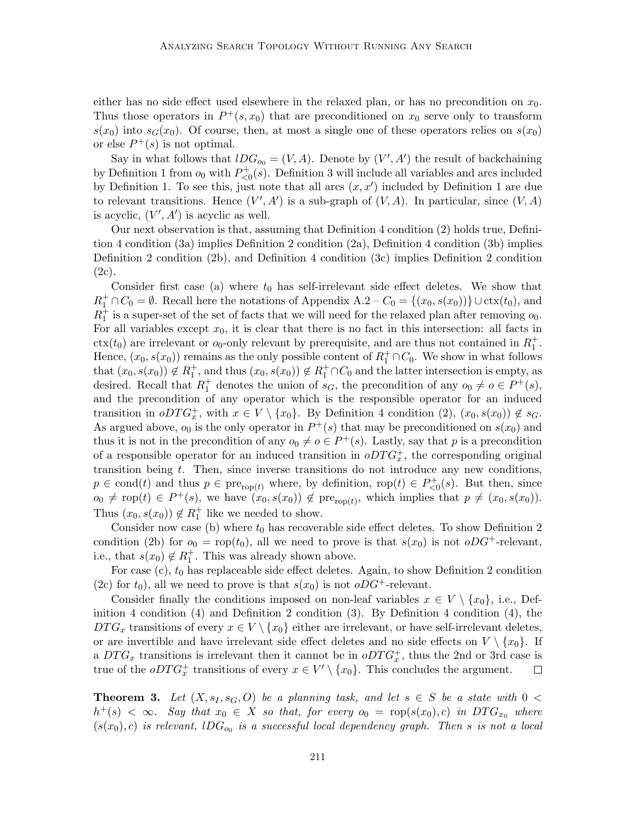either has no side effect used elsewhere in the relaxed plan, or has no precondition on  $x_0$ . Thus those operators in  $P^+(s, x_0)$  that are preconditioned on  $x_0$  serve only to transform  $s(x_0)$  into  $s_G(x_0)$ . Of course, then, at most a single one of these operators relies on  $s(x_0)$ or else  $P^+(s)$  is not optimal.

Say in what follows that  $lDG_{o_0} = (V, A)$ . Denote by  $(V', A')$  the result of backchaining by Definition 1 from  $o_0$  with  $P_{\leq 0}^+(s)$ . Definition 3 will include all variables and arcs included by Definition 1. To see this, just note that all arcs  $(x, x')$  included by Definition 1 are due to relevant transitions. Hence  $(V', A')$  is a sub-graph of  $(V, A)$ . In particular, since  $(V, A)$ is acyclic,  $(V', A')$  is acyclic as well.

Our next observation is that, assuming that Definition 4 condition (2) holds true, Definition 4 condition (3a) implies Definition 2 condition (2a), Definition 4 condition (3b) implies Definition 2 condition (2b), and Definition 4 condition (3c) implies Definition 2 condition (2c).

Consider first case (a) where  $t_0$  has self-irrelevant side effect deletes. We show that  $R_1^+ \cap C_0 = \emptyset$ . Recall here the notations of Appendix A.2 –  $C_0 = \{(x_0, s(x_0))\} \cup \text{ctx}(t_0)$ , and  $R_1^{\pm}$  is a super-set of the set of facts that we will need for the relaxed plan after removing  $o_0$ . For all variables except  $x_0$ , it is clear that there is no fact in this intersection: all facts in  $\text{ctx}(t_0)$  are irrelevant or  $o_0$ -only relevant by prerequisite, and are thus not contained in  $R_1^+$ . Hence,  $(x_0, s(x_0))$  remains as the only possible content of  $R_1^+\cap C_0$ . We show in what follows that  $(x_0, s(x_0)) \notin R_1^+$ , and thus  $(x_0, s(x_0)) \notin R_1^+ \cap C_0$  and the latter intersection is empty, as desired. Recall that  $R_1^+$  denotes the union of  $s_G$ , the precondition of any  $o_0 \neq o \in P^+(s)$ , and the precondition of any operator which is the responsible operator for an induced transition in  $oDTG_x^+$ , with  $x \in V \setminus \{x_0\}$ . By Definition 4 condition  $(2)$ ,  $(x_0, s(x_0)) \notin s_G$ . As argued above,  $o_0$  is the only operator in  $P^+(s)$  that may be preconditioned on  $s(x_0)$  and thus it is not in the precondition of any  $o_0 \neq o \in P^+(s)$ . Lastly, say that p is a precondition of a responsible operator for an induced transition in  $oDTG_x^+$ , the corresponding original transition being t. Then, since inverse transitions do not introduce any new conditions,  $p \in \text{cond}(t)$  and thus  $p \in \text{pre}_{\text{rop}(t)}$  where, by definition,  $\text{rop}(t) \in P_{\leq 0}^+(s)$ . But then, since  $o_0 \neq \text{rop}(t) \in P^+(s)$ , we have  $(x_0, s(x_0)) \notin \text{pre}_{\text{rop}(t)}$ , which implies that  $p \neq (x_0, s(x_0))$ . Thus  $(x_0, s(x_0)) \notin R_1^+$  like we needed to show.

Consider now case (b) where  $t_0$  has recoverable side effect deletes. To show Definition 2 condition (2b) for  $o_0 = \text{rop}(t_0)$ , all we need to prove is that  $s(x_0)$  is not  $oDG^+$ -relevant, i.e., that  $s(x_0) \notin R_1^+$ . This was already shown above.

For case  $(c)$ ,  $t_0$  has replaceable side effect deletes. Again, to show Definition 2 condition (2c) for  $t_0$ ), all we need to prove is that  $s(x_0)$  is not  $oDG^+$ -relevant.

Consider finally the conditions imposed on non-leaf variables  $x \in V \setminus \{x_0\}$ , i.e., Definition 4 condition (4) and Definition 2 condition (3). By Definition 4 condition (4), the  $DTG_x$  transitions of every  $x \in V \setminus \{x_0\}$  either are irrelevant, or have self-irrelevant deletes, or are invertible and have irrelevant side effect deletes and no side effects on  $V \setminus \{x_0\}$ . If a  $DTG_x$  transitions is irrelevant then it cannot be in  $oDTG_x^+$ , thus the 2nd or 3rd case is true of the  $oDTG_x^+$  transitions of every  $x \in V' \setminus \{x_0\}$ . This concludes the argument.  $\Box$ 

**Theorem 3.** Let  $(X, s<sub>I</sub>, s<sub>G</sub>, O)$  be a planning task, and let  $s \in S$  be a state with  $0 <$  $h^+(s) < \infty$ . Say that  $x_0 \in X$  so that, for every  $o_0 = \text{rop}(s(x_0), c)$  in  $DTG_{x_0}$  where  $(s(x_0), c)$  is relevant,  $IDG_{o_0}$  is a successful local dependency graph. Then s is not a local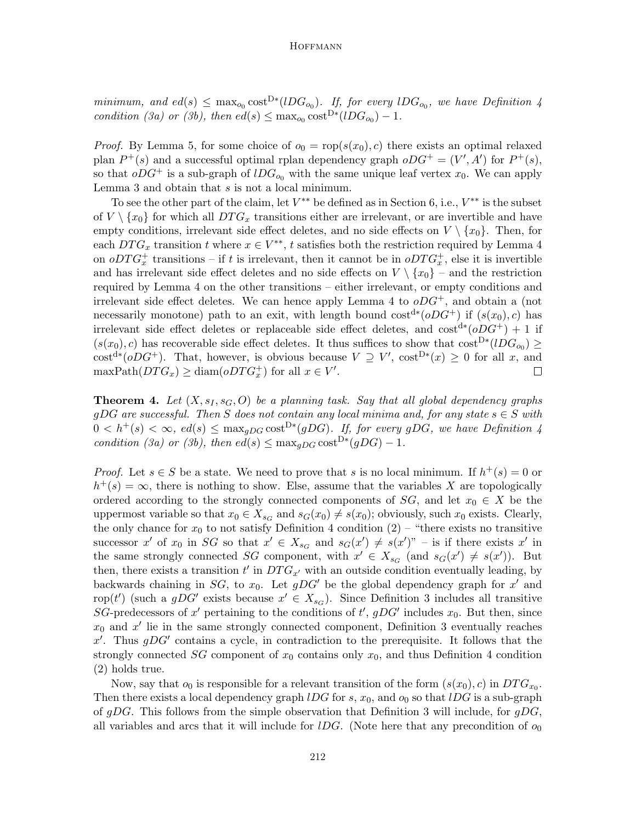minimum, and  $ed(s) \leq \max_{o_0} \text{cost}^{D*}(lDG_{o_0})$ . If, for every  $lDG_{o_0}$ , we have Definition 4 condition (3a) or (3b), then  $ed(s) \leq \max_{o_0} \text{cost}^{D*}(lDG_{o_0}) - 1$ .

*Proof.* By Lemma 5, for some choice of  $o_0 = \text{rop}(s(x_0), c)$  there exists an optimal relaxed plan  $P^+(s)$  and a successful optimal rplan dependency graph  $oDG^+ = (V', A')$  for  $P^+(s)$ , so that  $oDG^+$  is a sub-graph of  $lDG_{o_0}$  with the same unique leaf vertex  $x_0$ . We can apply Lemma 3 and obtain that s is not a local minimum.

To see the other part of the claim, let  $V^{**}$  be defined as in Section 6, i.e.,  $V^{**}$  is the subset of  $V \setminus \{x_0\}$  for which all  $DTG_x$  transitions either are irrelevant, or are invertible and have empty conditions, irrelevant side effect deletes, and no side effects on  $V \setminus \{x_0\}$ . Then, for each  $DTG_x$  transition t where  $x \in V^{**}$ , t satisfies both the restriction required by Lemma 4 on  $oDTG_x^+$  transitions – if t is irrelevant, then it cannot be in  $oDTG_x^+$ , else it is invertible and has irrelevant side effect deletes and no side effects on  $V \setminus \{x_0\}$  – and the restriction required by Lemma 4 on the other transitions – either irrelevant, or empty conditions and irrelevant side effect deletes. We can hence apply Lemma 4 to  $oDG^+$ , and obtain a (not necessarily monotone) path to an exit, with length bound  $\cos t^{d*}(\rho DG^+)$  if  $(s(x_0), c)$  has irrelevant side effect deletes or replaceable side effect deletes, and  $\cos t^{d*} (oDG^+) + 1$  if  $(s(x_0), c)$  has recoverable side effect deletes. It thus suffices to show that  $\cos^{D*}(lDG_{o_0}) \geq$ cost<sup>d</sup><sup>\*</sup>(*oDG*<sup>+</sup>). That, however, is obvious because  $V \supseteq V'$ , cost<sup>D</sup><sup>\*</sup>(*x*)  $\geq 0$  for all *x*, and  $\text{maxPath}(DTG_x) \ge \text{diam}(oDTG_x^+)$  for all  $x \in V'.$  $\Box$ 

**Theorem 4.** Let  $(X, s<sub>I</sub>, s<sub>G</sub>, O)$  be a planning task. Say that all global dependency graphs gDG are successful. Then S does not contain any local minima and, for any state  $s \in S$  with  $0 < h^+(s) < \infty$ ,  $ed(s) \leq \max_{gDG} \text{cost}^{D*}(gDG)$ . If, for every gDG, we have Definition 4 condition (3a) or (3b), then  $ed(s) \leq \max_{gDG} \cosh^{D*}(gDG) - 1$ .

*Proof.* Let  $s \in S$  be a state. We need to prove that s is no local minimum. If  $h^+(s) = 0$  or  $h^+(s) = \infty$ , there is nothing to show. Else, assume that the variables X are topologically ordered according to the strongly connected components of  $SG$ , and let  $x_0 \in X$  be the uppermost variable so that  $x_0 \in X_{sG}$  and  $s_G(x_0) \neq s(x_0)$ ; obviously, such  $x_0$  exists. Clearly, the only chance for  $x_0$  to not satisfy Definition 4 condition  $(2)$  – "there exists no transitive successor x' of  $x_0$  in SG so that  $x' \in X_{s_G}$  and  $s_G(x') \neq s(x')$ " – is if there exists x' in the same strongly connected SG component, with  $x' \in X_{s_G}$  (and  $s_G(x') \neq s(x')$ ). But then, there exists a transition  $t'$  in  $DTG_{x'}$  with an outside condition eventually leading, by backwards chaining in  $SG$ , to  $x_0$ . Let  $gDG'$  be the global dependency graph for  $x'$  and rop(t') (such a gDG' exists because  $x' \in X_{s_G}$ ). Since Definition 3 includes all transitive SG-predecessors of x' pertaining to the conditions of t',  $gDG'$  includes  $x_0$ . But then, since  $x_0$  and  $x'$  lie in the same strongly connected component, Definition 3 eventually reaches x'. Thus  $gDG'$  contains a cycle, in contradiction to the prerequisite. It follows that the strongly connected  $SG$  component of  $x_0$  contains only  $x_0$ , and thus Definition 4 condition (2) holds true.

Now, say that  $o_0$  is responsible for a relevant transition of the form  $(s(x_0), c)$  in  $DTG_{x_0}$ . Then there exists a local dependency graph  $lDG$  for s,  $x_0$ , and  $o_0$  so that  $lDG$  is a sub-graph of gDG. This follows from the simple observation that Definition 3 will include, for gDG, all variables and arcs that it will include for *IDG*. (Note here that any precondition of  $o_0$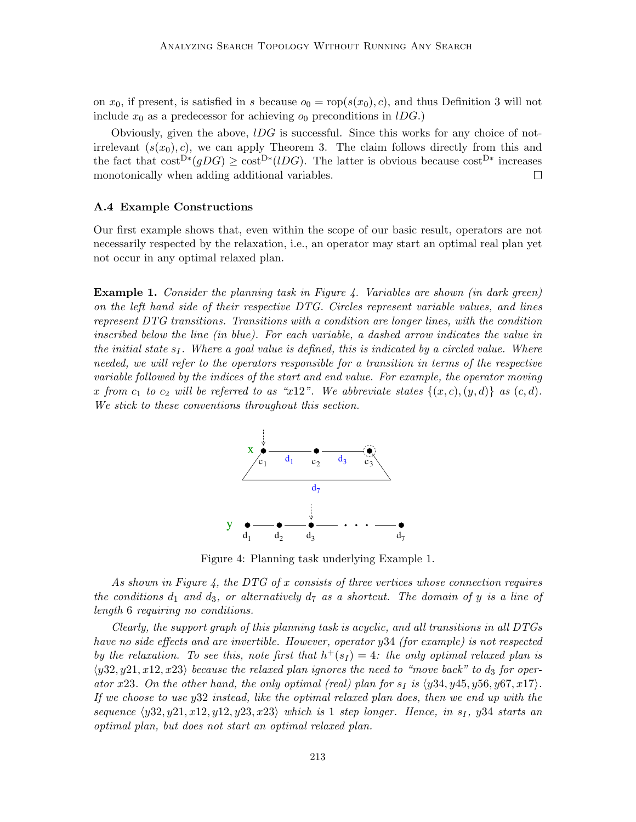on  $x_0$ , if present, is satisfied in s because  $o_0 = \text{rop}(s(x_0), c)$ , and thus Definition 3 will not include  $x_0$  as a predecessor for achieving  $o_0$  preconditions in lDG.)

Obviously, given the above,  $l\overline{D}G$  is successful. Since this works for any choice of notirrelevant  $(s(x_0), c)$ , we can apply Theorem 3. The claim follows directly from this and the fact that  $\text{cost}^{\text{D}*}(gDG) \geq \text{cost}^{\text{D}*}(lDG)$ . The latter is obvious because  $\text{cost}^{\text{D}*}$  increases monotonically when adding additional variables.  $\Box$ 

#### A.4 Example Constructions

Our first example shows that, even within the scope of our basic result, operators are not necessarily respected by the relaxation, i.e., an operator may start an optimal real plan yet not occur in any optimal relaxed plan.

**Example 1.** Consider the planning task in Figure 4. Variables are shown (in dark green) on the left hand side of their respective DTG. Circles represent variable values, and lines represent DTG transitions. Transitions with a condition are longer lines, with the condition inscribed below the line (in blue). For each variable, a dashed arrow indicates the value in the initial state  $s_I$ . Where a goal value is defined, this is indicated by a circled value. Where needed, we will refer to the operators responsible for a transition in terms of the respective variable followed by the indices of the start and end value. For example, the operator moving x from c<sub>1</sub> to c<sub>2</sub> will be referred to as "x12". We abbreviate states  $\{(x, c), (y, d)\}\$ as  $(c, d)$ . We stick to these conventions throughout this section.



Figure 4: Planning task underlying Example 1.

As shown in Figure 4, the DTG of x consists of three vertices whose connection requires the conditions  $d_1$  and  $d_3$ , or alternatively  $d_7$  as a shortcut. The domain of y is a line of length 6 requiring no conditions.

Clearly, the support graph of this planning task is acyclic, and all transitions in all DTGs have no side effects and are invertible. However, operator y34 (for example) is not respected by the relaxation. To see this, note first that  $h^+(s_I) = 4$ : the only optimal relaxed plan is  $\langle y32, y21, x12, x23 \rangle$  because the relaxed plan ignores the need to "move back" to d<sub>3</sub> for operator x23. On the other hand, the only optimal (real) plan for  $s_I$  is  $\langle y34, y45, y56, y67, x17 \rangle$ . If we choose to use y32 instead, like the optimal relaxed plan does, then we end up with the sequence  $\langle y32, y21, x12, y12, y23, x23 \rangle$  which is 1 step longer. Hence, in s<sub>I</sub>, y34 starts an optimal plan, but does not start an optimal relaxed plan.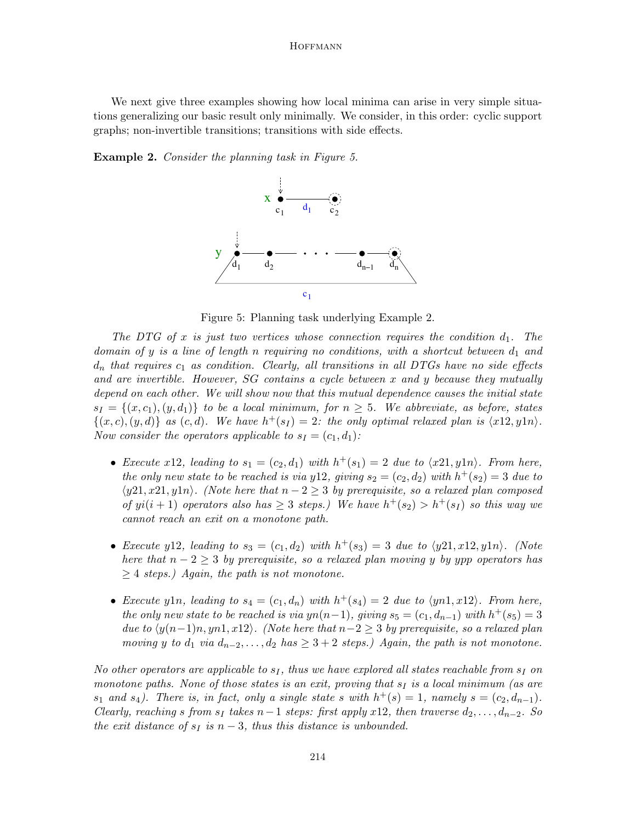We next give three examples showing how local minima can arise in very simple situations generalizing our basic result only minimally. We consider, in this order: cyclic support graphs; non-invertible transitions; transitions with side effects.

Example 2. Consider the planning task in Figure 5.



Figure 5: Planning task underlying Example 2.

The DTG of x is just two vertices whose connection requires the condition  $d_1$ . The domain of y is a line of length n requiring no conditions, with a shortcut between  $d_1$  and  $d_n$  that requires  $c_1$  as condition. Clearly, all transitions in all DTGs have no side effects and are invertible. However, SG contains a cycle between x and y because they mutually depend on each other. We will show now that this mutual dependence causes the initial state  $s_I = \{(x, c_1), (y, d_1)\}\;$  to be a local minimum, for  $n \geq 5$ . We abbreviate, as before, states  $\{(x, c), (y, d)\}\$ as  $(c, d)$ . We have  $h^+(s_I) = 2$ : the only optimal relaxed plan is  $\langle x12, y1n \rangle$ . Now consider the operators applicable to  $s_1 = (c_1, d_1)$ :

- Execute x12, leading to  $s_1 = (c_2, d_1)$  with  $h^+(s_1) = 2$  due to  $\langle x21, y1n \rangle$ . From here, the only new state to be reached is via y12, giving  $s_2 = (c_2, d_2)$  with  $h^+(s_2) = 3$  due to  $\langle y21, x21, y1n \rangle$ . (Note here that  $n-2 \geq 3$  by prerequisite, so a relaxed plan composed of  $yi(i + 1)$  operators also has  $\geq 3$  steps.) We have  $h^+(s_2) > h^+(s_1)$  so this way we cannot reach an exit on a monotone path.
- Execute y12, leading to  $s_3 = (c_1, d_2)$  with  $h^+(s_3) = 3$  due to  $\langle y21, x12, y1n \rangle$ . (Note here that  $n-2 \geq 3$  by prerequisite, so a relaxed plan moving y by ypp operators has  $\geq 4$  steps.) Again, the path is not monotone.
- Execute y1n, leading to  $s_4 = (c_1, d_n)$  with  $h^+(s_4) = 2$  due to  $\langle yn1, x12 \rangle$ . From here, the only new state to be reached is via yn $(n-1)$ , giving  $s_5 = (c_1, d_{n-1})$  with  $h^+(s_5) = 3$ due to  $\langle y(n-1)n, yn1, x12 \rangle$ . (Note here that  $n-2 \geq 3$  by prerequisite, so a relaxed plan moving y to  $d_1$  via  $d_{n-2}, \ldots, d_2$  has  $\geq 3+2$  steps.) Again, the path is not monotone.

No other operators are applicable to  $s_I$ , thus we have explored all states reachable from  $s_I$  on monotone paths. None of those states is an exit, proving that  $s<sub>I</sub>$  is a local minimum (as are  $s_1$  and  $s_4$ ). There is, in fact, only a single state s with  $h^+(s) = 1$ , namely  $s = (c_2, d_{n-1})$ . Clearly, reaching s from  $s_I$  takes n−1 steps: first apply x12, then traverse  $d_2, \ldots, d_{n-2}$ . So the exit distance of  $s_I$  is  $n-3$ , thus this distance is unbounded.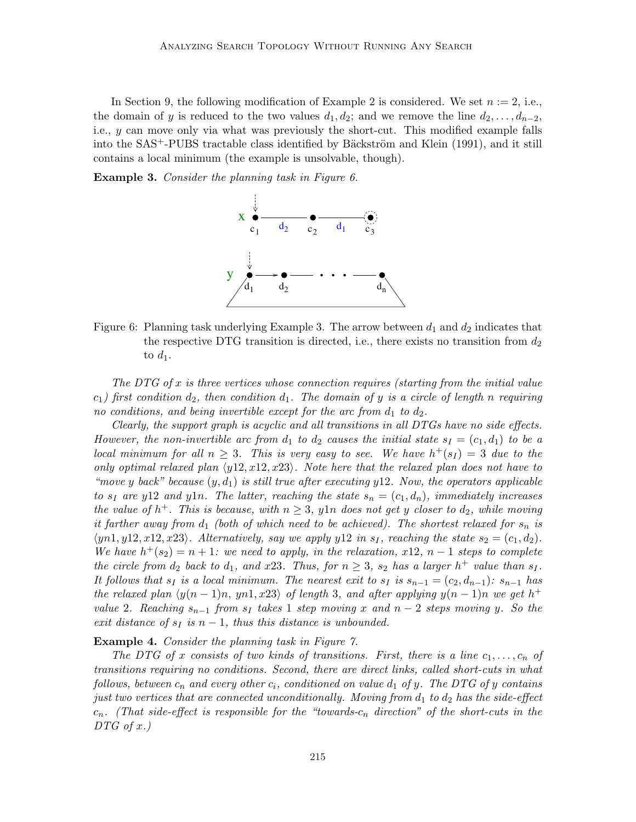In Section 9, the following modification of Example 2 is considered. We set  $n := 2$ , i.e., the domain of y is reduced to the two values  $d_1, d_2$ ; and we remove the line  $d_2, \ldots, d_{n-2}$ , i.e., y can move only via what was previously the short-cut. This modified example falls into the  $SAS^+$ -PUBS tractable class identified by Bäckström and Klein  $(1991)$ , and it still contains a local minimum (the example is unsolvable, though).

Example 3. Consider the planning task in Figure 6.



Figure 6: Planning task underlying Example 3. The arrow between  $d_1$  and  $d_2$  indicates that the respective DTG transition is directed, i.e., there exists no transition from  $d_2$ to  $d_1$ .

The DTG of x is three vertices whose connection requires (starting from the initial value  $c_1$ ) first condition  $d_2$ , then condition  $d_1$ . The domain of y is a circle of length n requiring no conditions, and being invertible except for the arc from  $d_1$  to  $d_2$ .

Clearly, the support graph is acyclic and all transitions in all DTGs have no side effects. However, the non-invertible arc from  $d_1$  to  $d_2$  causes the initial state  $s_1 = (c_1, d_1)$  to be a local minimum for all  $n \geq 3$ . This is very easy to see. We have  $h^+(s_I) = 3$  due to the only optimal relaxed plan  $\langle y12, x12, x23 \rangle$ . Note here that the relaxed plan does not have to "move y back" because  $(y, d_1)$  is still true after executing y12. Now, the operators applicable to  $s_I$  are y12 and y1n. The latter, reaching the state  $s_n = (c_1, d_n)$ , immediately increases the value of  $h^+$ . This is because, with  $n \geq 3$ , y $1n$  does not get y closer to  $d_2$ , while moving it farther away from  $d_1$  (both of which need to be achieved). The shortest relaxed for  $s_n$  is  $\langle yn1, y12, x12, x23 \rangle$ . Alternatively, say we apply y12 in  $s<sub>I</sub>$ , reaching the state  $s<sub>2</sub> = (c<sub>1</sub>, d<sub>2</sub>)$ . We have  $h^+(s_2) = n+1$ : we need to apply, in the relaxation, x12, n – 1 steps to complete the circle from  $d_2$  back to  $d_1$ , and x23. Thus, for  $n \geq 3$ ,  $s_2$  has a larger  $h^+$  value than  $s_1$ . It follows that  $s_I$  is a local minimum. The nearest exit to  $s_I$  is  $s_{n-1} = (c_2, d_{n-1})$ :  $s_{n-1}$  has the relaxed plan  $\langle y(n-1)n, yn1, x23 \rangle$  of length 3, and after applying  $y(n-1)n$  we get h<sup>+</sup> value 2. Reaching  $s_{n-1}$  from  $s_I$  takes 1 step moving x and  $n-2$  steps moving y. So the exit distance of  $s_I$  is  $n-1$ , thus this distance is unbounded.

#### Example 4. Consider the planning task in Figure 7.

The DTG of x consists of two kinds of transitions. First, there is a line  $c_1, \ldots, c_n$  of transitions requiring no conditions. Second, there are direct links, called short-cuts in what follows, between  $c_n$  and every other  $c_i$ , conditioned on value  $d_1$  of y. The DTG of y contains just two vertices that are connected unconditionally. Moving from  $d_1$  to  $d_2$  has the side-effect  $c_n$ . (That side-effect is responsible for the "towards- $c_n$  direction" of the short-cuts in the  $DTG$  of x.)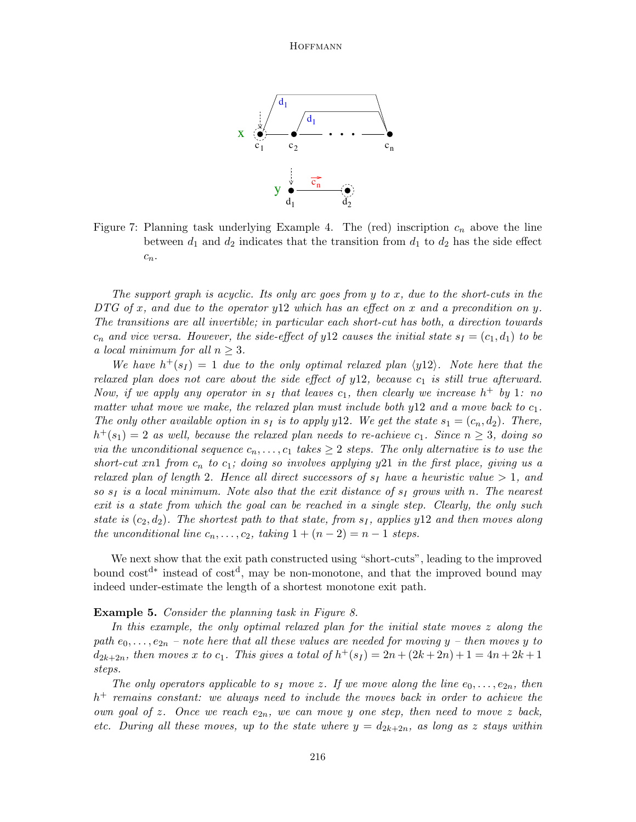

Figure 7: Planning task underlying Example 4. The (red) inscription  $c_n$  above the line between  $d_1$  and  $d_2$  indicates that the transition from  $d_1$  to  $d_2$  has the side effect  $c_n$ .

The support graph is acyclic. Its only arc goes from y to x, due to the short-cuts in the DTG of x, and due to the operator y 12 which has an effect on x and a precondition on y. The transitions are all invertible; in particular each short-cut has both, a direction towards  $c_n$  and vice versa. However, the side-effect of y12 causes the initial state  $s_I = (c_1, d_1)$  to be a local minimum for all  $n \geq 3$ .

We have  $h^+(s_I) = 1$  due to the only optimal relaxed plan  $\langle y12 \rangle$ . Note here that the relaxed plan does not care about the side effect of  $y12$ , because  $c_1$  is still true afterward. Now, if we apply any operator in  $s_I$  that leaves  $c_I$ , then clearly we increase  $h^+$  by 1: no matter what move we make, the relaxed plan must include both  $y12$  and a move back to  $c_1$ . The only other available option in  $s_I$  is to apply y12. We get the state  $s_1 = (c_n, d_2)$ . There,  $h^+(s_1) = 2$  as well, because the relaxed plan needs to re-achieve  $c_1$ . Since  $n \geq 3$ , doing so via the unconditional sequence  $c_n, \ldots, c_1$  takes  $\geq 2$  steps. The only alternative is to use the short-cut xn1 from  $c_n$  to  $c_1$ ; doing so involves applying y21 in the first place, giving us a relaxed plan of length 2. Hence all direct successors of  $s_I$  have a heuristic value  $> 1$ , and so  $s<sub>I</sub>$  is a local minimum. Note also that the exit distance of  $s<sub>I</sub>$  grows with n. The nearest exit is a state from which the goal can be reached in a single step. Clearly, the only such state is  $(c_2, d_2)$ . The shortest path to that state, from  $s_1$ , applies y12 and then moves along the unconditional line  $c_n, \ldots, c_2$ , taking  $1 + (n-2) = n-1$  steps.

We next show that the exit path constructed using "short-cuts", leading to the improved bound cost<sup>d∗</sup> instead of cost<sup>d</sup>, may be non-monotone, and that the improved bound may indeed under-estimate the length of a shortest monotone exit path.

#### Example 5. Consider the planning task in Figure 8.

In this example, the only optimal relaxed plan for the initial state moves z along the path  $e_0, \ldots, e_{2n}$  – note here that all these values are needed for moving y – then moves y to  $d_{2k+2n}$ , then moves x to  $c_1$ . This gives a total of  $h^+(s_1) = 2n + (2k+2n) + 1 = 4n + 2k + 1$ steps.

The only operators applicable to  $s_I$  move z. If we move along the line  $e_0, \ldots, e_{2n}$ , then  $h$ <sup>+</sup> remains constant: we always need to include the moves back in order to achieve the own goal of z. Once we reach  $e_{2n}$ , we can move y one step, then need to move z back, etc. During all these moves, up to the state where  $y = d_{2k+2n}$ , as long as z stays within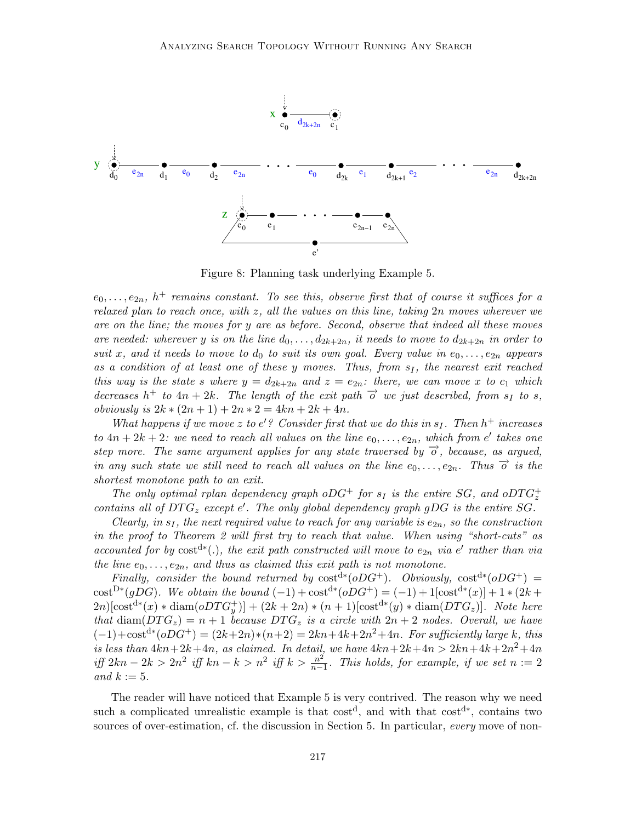

Figure 8: Planning task underlying Example 5.

 $e_0, \ldots, e_{2n}$ ,  $h^+$  remains constant. To see this, observe first that of course it suffices for a relaxed plan to reach once, with  $z$ , all the values on this line, taking  $2n$  moves wherever we are on the line; the moves for y are as before. Second, observe that indeed all these moves are needed: wherever y is on the line  $d_0, \ldots, d_{2k+2n}$ , it needs to move to  $d_{2k+2n}$  in order to suit x, and it needs to move to  $d_0$  to suit its own goal. Every value in  $e_0, \ldots, e_{2n}$  appears as a condition of at least one of these y moves. Thus, from  $s_I$ , the nearest exit reached this way is the state s where  $y = d_{2k+2n}$  and  $z = e_{2n}$ : there, we can move x to  $c_1$  which decreases  $h^+$  to  $4n + 2k$ . The length of the exit path  $\overrightarrow{o}$  we just described, from  $\overrightarrow{s}$  to s, obviously is  $2k * (2n + 1) + 2n * 2 = 4kn + 2k + 4n$ .

What happens if we move z to  $e'$ ? Consider first that we do this in  $s_I$ . Then  $h^+$  increases to  $4n + 2k + 2$ : we need to reach all values on the line  $e_0, \ldots, e_{2n}$ , which from e' takes one step more. The same argument applies for any state traversed by  $\overrightarrow{o}$ , because, as argued, in any such state we still need to reach all values on the line  $e_0, \ldots, e_{2n}$ . Thus  $\overrightarrow{o}$  is the shortest monotone path to an exit.

The only optimal rplan dependency graph oDG<sup>+</sup> for  $s_I$  is the entire SG, and oDTG<sub>z</sub><sup>+</sup> contains all of  $DTG_z$  except  $e'$ . The only global dependency graph gDG is the entire SG.

Clearly, in  $s_I$ , the next required value to reach for any variable is  $e_{2n}$ , so the construction in the proof to Theorem 2 will first try to reach that value. When using "short-cuts" as accounted for by  $cost^{d*}(.)$ , the exit path constructed will move to  $e_{2n}$  via e' rather than via the line  $e_0, \ldots, e_{2n}$ , and thus as claimed this exit path is not monotone.

Finally, consider the bound returned by  $\text{cost}^{d*}(oDG^+)$ . Obviously,  $\text{cost}^{d*}(oDG^+)$  = cost<sup>D</sup><sup>\*</sup>(gDG). We obtain the bound  $(-1) + \text{cost}^{d*}(oDG^+) = (-1) + 1[\text{cost}^{d*}(x)] + 1 * (2k +$  $2n$ [cost<sup>d</sup>\* $(x)$  \* diam $(oDTG_y^+)] + (2k + 2n)$  \*  $(n + 1)$ [cost<sup>d\*</sup> $(y)$  \* diam $(DTG_z)]$ . Note here that diam( $DTG_z$ ) = n + 1 because DT $G_z$  is a circle with  $2n + 2$  nodes. Overall, we have  $(-1)+\text{cost}^{d*}(oDG^+) = (2k+2n)*(n+2) = 2kn+4k+2n^2+4n$ . For sufficiently large k, this is less than  $4kn+2k+4n$ , as claimed. In detail, we have  $4kn+2k+4n > 2kn+4k+2n^2+4n$ iff 2kn − 2k > 2n<sup>2</sup> iff kn − k > n<sup>2</sup> iff k >  $\frac{n^2}{n-1}$  $\frac{n^2}{n-1}$ . This holds, for example, if we set  $n := 2$ and  $k := 5$ .

The reader will have noticed that Example 5 is very contrived. The reason why we need such a complicated unrealistic example is that  $cost<sup>d</sup>$ , and with that  $cost<sup>d*</sup>$ , contains two sources of over-estimation, cf. the discussion in Section 5. In particular, every move of non-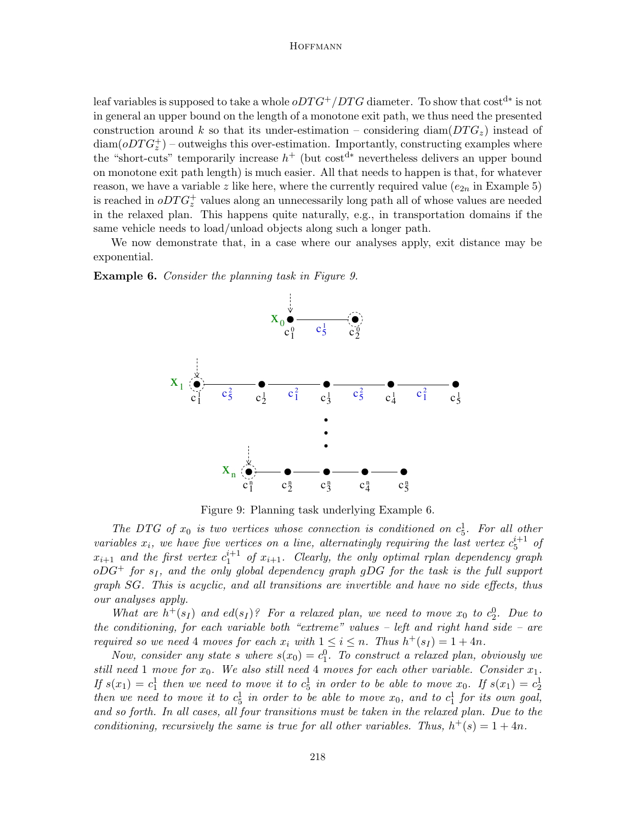leaf variables is supposed to take a whole  $oDTG^+/DTG$  diameter. To show that  $\mathrm{cost}^\mathrm{d*}$  is not in general an upper bound on the length of a monotone exit path, we thus need the presented construction around k so that its under-estimation – considering diam( $DTG_z$ ) instead of  $\text{diam}( oD T G_z^+)$  – outweighs this over-estimation. Importantly, constructing examples where the "short-cuts" temporarily increase  $h^+$  (but cost<sup>d\*</sup> nevertheless delivers an upper bound on monotone exit path length) is much easier. All that needs to happen is that, for whatever reason, we have a variable z like here, where the currently required value  $(e_{2n})$  in Example 5) is reached in  $oDTG_z^+$  values along an unnecessarily long path all of whose values are needed in the relaxed plan. This happens quite naturally, e.g., in transportation domains if the same vehicle needs to load/unload objects along such a longer path.

We now demonstrate that, in a case where our analyses apply, exit distance may be exponential.

Example 6. Consider the planning task in Figure 9.



Figure 9: Planning task underlying Example 6.

The DTG of  $x_0$  is two vertices whose connection is conditioned on  $c_5^1$ . For all other variables  $x_i$ , we have five vertices on a line, alternatingly requiring the last vertex  $c_5^{i+1}$  of  $x_{i+1}$  and the first vertex  $c_1^{i+1}$  of  $x_{i+1}$ . Clearly, the only optimal rplan dependency graph  $oDG^+$  for  $s_I$ , and the only global dependency graph gDG for the task is the full support graph SG. This is acyclic, and all transitions are invertible and have no side effects, thus our analyses apply.

What are  $h^+(s_I)$  and  $ed(s_I)$ ? For a relaxed plan, we need to move  $x_0$  to  $c_2^0$ . Due to the conditioning, for each variable both "extreme" values – left and right hand side – are required so we need 4 moves for each  $x_i$  with  $1 \leq i \leq n$ . Thus  $h^+(s_i) = 1 + 4n$ .

Now, consider any state s where  $s(x_0) = c_1^0$ . To construct a relaxed plan, obviously we still need 1 move for  $x_0$ . We also still need 4 moves for each other variable. Consider  $x_1$ . If  $s(x_1) = c_1^1$  then we need to move it to  $c_5^1$  in order to be able to move  $x_0$ . If  $s(x_1) = c_2^1$ then we need to move it to  $c_5^1$  in order to be able to move  $x_0$ , and to  $c_1^1$  for its own goal, and so forth. In all cases, all four transitions must be taken in the relaxed plan. Due to the conditioning, recursively the same is true for all other variables. Thus,  $h^+(s) = 1 + 4n$ .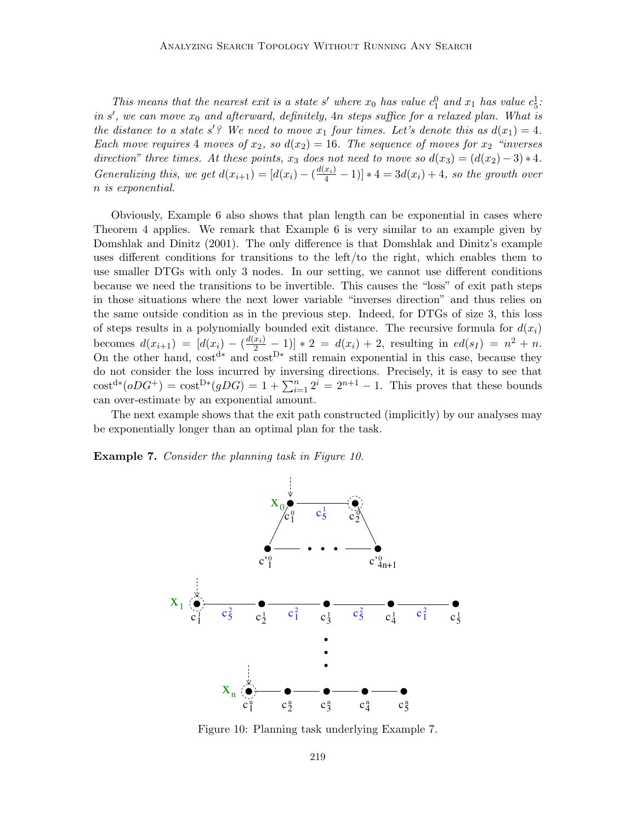This means that the nearest exit is a state s' where  $x_0$  has value  $c_1^0$  and  $x_1$  has value  $c_5^1$ : in  $s'$ , we can move  $x_0$  and afterward, definitely,  $4n$  steps suffice for a relaxed plan. What is the distance to a state s'? We need to move  $x_1$  four times. Let's denote this as  $d(x_1) = 4$ . Each move requires 4 moves of  $x_2$ , so  $d(x_2) = 16$ . The sequence of moves for  $x_2$  "inverses direction" three times. At these points,  $x_3$  does not need to move so  $d(x_3) = (d(x_2) - 3) * 4$ . Generalizing this, we get  $d(x_{i+1}) = [d(x_i) - (\frac{d(x_i)}{4} - 1)] * 4 = 3d(x_i) + 4$ , so the growth over n is exponential.

Obviously, Example 6 also shows that plan length can be exponential in cases where Theorem 4 applies. We remark that Example 6 is very similar to an example given by Domshlak and Dinitz (2001). The only difference is that Domshlak and Dinitz's example uses different conditions for transitions to the left/to the right, which enables them to use smaller DTGs with only 3 nodes. In our setting, we cannot use different conditions because we need the transitions to be invertible. This causes the "loss" of exit path steps in those situations where the next lower variable "inverses direction" and thus relies on the same outside condition as in the previous step. Indeed, for DTGs of size 3, this loss of steps results in a polynomially bounded exit distance. The recursive formula for  $d(x_i)$ becomes  $d(x_{i+1}) = [d(x_i) - (\frac{d(x_i)}{2} - 1)] * 2 = d(x_i) + 2$ , resulting in  $ed(s_1) = n^2 + n$ . On the other hand,  $cost^{d*}$  and  $cost^{D*}$  still remain exponential in this case, because they do not consider the loss incurred by inversing directions. Precisely, it is easy to see that  $\text{cost}^{d*}(oDG^+) = \text{cost}^{D*}(gDG) = 1 + \sum_{i=1}^{n} 2^i = 2^{n+1} - 1$ . This proves that these bounds can over-estimate by an exponential amount.

The next example shows that the exit path constructed (implicitly) by our analyses may be exponentially longer than an optimal plan for the task.

Example 7. Consider the planning task in Figure 10.



Figure 10: Planning task underlying Example 7.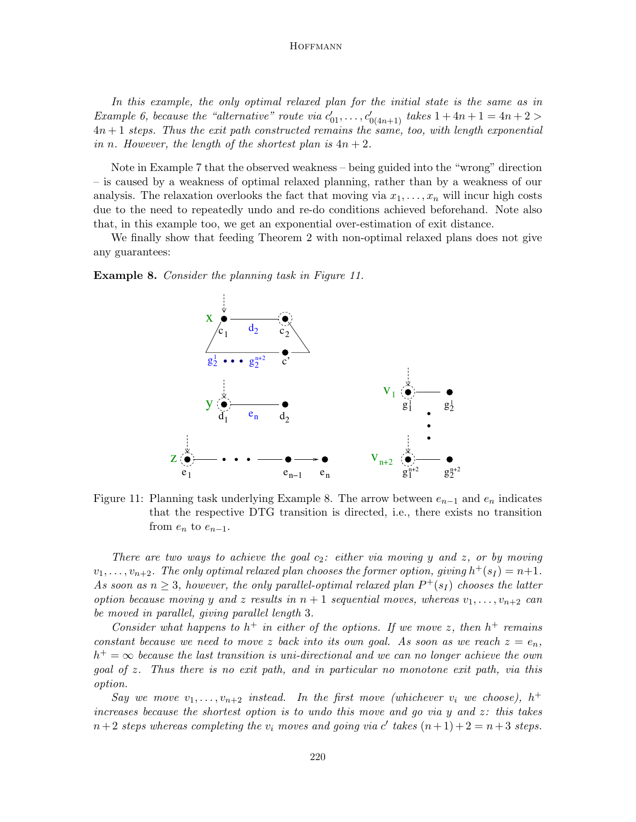In this example, the only optimal relaxed plan for the initial state is the same as in Example 6, because the "alternative" route via  $c'_{01}, \ldots, c'_{0(4n+1)}$  takes  $1 + 4n + 1 = 4n + 2 >$  $4n+1$  steps. Thus the exit path constructed remains the same, too, with length exponential in n. However, the length of the shortest plan is  $4n + 2$ .

Note in Example 7 that the observed weakness – being guided into the "wrong" direction – is caused by a weakness of optimal relaxed planning, rather than by a weakness of our analysis. The relaxation overlooks the fact that moving via  $x_1, \ldots, x_n$  will incur high costs due to the need to repeatedly undo and re-do conditions achieved beforehand. Note also that, in this example too, we get an exponential over-estimation of exit distance.

We finally show that feeding Theorem 2 with non-optimal relaxed plans does not give any guarantees:

**Example 8.** Consider the planning task in Figure 11.



Figure 11: Planning task underlying Example 8. The arrow between  $e_{n-1}$  and  $e_n$  indicates that the respective DTG transition is directed, i.e., there exists no transition from  $e_n$  to  $e_{n-1}$ .

There are two ways to achieve the goal  $c_2$ : either via moving y and z, or by moving  $v_1, \ldots, v_{n+2}$ . The only optimal relaxed plan chooses the former option, giving  $h^+(s_I) = n+1$ . As soon as  $n \geq 3$ , however, the only parallel-optimal relaxed plan  $P^+(s_I)$  chooses the latter option because moving y and z results in  $n + 1$  sequential moves, whereas  $v_1, \ldots, v_{n+2}$  can be moved in parallel, giving parallel length 3.

Consider what happens to  $h^+$  in either of the options. If we move z, then  $h^+$  remains constant because we need to move z back into its own goal. As soon as we reach  $z = e_n$ ,  $h^+ = \infty$  because the last transition is uni-directional and we can no longer achieve the own goal of z. Thus there is no exit path, and in particular no monotone exit path, via this option.

Say we move  $v_1, \ldots, v_{n+2}$  instead. In the first move (whichever  $v_i$  we choose),  $h^+$ increases because the shortest option is to undo this move and go via y and  $z$ : this takes  $n+2$  steps whereas completing the  $v_i$  moves and going via c' takes  $(n+1)+2=n+3$  steps.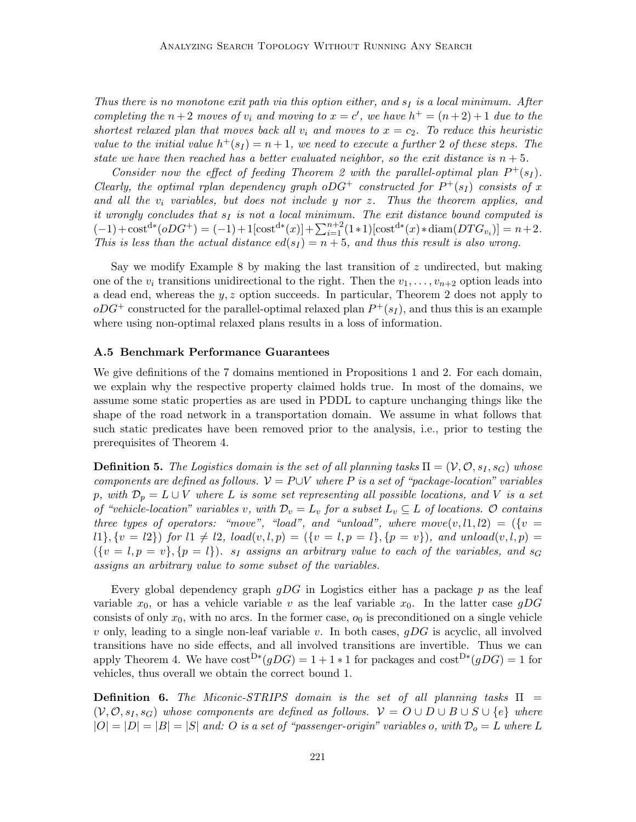Thus there is no monotone exit path via this option either, and  $s_I$  is a local minimum. After completing the  $n+2$  moves of  $v_i$  and moving to  $x = c'$ , we have  $h^+ = (n+2)+1$  due to the shortest relaxed plan that moves back all  $v_i$  and moves to  $x = c_2$ . To reduce this heuristic value to the initial value  $h^+(s_I) = n+1$ , we need to execute a further 2 of these steps. The state we have then reached has a better evaluated neighbor, so the exit distance is  $n + 5$ .

Consider now the effect of feeding Theorem 2 with the parallel-optimal plan  $P^+(s_I)$ . Clearly, the optimal rplan dependency graph oDG<sup>+</sup> constructed for  $P^+(s_I)$  consists of x and all the  $v_i$  variables, but does not include y nor z. Thus the theorem applies, and it wrongly concludes that  $s_I$  is not a local minimum. The exit distance bound computed is  $(-1) + \text{cost}^{d*}(oDG^+) = (-1) + 1[\text{cost}^{d*}(x)] + \sum_{i=1}^{n+2} (1 \cdot 1)[\text{cost}^{d*}(x) \cdot \text{diam}(DTG_{v_i})] = n+2.$ This is less than the actual distance  $ed(s<sub>I</sub>) = n + 5$ , and thus this result is also wrong.

Say we modify Example 8 by making the last transition of  $z$  undirected, but making one of the  $v_i$  transitions unidirectional to the right. Then the  $v_1, \ldots, v_{n+2}$  option leads into a dead end, whereas the y, z option succeeds. In particular, Theorem 2 does not apply to  $oDG^+$  constructed for the parallel-optimal relaxed plan  $P^+(s_I)$ , and thus this is an example where using non-optimal relaxed plans results in a loss of information.

#### A.5 Benchmark Performance Guarantees

We give definitions of the 7 domains mentioned in Propositions 1 and 2. For each domain, we explain why the respective property claimed holds true. In most of the domains, we assume some static properties as are used in PDDL to capture unchanging things like the shape of the road network in a transportation domain. We assume in what follows that such static predicates have been removed prior to the analysis, i.e., prior to testing the prerequisites of Theorem 4.

**Definition 5.** The Logistics domain is the set of all planning tasks  $\Pi = (\mathcal{V}, \mathcal{O}, s_I, s_G)$  whose components are defined as follows.  $V = P \cup V$  where P is a set of "package-location" variables p, with  $\mathcal{D}_p = L \cup V$  where L is some set representing all possible locations, and V is a set of "vehicle-location" variables v, with  $\mathcal{D}_v = L_v$  for a subset  $L_v \subseteq L$  of locations.  $\mathcal O$  contains three types of operators: "move", "load", and "unload", where  $move(v, l1, l2) = (\{v =$  $l_1\{v = l_2\}$  for  $l_1 \neq l_2$ ,  $load(v, l, p) = (\{v = l, p = l\}, \{p = v\})$ , and unload $(v, l, p) =$  $({v = l, p = v}, {p = l})$ . s<sub>I</sub> assigns an arbitrary value to each of the variables, and s<sub>G</sub> assigns an arbitrary value to some subset of the variables.

Every global dependency graph  $gDG$  in Logistics either has a package p as the leaf variable  $x_0$ , or has a vehicle variable v as the leaf variable  $x_0$ . In the latter case gDG consists of only  $x_0$ , with no arcs. In the former case,  $o_0$  is preconditioned on a single vehicle v only, leading to a single non-leaf variable v. In both cases,  $gDG$  is acyclic, all involved transitions have no side effects, and all involved transitions are invertible. Thus we can apply Theorem 4. We have  $\text{cost}^{D*}(gDG) = 1 + 1 * 1$  for packages and  $\text{cost}^{D*}(gDG) = 1$  for vehicles, thus overall we obtain the correct bound 1.

**Definition 6.** The Miconic-STRIPS domain is the set of all planning tasks  $\Pi$  =  $(V, \mathcal{O}, s_I, s_G)$  whose components are defined as follows.  $V = O \cup D \cup B \cup S \cup \{e\}$  where  $|O| = |D| = |S|$  and: O is a set of "passenger-origin" variables o, with  $\mathcal{D}_o = L$  where L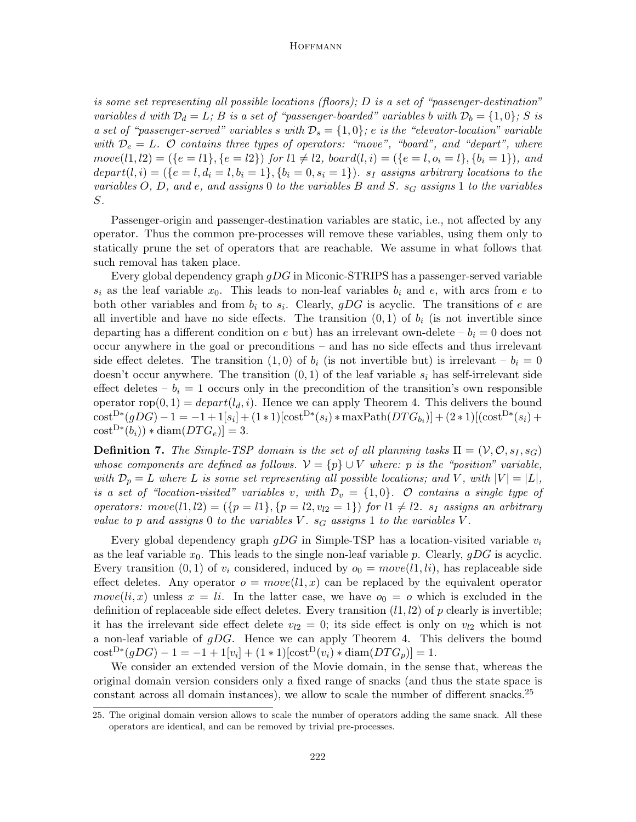is some set representing all possible locations (floors);  $D$  is a set of "passenger-destination" variables d with  $\mathcal{D}_d = L$ ; B is a set of "passenger-boarded" variables b with  $\mathcal{D}_b = \{1, 0\}$ ; S is a set of "passenger-served" variables s with  $\mathcal{D}_s = \{1,0\}$ ; e is the "elevator-location" variable with  $\mathcal{D}_e = L$ . O contains three types of operators: "move", "board", and "depart", where  $move(l1, l2) = (\{e = l1\}, \{e = l2\})$  for  $l1 \neq l2$ ,  $board(l, i) = (\{e = l, o_i = l\}, \{b_i = 1\})$ , and depart $(l,i) = (\{e = l,d_i = l,b_i = 1\}, \{b_i = 0,s_i = 1\})$ .  $s_I$  assigns arbitrary locations to the variables O, D, and e, and assigns 0 to the variables B and S.  $s_G$  assigns 1 to the variables S.

Passenger-origin and passenger-destination variables are static, i.e., not affected by any operator. Thus the common pre-processes will remove these variables, using them only to statically prune the set of operators that are reachable. We assume in what follows that such removal has taken place.

Every global dependency graph gDG in Miconic-STRIPS has a passenger-served variable  $s_i$  as the leaf variable  $x_0$ . This leads to non-leaf variables  $b_i$  and  $e$ , with arcs from  $e$  to both other variables and from  $b_i$  to  $s_i$ . Clearly,  $gDG$  is acyclic. The transitions of e are all invertible and have no side effects. The transition  $(0, 1)$  of  $b_i$  (is not invertible since departing has a different condition on e but) has an irrelevant own-delete  $-b<sub>i</sub> = 0$  does not occur anywhere in the goal or preconditions – and has no side effects and thus irrelevant side effect deletes. The transition (1,0) of  $b_i$  (is not invertible but) is irrelevant –  $b_i = 0$ doesn't occur anywhere. The transition  $(0, 1)$  of the leaf variable  $s_i$  has self-irrelevant side effect deletes –  $b_i = 1$  occurs only in the precondition of the transition's own responsible operator rop $(0, 1) = \text{depart}(l_d, i)$ . Hence we can apply Theorem 4. This delivers the bound  $\text{cost}^{D*}(gDG) - 1 = -1 + 1[s_i] + (1 * 1)[\text{cost}^{D*}(s_i) * \text{maxPath}(DTG_{b_i})] + (2 * 1)[(\text{cost}^{D*}(s_i) +$  $cost^{D*}(b_i)) * diam(DTG_e)]=3.$ 

**Definition 7.** The Simple-TSP domain is the set of all planning tasks  $\Pi = (\mathcal{V}, \mathcal{O}, s_I, s_G)$ whose components are defined as follows.  $\mathcal{V} = \{p\} \cup V$  where: p is the "position" variable, with  $\mathcal{D}_p = L$  where L is some set representing all possible locations; and V, with  $|V| = |L|$ , is a set of "location-visited" variables v, with  $\mathcal{D}_v = \{1,0\}$ . O contains a single type of operators:  $move(l1, l2) = (\{p = l1\}, \{p = l2, v_{l2} = 1\})$  for  $l1 \neq l2$ .  $s_I$  assigns an arbitrary value to p and assigns 0 to the variables V.  $s_G$  assigns 1 to the variables V.

Every global dependency graph  $gDG$  in Simple-TSP has a location-visited variable  $v_i$ as the leaf variable  $x_0$ . This leads to the single non-leaf variable p. Clearly, gDG is acyclic. Every transition (0, 1) of  $v_i$  considered, induced by  $o_0 = move(l, 1, li)$ , has replaceable side effect deletes. Any operator  $o = move(11, x)$  can be replaced by the equivalent operator  $move(li, x)$  unless  $x = li$ . In the latter case, we have  $o_0 = o$  which is excluded in the definition of replaceable side effect deletes. Every transition  $(l1, l2)$  of p clearly is invertible; it has the irrelevant side effect delete  $v_{l2} = 0$ ; its side effect is only on  $v_{l2}$  which is not a non-leaf variable of  $gD$ . Hence we can apply Theorem 4. This delivers the bound  $\text{cost}^{D*}(gDG) - 1 = -1 + 1[v_i] + (1 * 1)[\text{cost}^{D}(v_i) * \text{diam}(DTG_p)] = 1.$ 

We consider an extended version of the Movie domain, in the sense that, whereas the original domain version considers only a fixed range of snacks (and thus the state space is constant across all domain instances), we allow to scale the number of different snacks.<sup>25</sup>

<sup>25.</sup> The original domain version allows to scale the number of operators adding the same snack. All these operators are identical, and can be removed by trivial pre-processes.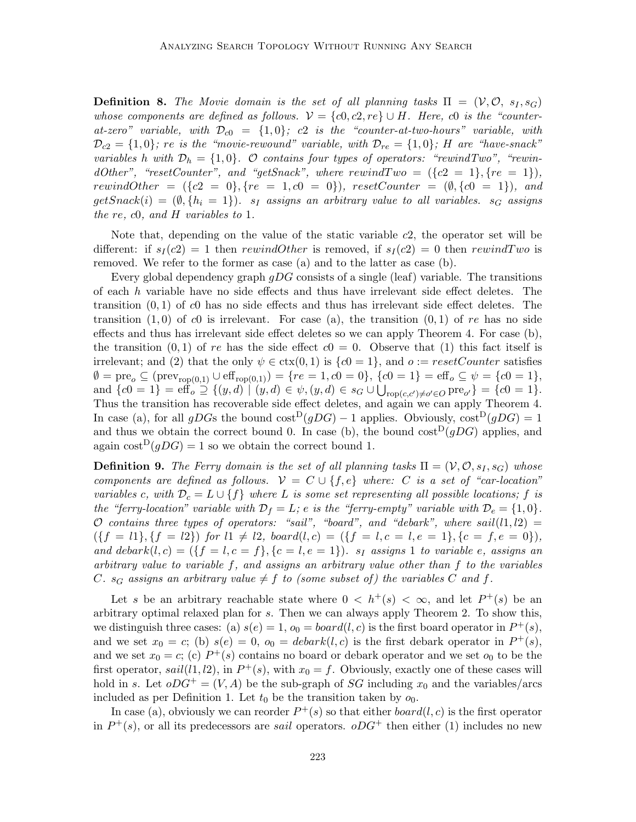**Definition 8.** The Movie domain is the set of all planning tasks  $\Pi = (\mathcal{V}, \mathcal{O}, s_I, s_G)$ whose components are defined as follows.  $V = \{c0, c2, re\} \cup H$ . Here, c0 is the "counterat-zero" variable, with  $\mathcal{D}_{c0} = \{1,0\}$ ; c2 is the "counter-at-two-hours" variable, with  $\mathcal{D}_{c2} = \{1,0\}$ ; re is the "movie-rewound" variable, with  $\mathcal{D}_{re} = \{1,0\}$ ; H are "have-snack" variables h with  $\mathcal{D}_h = \{1, 0\}$ . O contains four types of operators: "rewindTwo", "rewindOther", "resetCounter", and "getSnack", where  $rewindTwo = (\{c2 = 1\}, \{re = 1\}),$ rewindOther =  $({c2 = 0}, {re = 1, c0 = 0}),$  resetCounter =  $(\emptyset, {c0 = 1}),$  and  $getSnack(i) = (\emptyset, \{h_i = 1\})$ .  $s_i$  assigns an arbitrary value to all variables.  $s_G$  assigns the re, c0, and H variables to 1.

Note that, depending on the value of the static variable c2, the operator set will be different: if  $s_I(c2) = 1$  then rewindOther is removed, if  $s_I(c2) = 0$  then rewindTwo is removed. We refer to the former as case (a) and to the latter as case (b).

Every global dependency graph  $gDG$  consists of a single (leaf) variable. The transitions of each  $h$  variable have no side effects and thus have irrelevant side effect deletes. The transition  $(0, 1)$  of c0 has no side effects and thus has irrelevant side effect deletes. The transition  $(1,0)$  of c0 is irrelevant. For case (a), the transition  $(0,1)$  of re has no side effects and thus has irrelevant side effect deletes so we can apply Theorem 4. For case (b), the transition  $(0, 1)$  of re has the side effect  $c0 = 0$ . Observe that (1) this fact itself is irrelevant; and (2) that the only  $\psi \in \text{ctx}(0, 1)$  is  $\{c0 = 1\}$ , and  $o := resetCounter$  satisfies  $\emptyset = \mathrm{pre}_o \subseteq (\mathrm{prev}_{\mathrm{rop}(0,1)} \cup \mathrm{eff}_{\mathrm{rop}(0,1)}) = \{ re = 1, c0 = 0 \}, \, \{ c0 = 1 \} = \mathrm{eff}_o \subseteq \psi = \{ c0 = 1 \},$ and  $\{c0 = 1\} = \text{eff}_o \supseteq \{(y, d) \mid (y, d) \in \psi, (y, d) \in s_G \cup \bigcup_{\text{rop}(c, c') \neq o' \in O} \text{pre}_{o'}\} = \{c0 = 1\}.$ Thus the transition has recoverable side effect deletes, and again we can apply Theorem 4. In case (a), for all gDGs the bound cost<sup>D</sup>(gDG) – 1 applies. Obviously,  $\text{cost}^D(qDG) = 1$ and thus we obtain the correct bound 0. In case (b), the bound  $\cos^{D}(gDG)$  applies, and again cost<sup>D</sup> $(qDG) = 1$  so we obtain the correct bound 1.

**Definition 9.** The Ferry domain is the set of all planning tasks  $\Pi = (\mathcal{V}, \mathcal{O}, s_I, s_G)$  whose components are defined as follows.  $\mathcal{V} = C \cup \{f, e\}$  where: C is a set of "car-location" variables c, with  $\mathcal{D}_c = L \cup \{f\}$  where L is some set representing all possible locations; f is the "ferry-location" variable with  $\mathcal{D}_f = L$ ; e is the "ferry-empty" variable with  $\mathcal{D}_e = \{1, 0\}$ . O contains three types of operators: "sail", "board", and "debark", where sail( $l1, l2$ ) =  $({f = l1}, {f = l2})$  for  $l1 \neq l2$ , board $(l, c) = ({f = l, c = l, e = 1}, {c = f, e = 0}),$ and debark $(l, c) = (\{f = l, c = f\}, \{c = l, e = 1\})$ .  $s_I$  assigns 1 to variable e, assigns an arbitrary value to variable f, and assigns an arbitrary value other than f to the variables C.  $s_G$  assigns an arbitrary value  $\neq f$  to (some subset of) the variables C and f.

Let s be an arbitrary reachable state where  $0 \langle h^+(s) \rangle \langle \infty$ , and let  $P^+(s)$  be an arbitrary optimal relaxed plan for s. Then we can always apply Theorem 2. To show this, we distinguish three cases: (a)  $s(e) = 1$ ,  $o_0 = board(l, c)$  is the first board operator in  $P^+(s)$ , and we set  $x_0 = c$ ; (b)  $s(e) = 0$ ,  $o_0 = debar k(l, c)$  is the first debark operator in  $P^+(s)$ , and we set  $x_0 = c$ ; (c)  $P^+(s)$  contains no board or debark operator and we set  $o_0$  to be the first operator,  $sail(l1, l2)$ , in  $P^+(s)$ , with  $x_0 = f$ . Obviously, exactly one of these cases will hold in s. Let  $oDG^+ = (V, A)$  be the sub-graph of SG including  $x_0$  and the variables/arcs included as per Definition 1. Let  $t_0$  be the transition taken by  $o_0$ .

In case (a), obviously we can reorder  $P^+(s)$  so that either  $board(l, c)$  is the first operator in  $P^+(s)$ , or all its predecessors are *sail* operators.  $oDG^+$  then either (1) includes no new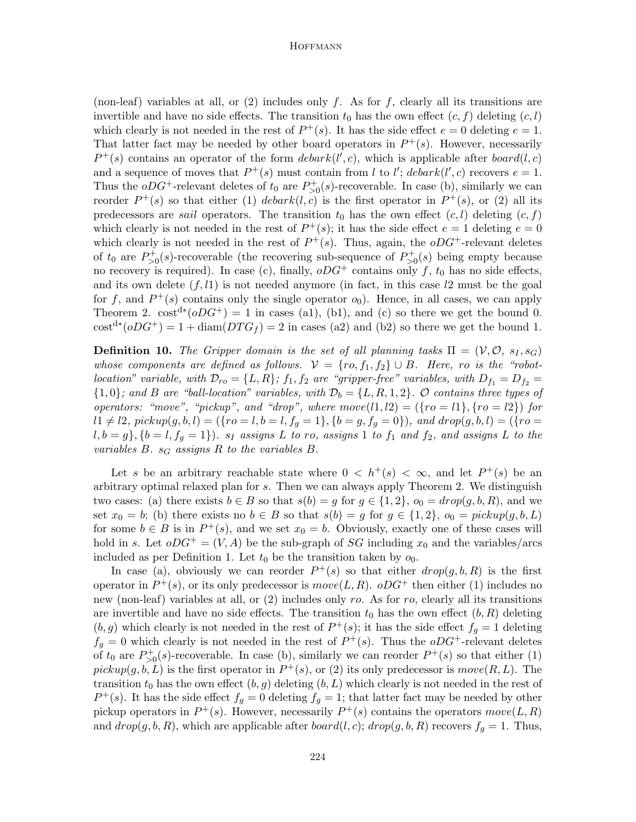(non-leaf) variables at all, or  $(2)$  includes only f. As for f, clearly all its transitions are invertible and have no side effects. The transition  $t_0$  has the own effect  $(c, f)$  deleting  $(c, l)$ which clearly is not needed in the rest of  $P^+(s)$ . It has the side effect  $e = 0$  deleting  $e = 1$ . That latter fact may be needed by other board operators in  $P^+(s)$ . However, necessarily  $P^+(s)$  contains an operator of the form  $debar(k', c)$ , which is applicable after  $board(l, c)$ and a sequence of moves that  $P^+(s)$  must contain from l to l'; debark(l', c) recovers  $e = 1$ . Thus the  $oDG^+$ -relevant deletes of  $t_0$  are  $P_{>0}^+(s)$ -recoverable. In case (b), similarly we can reorder  $P^+(s)$  so that either (1) debark $(l, c)$  is the first operator in  $P^+(s)$ , or (2) all its predecessors are *sail* operators. The transition  $t_0$  has the own effect  $(c, l)$  deleting  $(c, f)$ which clearly is not needed in the rest of  $P^+(s)$ ; it has the side effect  $e = 1$  deleting  $e = 0$ which clearly is not needed in the rest of  $P^+(s)$ . Thus, again, the  $oDG^+$ -relevant deletes of  $t_0$  are  $P_{>0}^+(s)$ -recoverable (the recovering sub-sequence of  $P_{>0}^+(s)$  being empty because no recovery is required). In case (c), finally,  $oDG^+$  contains only f,  $t_0$  has no side effects, and its own delete  $(f, l1)$  is not needed anymore (in fact, in this case  $l2$  must be the goal for f, and  $P^+(s)$  contains only the single operator  $o_0$ ). Hence, in all cases, we can apply Theorem 2.  $\text{cost}^{d*}(oDG^+) = 1$  in cases (a1), (b1), and (c) so there we get the bound 0.  $\text{cost}^{d*}(oDG^+) = 1 + \text{diam}(DTG_f) = 2$  in cases (a2) and (b2) so there we get the bound 1.

**Definition 10.** The Gripper domain is the set of all planning tasks  $\Pi = (\mathcal{V}, \mathcal{O}, s_I, s_G)$ whose components are defined as follows.  $V = \{ro, f_1, f_2\} \cup B$ . Here, ro is the "robotlocation" variable, with  $\mathcal{D}_{ro} = \{L, R\}$ ;  $f_1, f_2$  are "gripper-free" variables, with  $D_{f_1} = D_{f_2} =$  ${1,0}$ ; and B are "ball-location" variables, with  $\mathcal{D}_b = \{L, R, 1, 2\}$ . O contains three types of operators: "move", "pickup", and "drop", where  $move(l1, l2) = (\{ro = l1\}, \{ro = l2\})$  for l1 6= l2, pickup(g,b, l) = ({ro = l,b = l,f<sup>g</sup> = 1}, {b = g,f<sup>g</sup> = 0}), and drop(g, b,l) = ({ro =  $l,b = g\},\{b = l,f_g = 1\})$ .  $s_I$  assigns L to ro, assigns 1 to  $f_1$  and  $f_2$ , and assigns L to the variables  $B. s_G$  assigns  $R$  to the variables  $B.$ 

Let s be an arbitrary reachable state where  $0 < h^+(s) < \infty$ , and let  $P^+(s)$  be an arbitrary optimal relaxed plan for s. Then we can always apply Theorem 2. We distinguish two cases: (a) there exists  $b \in B$  so that  $s(b) = g$  for  $g \in \{1,2\}$ ,  $o_0 = drop(g, b, R)$ , and we set  $x_0 = b$ ; (b) there exists no  $b \in B$  so that  $s(b) = g$  for  $g \in \{1,2\}$ ,  $o_0 = pickup(g, b, L)$ for some  $b \in B$  is in  $P^+(s)$ , and we set  $x_0 = b$ . Obviously, exactly one of these cases will hold in s. Let  $oDG^+ = (V, A)$  be the sub-graph of SG including  $x_0$  and the variables/arcs included as per Definition 1. Let  $t_0$  be the transition taken by  $o_0$ .

In case (a), obviously we can reorder  $P^+(s)$  so that either  $drop(g, b, R)$  is the first operator in  $P^+(s)$ , or its only predecessor is  $move(L, R)$ .  $oDG^+$  then either (1) includes no new (non-leaf) variables at all, or  $(2)$  includes only ro. As for ro, clearly all its transitions are invertible and have no side effects. The transition  $t_0$  has the own effect  $(b, R)$  deleting  $(b, g)$  which clearly is not needed in the rest of  $P^+(s)$ ; it has the side effect  $f_g = 1$  deleting  $f_g = 0$  which clearly is not needed in the rest of  $P^+(s)$ . Thus the  $oDG^+$ -relevant deletes of  $t_0$  are  $P_{>0}^+(s)$ -recoverable. In case (b), similarly we can reorder  $P^+(s)$  so that either (1)  $pickup(g, b, L)$  is the first operator in  $P^+(s)$ , or (2) its only predecessor is  $move(R, L)$ . The transition  $t_0$  has the own effect  $(b, g)$  deleting  $(b, L)$  which clearly is not needed in the rest of  $P^+(s)$ . It has the side effect  $f_g = 0$  deleting  $f_g = 1$ ; that latter fact may be needed by other pickup operators in  $P^+(s)$ . However, necessarily  $P^+(s)$  contains the operators  $move(L, R)$ and  $drop(g, b, R)$ , which are applicable after  $board(l, c)$ ;  $drop(g, b, R)$  recovers  $f_q = 1$ . Thus,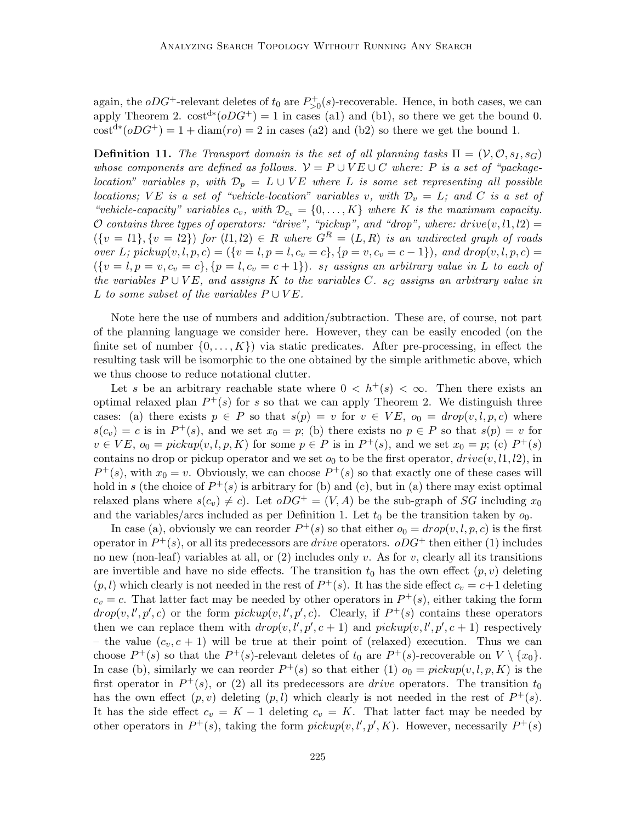again, the  $oDG^+$ -relevant deletes of  $t_0$  are  $P_{>0}^+(s)$ -recoverable. Hence, in both cases, we can apply Theorem 2.  $\text{cost}^{d*}(oDG^+) = 1$  in cases (a1) and (b1), so there we get the bound 0.  $\text{cost}^{d*}(oDG^+) = 1 + \text{diam}(ro) = 2$  in cases (a2) and (b2) so there we get the bound 1.

**Definition 11.** The Transport domain is the set of all planning tasks  $\Pi = (\mathcal{V}, \mathcal{O}, s_I, s_G)$ whose components are defined as follows.  $V = P \cup VE \cup C$  where: P is a set of "packagelocation" variables p, with  $\mathcal{D}_p = L \cup VE$  where L is some set representing all possible locations; VE is a set of "vehicle-location" variables v, with  $\mathcal{D}_v = L$ ; and C is a set of "vehicle-capacity" variables  $c_v$ , with  $\mathcal{D}_{c_v} = \{0, \ldots, K\}$  where K is the maximum capacity. O contains three types of operators: "drive", "pickup", and "drop", where: drive $(v, l1, l2) =$  $({v = l1}, {v = l2})$  for  $(l1, l2) \in R$  where  $G<sup>R</sup> = (L, R)$  is an undirected graph of roads over L; pickup $(v, l, p, c) = (\{v = l, p = l, c_v = c\}, \{p = v, c_v = c - 1\})$ , and  $drop(v, l, p, c) =$  $({v = l, p = v, c_v = c}, {p = l, c_v = c + 1}).$  s<sub>I</sub> assigns an arbitrary value in L to each of the variables  $P \cup VE$ , and assigns K to the variables C. s<sub>G</sub> assigns an arbitrary value in L to some subset of the variables  $P \cup VE$ .

Note here the use of numbers and addition/subtraction. These are, of course, not part of the planning language we consider here. However, they can be easily encoded (on the finite set of number  $\{0, \ldots, K\}$  via static predicates. After pre-processing, in effect the resulting task will be isomorphic to the one obtained by the simple arithmetic above, which we thus choose to reduce notational clutter.

Let s be an arbitrary reachable state where  $0 < h^+(s) < \infty$ . Then there exists an optimal relaxed plan  $P^+(s)$  for s so that we can apply Theorem 2. We distinguish three cases: (a) there exists  $p \in P$  so that  $s(p) = v$  for  $v \in VE$ ,  $o_0 = drop(v, l, p, c)$  where  $s(c_v) = c$  is in  $P^+(s)$ , and we set  $x_0 = p$ ; (b) there exists no  $p \in P$  so that  $s(p) = v$  for  $v \in VE$ ,  $o_0 = pickup(v, l, p, K)$  for some  $p \in P$  is in  $P^+(s)$ , and we set  $x_0 = p$ ; (c)  $P^+(s)$ contains no drop or pickup operator and we set  $o_0$  to be the first operator,  $drive(v, l1, l2)$ , in  $P^+(s)$ , with  $x_0 = v$ . Obviously, we can choose  $P^+(s)$  so that exactly one of these cases will hold in s (the choice of  $P^+(s)$  is arbitrary for (b) and (c), but in (a) there may exist optimal relaxed plans where  $s(c_v) \neq c$ . Let  $oDG^+ = (V, A)$  be the sub-graph of SG including  $x_0$ and the variables/arcs included as per Definition 1. Let  $t_0$  be the transition taken by  $o_0$ .

In case (a), obviously we can reorder  $P^+(s)$  so that either  $o_0 = drop(v, l, p, c)$  is the first operator in  $P^+(s)$ , or all its predecessors are *drive* operators.  $oDG^+$  then either (1) includes no new (non-leaf) variables at all, or  $(2)$  includes only v. As for v, clearly all its transitions are invertible and have no side effects. The transition  $t_0$  has the own effect  $(p, v)$  deleting  $(p, l)$  which clearly is not needed in the rest of  $P^+(s)$ . It has the side effect  $c_v = c+1$  deleting  $c_v = c$ . That latter fact may be needed by other operators in  $P^+(s)$ , either taking the form  $drop(v, l', p', c)$  or the form  $pickup(v, l', p', c)$ . Clearly, if  $P^+(s)$  contains these operators then we can replace them with  $drop(v, l', p', c + 1)$  and  $pickup(v, l', p', c + 1)$  respectively – the value  $(c_v, c + 1)$  will be true at their point of (relaxed) execution. Thus we can choose  $P^+(s)$  so that the  $P^+(s)$ -relevant deletes of  $t_0$  are  $P^+(s)$ -recoverable on  $V \setminus \{x_0\}$ . In case (b), similarly we can reorder  $P^+(s)$  so that either (1)  $o_0 = pickup(v, l, p, K)$  is the first operator in  $P^+(s)$ , or (2) all its predecessors are *drive* operators. The transition  $t_0$ has the own effect  $(p, v)$  deleting  $(p, l)$  which clearly is not needed in the rest of  $P^+(s)$ . It has the side effect  $c_v = K - 1$  deleting  $c_v = K$ . That latter fact may be needed by other operators in  $P^+(s)$ , taking the form  $pickup(v, l', p', K)$ . However, necessarily  $P^+(s)$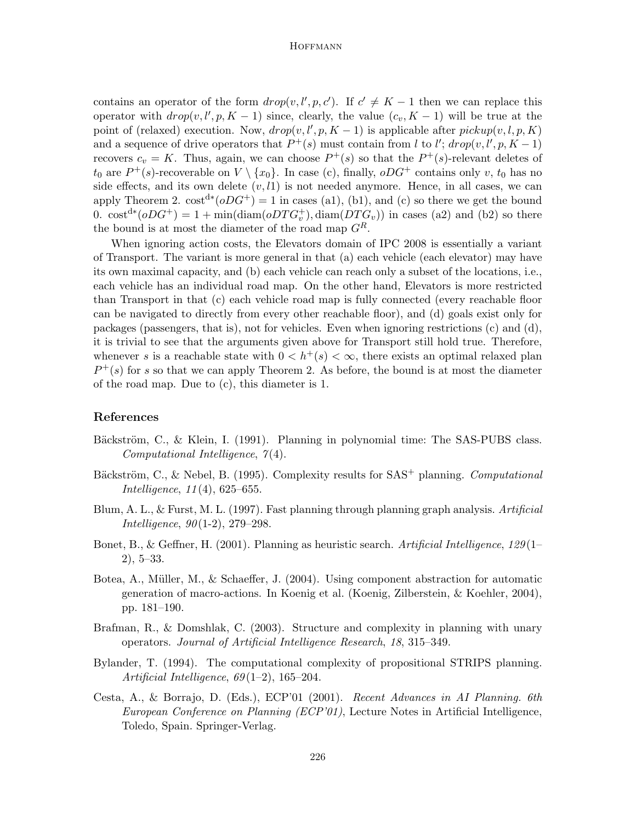## **HOFFMANN**

contains an operator of the form  $drop(v, l', p, c')$ . If  $c' \neq K - 1$  then we can replace this operator with  $drop(v, l', p, K - 1)$  since, clearly, the value  $(c_v, K - 1)$  will be true at the point of (relaxed) execution. Now,  $drop(v, l', p, K-1)$  is applicable after  $pickup(v, l, p, K)$ and a sequence of drive operators that  $P^+(s)$  must contain from l to l';  $drop(v, l', p, K-1)$ recovers  $c_v = K$ . Thus, again, we can choose  $P^+(s)$  so that the  $P^+(s)$ -relevant deletes of  $t_0$  are  $P^+(s)$ -recoverable on  $V \setminus \{x_0\}$ . In case (c), finally,  $oDG^+$  contains only v,  $t_0$  has no side effects, and its own delete  $(v, l1)$  is not needed anymore. Hence, in all cases, we can apply Theorem 2.  $\text{cost}^{d*}(oDG^+) = 1$  in cases (a1), (b1), and (c) so there we get the bound 0.  $\cot^{d*}(\rho DG^+) = 1 + \min(\text{diam}(\rho DTG_v^+), \text{diam}(DTG_v))$  in cases (a2) and (b2) so there the bound is at most the diameter of the road map  $G<sup>R</sup>$ .

When ignoring action costs, the Elevators domain of IPC 2008 is essentially a variant of Transport. The variant is more general in that (a) each vehicle (each elevator) may have its own maximal capacity, and (b) each vehicle can reach only a subset of the locations, i.e., each vehicle has an individual road map. On the other hand, Elevators is more restricted than Transport in that (c) each vehicle road map is fully connected (every reachable floor can be navigated to directly from every other reachable floor), and (d) goals exist only for packages (passengers, that is), not for vehicles. Even when ignoring restrictions (c) and (d), it is trivial to see that the arguments given above for Transport still hold true. Therefore, whenever s is a reachable state with  $0 < h^+(s) < \infty$ , there exists an optimal relaxed plan  $P^+(s)$  for s so that we can apply Theorem 2. As before, the bound is at most the diameter of the road map. Due to (c), this diameter is 1.

## References

- Bäckström, C., & Klein, I. (1991). Planning in polynomial time: The SAS-PUBS class.  $Computational\ Intelligence, 7(4).$
- Bäckström, C., & Nebel, B. (1995). Complexity results for  $SAS^+$  planning. Computational Intelligence, 11 (4), 625–655.
- Blum, A. L., & Furst, M. L. (1997). Fast planning through planning graph analysis. Artificial *Intelligence*,  $90(1-2)$ , 279-298.
- Bonet, B., & Geffner, H. (2001). Planning as heuristic search. Artificial Intelligence,  $129(1-$ 2), 5–33.
- Botea, A., Müller, M., & Schaeffer, J.  $(2004)$ . Using component abstraction for automatic generation of macro-actions. In Koenig et al. (Koenig, Zilberstein, & Koehler, 2004), pp. 181–190.
- Brafman, R., & Domshlak, C. (2003). Structure and complexity in planning with unary operators. Journal of Artificial Intelligence Research, 18, 315–349.
- Bylander, T. (1994). The computational complexity of propositional STRIPS planning. Artificial Intelligence,  $69(1-2)$ ,  $165-204$ .
- Cesta, A., & Borrajo, D. (Eds.), ECP'01 (2001). Recent Advances in AI Planning. 6th European Conference on Planning (ECP'01), Lecture Notes in Artificial Intelligence, Toledo, Spain. Springer-Verlag.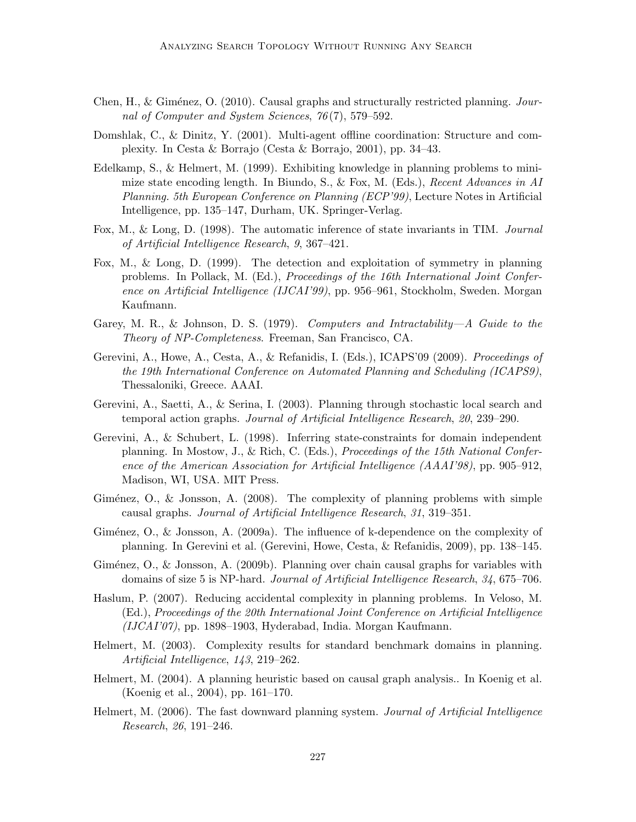- Chen, H., & Giménez, O. (2010). Causal graphs and structurally restricted planning. Journal of Computer and System Sciences, 76 (7), 579–592.
- Domshlak, C., & Dinitz, Y. (2001). Multi-agent offline coordination: Structure and complexity. In Cesta & Borrajo (Cesta & Borrajo, 2001), pp. 34–43.
- Edelkamp, S., & Helmert, M. (1999). Exhibiting knowledge in planning problems to minimize state encoding length. In Biundo, S., & Fox, M. (Eds.), Recent Advances in AI Planning. 5th European Conference on Planning (ECP'99), Lecture Notes in Artificial Intelligence, pp. 135–147, Durham, UK. Springer-Verlag.
- Fox, M., & Long, D. (1998). The automatic inference of state invariants in TIM. Journal of Artificial Intelligence Research, 9, 367–421.
- Fox, M., & Long, D. (1999). The detection and exploitation of symmetry in planning problems. In Pollack, M. (Ed.), Proceedings of the 16th International Joint Conference on Artificial Intelligence (IJCAI'99), pp. 956–961, Stockholm, Sweden. Morgan Kaufmann.
- Garey, M. R., & Johnson, D. S. (1979). Computers and Intractability—A Guide to the Theory of NP-Completeness. Freeman, San Francisco, CA.
- Gerevini, A., Howe, A., Cesta, A., & Refanidis, I. (Eds.), ICAPS'09 (2009). Proceedings of the 19th International Conference on Automated Planning and Scheduling (ICAPS9), Thessaloniki, Greece. AAAI.
- Gerevini, A., Saetti, A., & Serina, I. (2003). Planning through stochastic local search and temporal action graphs. Journal of Artificial Intelligence Research, 20, 239–290.
- Gerevini, A., & Schubert, L. (1998). Inferring state-constraints for domain independent planning. In Mostow, J., & Rich, C. (Eds.), Proceedings of the 15th National Conference of the American Association for Artificial Intelligence (AAAI'98), pp. 905–912, Madison, WI, USA. MIT Press.
- Giménez, O., & Jonsson, A.  $(2008)$ . The complexity of planning problems with simple causal graphs. Journal of Artificial Intelligence Research, 31, 319–351.
- Giménez,  $O_1$ ,  $\&$  Jonsson, A. (2009a). The influence of k-dependence on the complexity of planning. In Gerevini et al. (Gerevini, Howe, Cesta, & Refanidis, 2009), pp. 138–145.
- Giménez, O., & Jonsson, A. (2009b). Planning over chain causal graphs for variables with domains of size 5 is NP-hard. Journal of Artificial Intelligence Research, 34, 675–706.
- Haslum, P. (2007). Reducing accidental complexity in planning problems. In Veloso, M. (Ed.), Proceedings of the 20th International Joint Conference on Artificial Intelligence (IJCAI'07), pp. 1898–1903, Hyderabad, India. Morgan Kaufmann.
- Helmert, M. (2003). Complexity results for standard benchmark domains in planning. Artificial Intelligence, 143, 219–262.
- Helmert, M. (2004). A planning heuristic based on causal graph analysis.. In Koenig et al. (Koenig et al., 2004), pp. 161–170.
- Helmert, M. (2006). The fast downward planning system. *Journal of Artificial Intelligence* Research, 26, 191–246.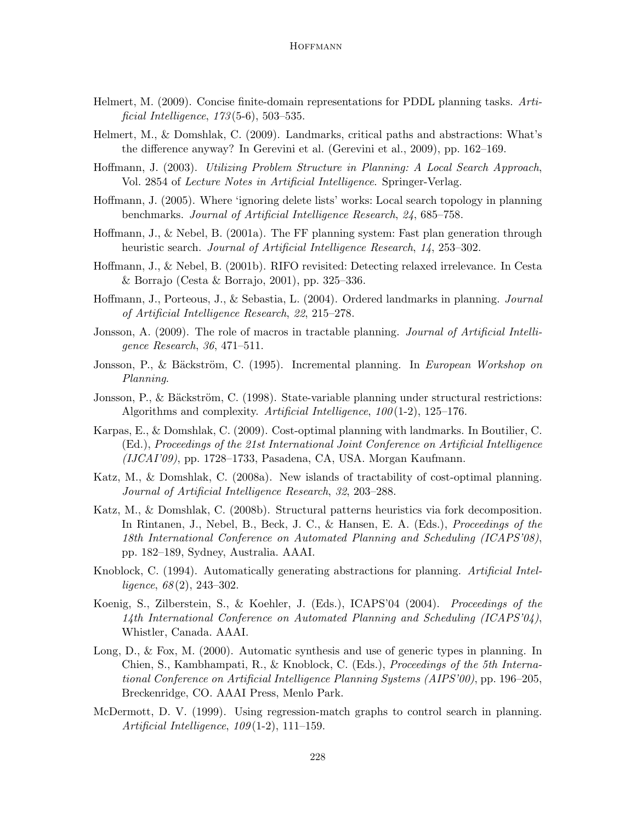## **HOFFMANN**

- Helmert, M. (2009). Concise finite-domain representations for PDDL planning tasks. Artificial Intelligence,  $173(5-6)$ ,  $503-535$ .
- Helmert, M., & Domshlak, C. (2009). Landmarks, critical paths and abstractions: What's the difference anyway? In Gerevini et al. (Gerevini et al., 2009), pp. 162–169.
- Hoffmann, J. (2003). Utilizing Problem Structure in Planning: A Local Search Approach, Vol. 2854 of Lecture Notes in Artificial Intelligence. Springer-Verlag.
- Hoffmann, J. (2005). Where 'ignoring delete lists' works: Local search topology in planning benchmarks. Journal of Artificial Intelligence Research, 24, 685–758.
- Hoffmann, J., & Nebel, B. (2001a). The FF planning system: Fast plan generation through heuristic search. Journal of Artificial Intelligence Research, 14, 253–302.
- Hoffmann, J., & Nebel, B. (2001b). RIFO revisited: Detecting relaxed irrelevance. In Cesta & Borrajo (Cesta & Borrajo, 2001), pp. 325–336.
- Hoffmann, J., Porteous, J., & Sebastia, L. (2004). Ordered landmarks in planning. Journal of Artificial Intelligence Research, 22, 215–278.
- Jonsson, A. (2009). The role of macros in tractable planning. *Journal of Artificial Intelli*gence Research, 36, 471–511.
- Jonsson, P., & Bäckström, C. (1995). Incremental planning. In European Workshop on Planning.
- Jonsson, P., & Bäckström, C. (1998). State-variable planning under structural restrictions: Algorithms and complexity. Artificial Intelligence,  $100(1-2)$ , 125–176.
- Karpas, E., & Domshlak, C. (2009). Cost-optimal planning with landmarks. In Boutilier, C. (Ed.), Proceedings of the 21st International Joint Conference on Artificial Intelligence (IJCAI'09), pp. 1728–1733, Pasadena, CA, USA. Morgan Kaufmann.
- Katz, M., & Domshlak, C. (2008a). New islands of tractability of cost-optimal planning. Journal of Artificial Intelligence Research, 32, 203–288.
- Katz, M., & Domshlak, C. (2008b). Structural patterns heuristics via fork decomposition. In Rintanen, J., Nebel, B., Beck, J. C., & Hansen, E. A. (Eds.), Proceedings of the 18th International Conference on Automated Planning and Scheduling (ICAPS'08), pp. 182–189, Sydney, Australia. AAAI.
- Knoblock, C. (1994). Automatically generating abstractions for planning. Artificial Intelligence,  $68(2)$ ,  $243-302$ .
- Koenig, S., Zilberstein, S., & Koehler, J. (Eds.), ICAPS'04 (2004). Proceedings of the 14th International Conference on Automated Planning and Scheduling (ICAPS'04), Whistler, Canada. AAAI.
- Long, D., & Fox, M. (2000). Automatic synthesis and use of generic types in planning. In Chien, S., Kambhampati, R., & Knoblock, C. (Eds.), Proceedings of the 5th International Conference on Artificial Intelligence Planning Systems (AIPS'00), pp. 196–205, Breckenridge, CO. AAAI Press, Menlo Park.
- McDermott, D. V. (1999). Using regression-match graphs to control search in planning. Artificial Intelligence, 109 (1-2), 111–159.